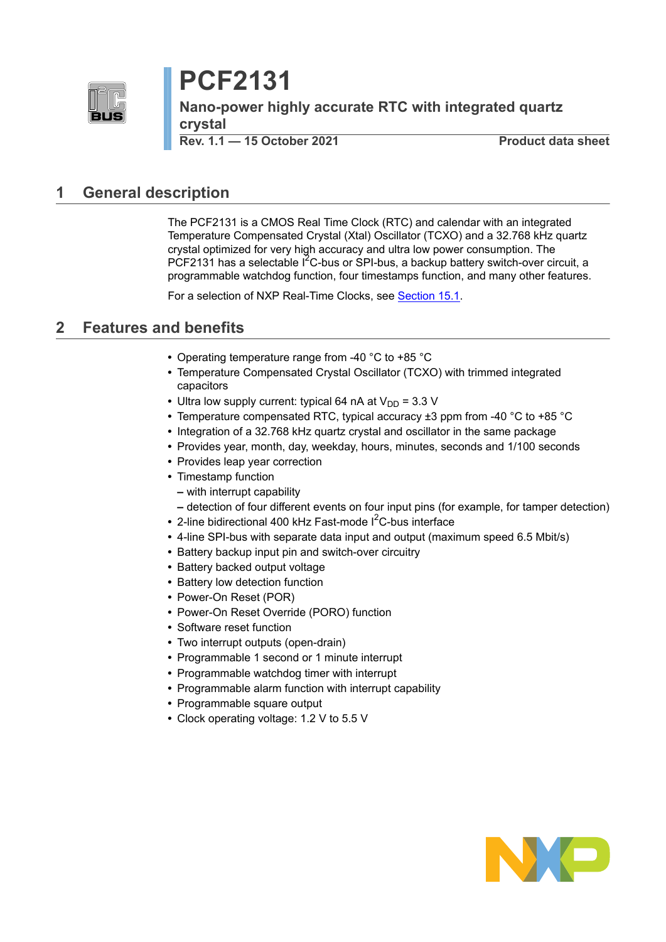

# **PCF2131**

**Nano-power highly accurate RTC with integrated quartz crystal**

**Rev. 1.1 — 15 October 2021 Product data sheet**

## **1 General description**

The PCF2131 is a CMOS Real Time Clock (RTC) and calendar with an integrated Temperature Compensated Crystal (Xtal) Oscillator (TCXO) and a 32.768 kHz quartz crystal optimized for very high accuracy and ultra low power consumption. The PCF2131 has a selectable I<sup>2</sup>C-bus or SPI-bus, a backup battery switch-over circuit, a programmable watchdog function, four timestamps function, and many other features.

For a selection of NXP Real-Time Clocks, see [Section 15.1](#page-75-0).

## **2 Features and benefits**

- **•** Operating temperature range from -40 °C to +85 °C
- **•** Temperature Compensated Crystal Oscillator (TCXO) with trimmed integrated capacitors
- Ultra low supply current: typical 64 nA at  $V_{DD}$  = 3.3 V
- **•** Temperature compensated RTC, typical accuracy ±3 ppm from -40 °C to +85 °C
- **•** Integration of a 32.768 kHz quartz crystal and oscillator in the same package
- **•** Provides year, month, day, weekday, hours, minutes, seconds and 1/100 seconds
- **•** Provides leap year correction
- **•** Timestamp function
	- **–** with interrupt capability
- **–** detection of four different events on four input pins (for example, for tamper detection)
- 2-line bidirectional 400 kHz Fast-mode I<sup>2</sup>C-bus interface
- **•** 4-line SPI-bus with separate data input and output (maximum speed 6.5 Mbit/s)
- **•** Battery backup input pin and switch-over circuitry
- **•** Battery backed output voltage
- **•** Battery low detection function
- **•** Power-On Reset (POR)
- **•** Power-On Reset Override (PORO) function
- **•** Software reset function
- **•** Two interrupt outputs (open-drain)
- **•** Programmable 1 second or 1 minute interrupt
- **•** Programmable watchdog timer with interrupt
- **•** Programmable alarm function with interrupt capability
- **•** Programmable square output
- **•** Clock operating voltage: 1.2 V to 5.5 V

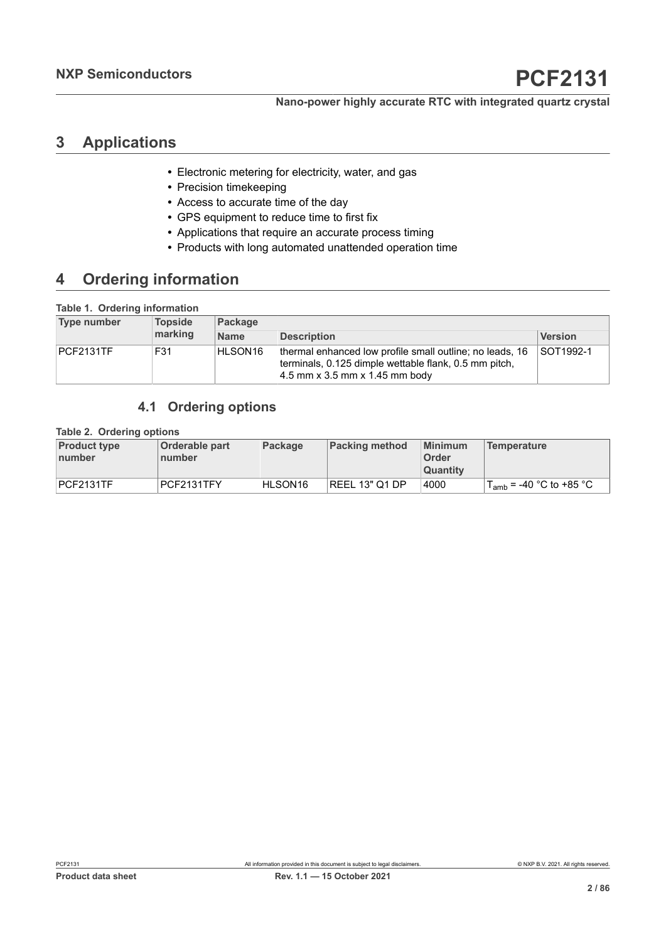## **3 Applications**

- **•** Electronic metering for electricity, water, and gas
- **•** Precision timekeeping
- **•** Access to accurate time of the day
- **•** GPS equipment to reduce time to first fix
- **•** Applications that require an accurate process timing
- **•** Products with long automated unattended operation time

## **4 Ordering information**

#### **Table 1. Ordering information**

| <b>Type number</b> | <b>Topside</b><br>marking | Package     |                                                                                                                                                       |                |  |  |  |  |
|--------------------|---------------------------|-------------|-------------------------------------------------------------------------------------------------------------------------------------------------------|----------------|--|--|--|--|
|                    |                           | <b>Name</b> | <b>Description</b>                                                                                                                                    | <b>Version</b> |  |  |  |  |
| PCF2131TF          | F31                       | HLSON16     | thermal enhanced low profile small outline; no leads, 16<br>terminals, 0.125 dimple wettable flank, 0.5 mm pitch,<br>$4.5$ mm x 3.5 mm x 1.45 mm body | SOT1992-1      |  |  |  |  |

### **4.1 Ordering options**

#### **Table 2. Ordering options**

| <b>Product type</b><br>number | <b>Orderable part</b><br>number | Package             | Packing method        | <b>Minimum</b><br>Order<br><b>Quantity</b> | Temperature                  |
|-------------------------------|---------------------------------|---------------------|-----------------------|--------------------------------------------|------------------------------|
| PCF2131TF                     | PCF2131TFY                      | HLSON <sub>16</sub> | <b>REEL 13" Q1 DP</b> | 4000                                       | $T_{amb}$ = -40 °C to +85 °C |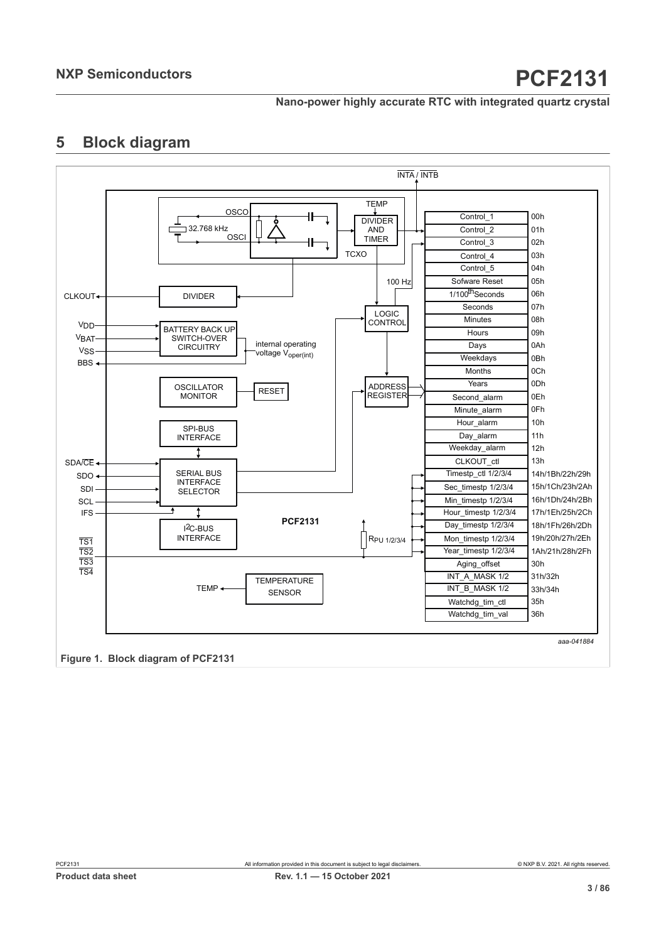## **5 Block diagram**



**Figure 1. Block diagram of PCF2131**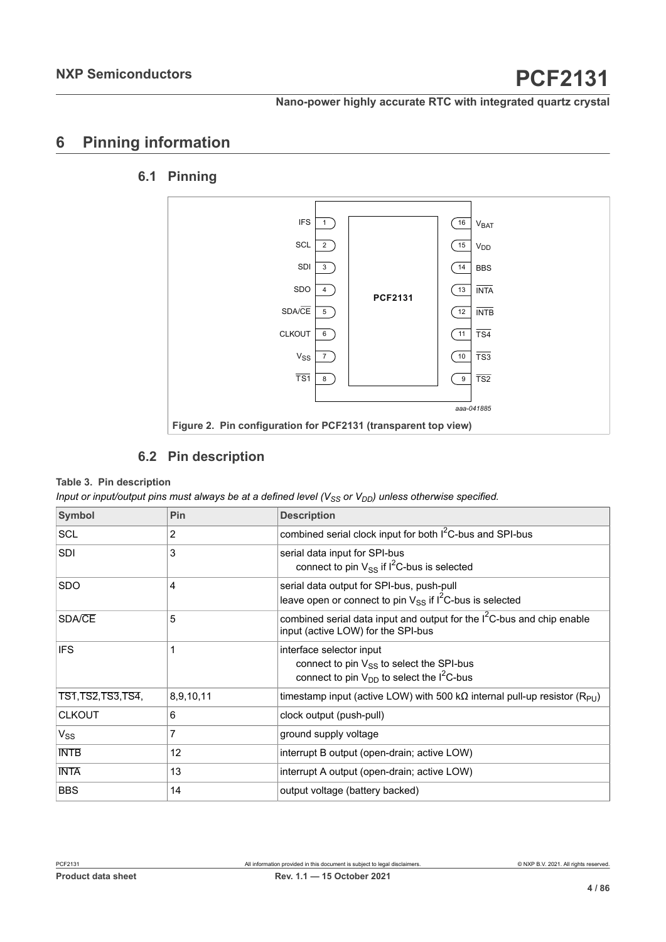## **6 Pinning information**

## **6.1 Pinning**



#### **6.2 Pin description**

#### **Table 3. Pin description**

*Input or input/output pins must always be at a defined level (V<sub>SS</sub> or V<sub>DD</sub>) unless otherwise specified.* 

| <b>Symbol</b>              | <b>Pin</b> | <b>Description</b>                                                                                                                    |
|----------------------------|------------|---------------------------------------------------------------------------------------------------------------------------------------|
| <b>SCL</b>                 | 2          | combined serial clock input for both I <sup>2</sup> C-bus and SPI-bus                                                                 |
| <b>SDI</b>                 | 3          | serial data input for SPI-bus<br>connect to pin $V_{SS}$ if $I^2C$ -bus is selected                                                   |
| <b>SDO</b>                 | 4          | serial data output for SPI-bus, push-pull<br>leave open or connect to pin $V_{SS}$ if $I^2C$ -bus is selected                         |
| SDA/CE                     | 5          | combined serial data input and output for the $I2C$ -bus and chip enable<br>input (active LOW) for the SPI-bus                        |
| <b>IFS</b>                 |            | interface selector input<br>connect to pin V <sub>SS</sub> to select the SPI-bus<br>connect to pin $V_{DD}$ to select the $I^2C$ -bus |
| TS1, TS2, TS3, TS4,        | 8,9,10,11  | timestamp input (active LOW) with 500 k $\Omega$ internal pull-up resistor (R <sub>PU</sub> )                                         |
| <b>CLKOUT</b>              | 6          | clock output (push-pull)                                                                                                              |
| $\mathsf{V}_{\mathsf{SS}}$ | 7          | ground supply voltage                                                                                                                 |
| <b>INTB</b>                | 12         | interrupt B output (open-drain; active LOW)                                                                                           |
| <b>INTA</b>                | 13         | interrupt A output (open-drain; active LOW)                                                                                           |
| <b>BBS</b>                 | 14         | output voltage (battery backed)                                                                                                       |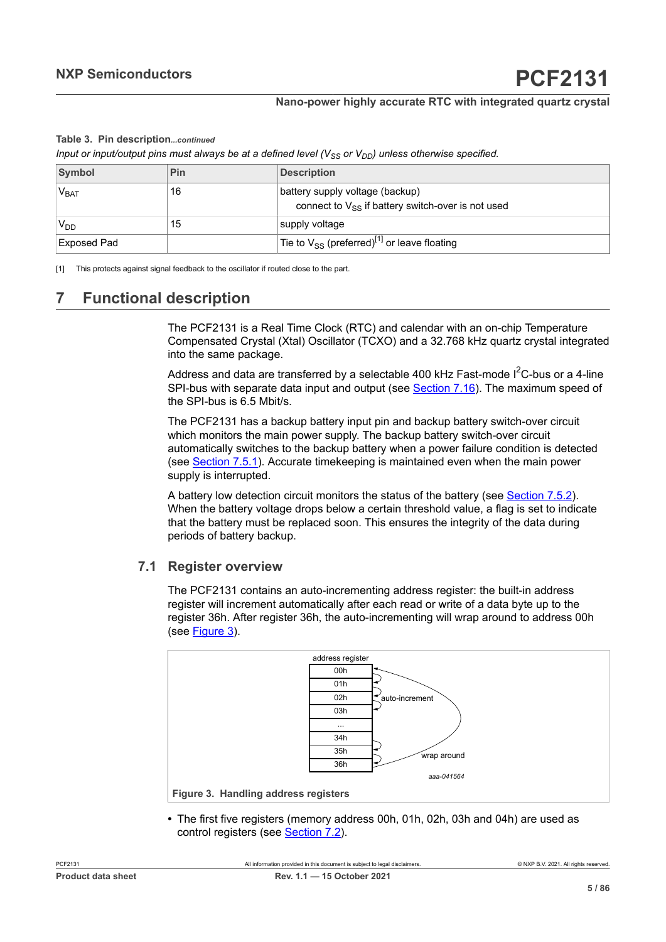#### <span id="page-4-0"></span>**Table 3. Pin description***...continued*

*Input or input/output pins must always be at a defined level (V<sub>SS</sub> or V<sub>DD</sub>) unless otherwise specified.* 

| Symbol            | Pin | <b>Description</b>                                                                        |
|-------------------|-----|-------------------------------------------------------------------------------------------|
| 'V <sub>BAT</sub> | 16  | battery supply voltage (backup)<br>connect to $V_{SS}$ if battery switch-over is not used |
| V <sub>DD</sub>   | 15  | supply voltage                                                                            |
| Exposed Pad       |     | Tie to $V_{SS}$ (preferred) <sup>[1]</sup> or leave floating                              |

[1] This protects against signal feedback to the oscillator if routed close to the part.

## **7 Functional description**

The PCF2131 is a Real Time Clock (RTC) and calendar with an on-chip Temperature Compensated Crystal (Xtal) Oscillator (TCXO) and a 32.768 kHz quartz crystal integrated into the same package.

Address and data are transferred by a selectable 400 kHz Fast-mode  $1^2C$ -bus or a 4-line SPI-bus with separate data input and output (see [Section 7.16\)](#page-51-0). The maximum speed of the SPI-bus is 6.5 Mbit/s.

The PCF2131 has a backup battery input pin and backup battery switch-over circuit which monitors the main power supply. The backup battery switch-over circuit automatically switches to the backup battery when a power failure condition is detected (see [Section 7.5.1\)](#page-17-0). Accurate timekeeping is maintained even when the main power supply is interrupted.

A battery low detection circuit monitors the status of the battery (see [Section 7.5.2\)](#page-19-0). When the battery voltage drops below a certain threshold value, a flag is set to indicate that the battery must be replaced soon. This ensures the integrity of the data during periods of battery backup.

### **7.1 Register overview**

The PCF2131 contains an auto-incrementing address register: the built-in address register will increment automatically after each read or write of a data byte up to the register 36h. After register 36h, the auto-incrementing will wrap around to address 00h (see [Figure 3\)](#page-4-1).

<span id="page-4-1"></span>

**•** The first five registers (memory address 00h, 01h, 02h, 03h and 04h) are used as control registers (see **[Section 7.2\)](#page-9-0)**.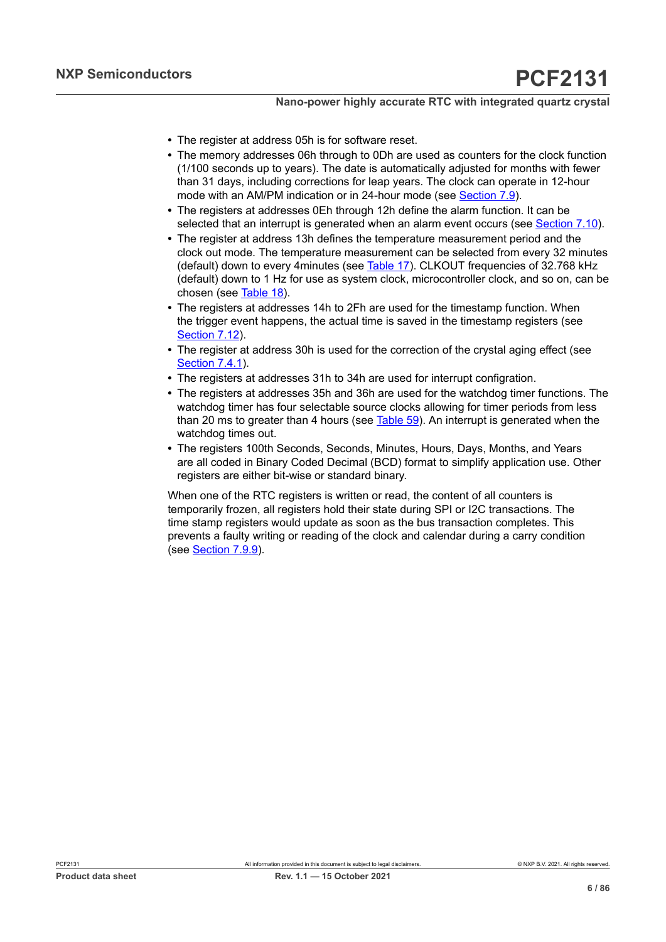- **•** The register at address 05h is for software reset.
- **•** The memory addresses 06h through to 0Dh are used as counters for the clock function (1/100 seconds up to years). The date is automatically adjusted for months with fewer than 31 days, including corrections for leap years. The clock can operate in 12-hour mode with an AM/PM indication or in 24-hour mode (see [Section 7.9\)](#page-25-0).
- **•** The registers at addresses 0Eh through 12h define the alarm function. It can be selected that an interrupt is generated when an alarm event occurs (see [Section 7.10\)](#page-32-0).
- **•** The register at address 13h defines the temperature measurement period and the clock out mode. The temperature measurement can be selected from every 32 minutes (default) down to every 4minutes (see [Table](#page-14-0) 17). CLKOUT frequencies of 32.768 kHz (default) down to 1 Hz for use as system clock, microcontroller clock, and so on, can be chosen (see [Table](#page-15-0) 18).
- **•** The registers at addresses 14h to 2Fh are used for the timestamp function. When the trigger event happens, the actual time is saved in the timestamp registers (see [Section 7.12](#page-39-0)).
- **•** The register at address 30h is used for the correction of the crystal aging effect (see [Section 7.4.1\)](#page-15-1).
- **•** The registers at addresses 31h to 34h are used for interrupt configration.
- **•** The registers at addresses 35h and 36h are used for the watchdog timer functions. The watchdog timer has four selectable source clocks allowing for timer periods from less than 20 ms to greater than 4 hours (see [Table](#page-37-0) 59). An interrupt is generated when the watchdog times out.
- **•** The registers 100th Seconds, Seconds, Minutes, Hours, Days, Months, and Years are all coded in Binary Coded Decimal (BCD) format to simplify application use. Other registers are either bit-wise or standard binary.

When one of the RTC registers is written or read, the content of all counters is temporarily frozen, all registers hold their state during SPI or I2C transactions. The time stamp registers would update as soon as the bus transaction completes. This prevents a faulty writing or reading of the clock and calendar during a carry condition (see [Section 7.9.9\)](#page-30-0).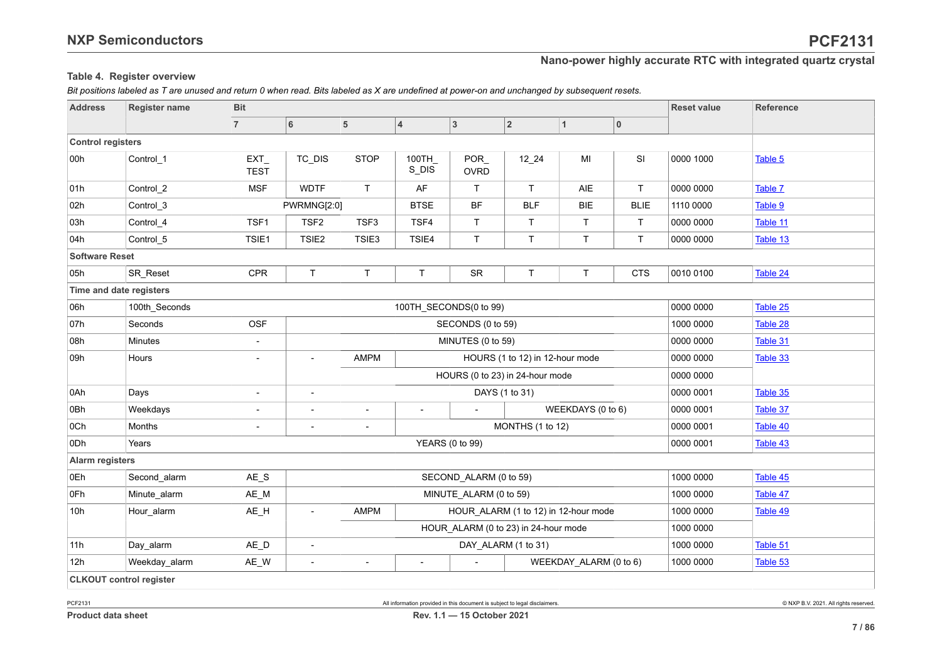#### **Table 4. Register overview**

*Bit positions labeled as T are unused and return 0 when read. Bits labeled as X are undefined at power-on and unchanged by subsequent resets.*

<span id="page-6-0"></span>

| <b>Address</b>           | <b>Register name</b>           | <b>Bit</b>                | <b>Reset value</b>       |                          |                                                   |                                      |                                 |                        |              |           | <b>Reference</b> |
|--------------------------|--------------------------------|---------------------------|--------------------------|--------------------------|---------------------------------------------------|--------------------------------------|---------------------------------|------------------------|--------------|-----------|------------------|
|                          |                                | $\overline{7}$            | $\bf 6$                  | $5\phantom{.0}$          | $\overline{4}$                                    | $\sqrt{3}$                           | $\overline{2}$                  | $\overline{1}$         | 0            |           |                  |
| <b>Control registers</b> |                                |                           |                          |                          |                                                   |                                      |                                 |                        |              |           |                  |
| 00h                      | Control 1                      | <b>EXT</b><br><b>TEST</b> | TC_DIS                   | <b>STOP</b>              | 100TH<br>S_DIS                                    | POR<br><b>OVRD</b>                   | $12 - 24$                       | MI                     | SI           | 0000 1000 | Table 5          |
| 01h                      | Control 2                      | <b>MSF</b>                | <b>WDTF</b>              | T.                       | AF                                                | T.                                   | T.                              | AIE                    | $\mathsf{T}$ | 0000 0000 | Table 7          |
| 02h                      | Control 3                      |                           | PWRMNG[2:0]              |                          | <b>BTSE</b>                                       | BF                                   | <b>BLF</b>                      | <b>BIE</b>             | <b>BLIE</b>  | 1110 0000 | Table 9          |
| 03h                      | Control 4                      | TSF <sub>1</sub>          | TSF <sub>2</sub>         | TSF <sub>3</sub>         | TSF4                                              | T                                    | T.                              | T                      | $\top$       | 0000 0000 | Table 11         |
| 04h                      | Control 5                      | TSIE1                     | TSIE2                    | TSIE3                    | TSIE4                                             | T.                                   | T.                              | $\mathsf{T}$           | $\mathsf{T}$ | 0000 0000 | Table 13         |
| <b>Software Reset</b>    |                                |                           |                          |                          |                                                   |                                      |                                 |                        |              |           |                  |
| 05h                      | SR Reset                       | <b>CPR</b>                | T                        | T                        | $\top$                                            | SR                                   | T                               | T                      | <b>CTS</b>   | 0010 0100 | Table 24         |
|                          | Time and date registers        |                           |                          |                          |                                                   |                                      |                                 |                        |              |           |                  |
| 06h                      | 100th_Seconds                  |                           |                          |                          |                                                   | 100TH SECONDS(0 to 99)               |                                 |                        |              | 0000 0000 | Table 25         |
| 07h                      | Seconds                        | OSF                       |                          |                          |                                                   | SECONDS (0 to 59)                    |                                 |                        |              | 1000 0000 | Table 28         |
| 08h                      | <b>Minutes</b>                 | $\sim$                    |                          |                          | MINUTES (0 to 59)<br>0000 0000                    |                                      |                                 |                        |              |           | Table 31         |
| 09h                      | Hours                          |                           |                          | AMPM                     |                                                   |                                      | HOURS (1 to 12) in 12-hour mode |                        |              | 0000 0000 | Table 33         |
|                          |                                |                           |                          |                          |                                                   |                                      | HOURS (0 to 23) in 24-hour mode |                        |              | 0000 0000 |                  |
| 0Ah                      | Days                           | $\overline{\phantom{a}}$  | $\overline{\phantom{a}}$ |                          |                                                   |                                      | DAYS (1 to 31)                  |                        |              | 0000 0001 | Table 35         |
| 0Bh                      | Weekdays                       |                           | L,                       |                          |                                                   |                                      |                                 | WEEKDAYS (0 to 6)      |              | 0000 0001 | Table 37         |
| 0Ch                      | Months                         |                           | $\blacksquare$           | $\overline{\phantom{a}}$ |                                                   |                                      | MONTHS (1 to 12)                |                        |              | 0000 0001 | Table 40         |
| 0Dh                      | Years                          |                           |                          |                          |                                                   | <b>YEARS (0 to 99)</b>               |                                 |                        |              | 0000 0001 | Table 43         |
| <b>Alarm registers</b>   |                                |                           |                          |                          |                                                   |                                      |                                 |                        |              |           |                  |
| 0Eh                      | Second_alarm                   | AE_S                      |                          |                          |                                                   | SECOND_ALARM (0 to 59)               |                                 |                        |              | 1000 0000 | Table 45         |
| 0Fh                      | Minute_alarm                   | AE_M                      |                          |                          |                                                   | MINUTE ALARM (0 to 59)               |                                 |                        |              | 1000 0000 | Table 47         |
| 10h                      | Hour alarm                     | AE_H                      | $\blacksquare$           | <b>AMPM</b>              | HOUR ALARM (1 to 12) in 12-hour mode<br>1000 0000 |                                      |                                 |                        |              |           | Table 49         |
|                          |                                |                           |                          |                          |                                                   | HOUR_ALARM (0 to 23) in 24-hour mode | 1000 0000                       |                        |              |           |                  |
| 11h                      | Day_alarm                      | AE_D                      | $\overline{\phantom{a}}$ |                          |                                                   |                                      | DAY_ALARM (1 to 31)             |                        |              | 1000 0000 | Table 51         |
| 12h                      | Weekday alarm                  | AE_W                      | $\blacksquare$           | $\blacksquare$           | $\blacksquare$                                    | $\overline{a}$                       |                                 | WEEKDAY ALARM (0 to 6) |              | 1000 0000 | Table 53         |
|                          | <b>CLKOUT control register</b> |                           |                          |                          |                                                   |                                      |                                 |                        |              |           |                  |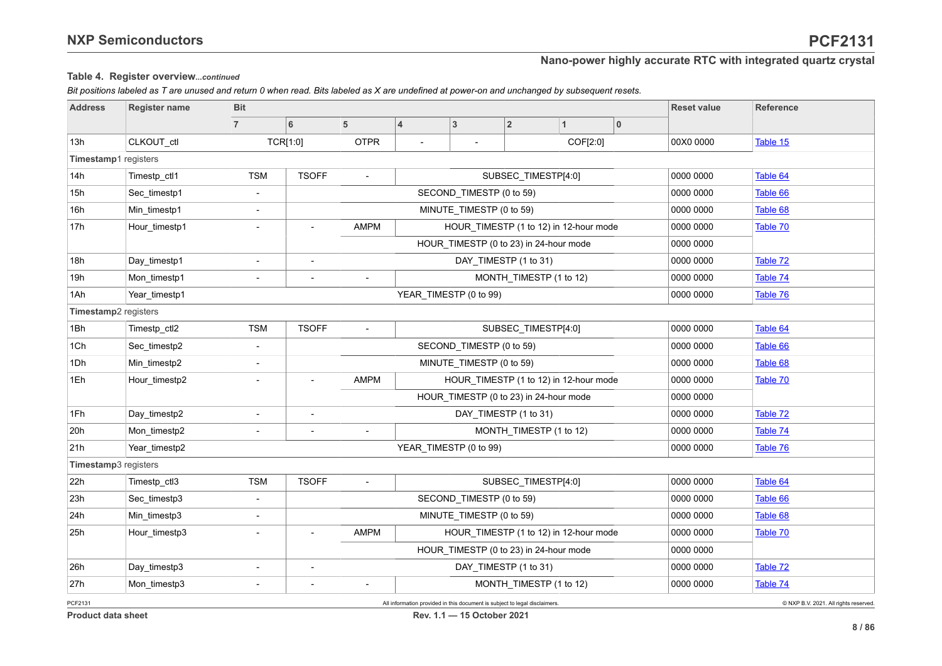#### **Table 4. Register overview***...continued*

*Bit positions labeled as T are unused and return 0 when read. Bits labeled as X are undefined at power-on and unchanged by subsequent resets.*

| <b>Address</b>       | <b>Register name</b> | <b>Bit</b>               |                          |                |                                        |                                                                            |                |                                        |           |           | <b>Reset value</b> | <b>Reference</b>                     |
|----------------------|----------------------|--------------------------|--------------------------|----------------|----------------------------------------|----------------------------------------------------------------------------|----------------|----------------------------------------|-----------|-----------|--------------------|--------------------------------------|
|                      |                      | $\overline{7}$           | $6\phantom{1}$           | 5              | $\overline{4}$                         | $\overline{3}$                                                             | $\overline{2}$ |                                        |           | $\bf{0}$  |                    |                                      |
| 13h                  | CLKOUT_ctl           |                          | TCR[1:0]                 | <b>OTPR</b>    |                                        |                                                                            |                |                                        | COF[2:0]  |           | 00X0 0000          | Table 15                             |
| Timestamp1 registers |                      |                          |                          |                |                                        |                                                                            |                |                                        |           |           |                    |                                      |
| 14h                  | Timestp_ctl1         | <b>TSM</b>               | <b>TSOFF</b>             | $\sim$         |                                        |                                                                            |                | SUBSEC_TIMESTP[4:0]                    |           |           | 0000 0000          | Table 64                             |
| 15h                  | Sec_timestp1         |                          |                          |                |                                        | SECOND_TIMESTP (0 to 59)                                                   |                |                                        |           |           | 0000 0000          | Table 66                             |
| 16h                  | Min_timestp1         | $\blacksquare$           |                          |                |                                        | MINUTE TIMESTP (0 to 59)                                                   |                |                                        |           |           | 0000 0000          | Table 68                             |
| 17h                  | Hour_timestp1        |                          |                          | <b>AMPM</b>    |                                        |                                                                            |                | HOUR TIMESTP (1 to 12) in 12-hour mode |           |           | 0000 0000          | Table 70                             |
|                      |                      |                          |                          |                | HOUR TIMESTP (0 to 23) in 24-hour mode |                                                                            |                |                                        |           | 0000 0000 |                    |                                      |
| 18h                  | Day timestp1         |                          |                          |                | DAY_TIMESTP (1 to 31)                  |                                                                            |                |                                        |           | 0000 0000 | Table 72           |                                      |
| 19h                  | Mon timestp1         | $\blacksquare$           | $\sim$                   | $\sim$         |                                        |                                                                            |                | MONTH TIMESTP (1 to 12)                |           |           | 0000 0000          | Table 74                             |
| 1Ah                  | Year_timestp1        |                          |                          |                |                                        | YEAR_TIMESTP (0 to 99)                                                     |                |                                        |           |           | 0000 0000          | Table 76                             |
| Timestamp2 registers |                      |                          |                          |                |                                        |                                                                            |                |                                        |           |           |                    |                                      |
| 1Bh                  | Timestp_ctl2         | <b>TSM</b>               | <b>TSOFF</b>             |                | SUBSEC_TIMESTP[4:0]                    |                                                                            |                |                                        |           | 0000 0000 | Table 64           |                                      |
| 1Ch                  | Sec timestp2         | $\overline{\phantom{a}}$ |                          |                | SECOND TIMESTP (0 to 59)               |                                                                            |                |                                        |           | 0000 0000 | Table 66           |                                      |
| 1Dh                  | Min timestp2         |                          |                          |                | MINUTE TIMESTP (0 to 59)               |                                                                            |                |                                        | 0000 0000 | Table 68  |                    |                                      |
| 1Eh                  | Hour_timestp2        |                          |                          | <b>AMPM</b>    |                                        |                                                                            |                | HOUR TIMESTP (1 to 12) in 12-hour mode |           |           | 0000 0000          | Table 70                             |
|                      |                      |                          |                          |                |                                        | HOUR TIMESTP (0 to 23) in 24-hour mode                                     |                |                                        |           |           | 0000 0000          |                                      |
| 1Fh                  | Day timestp2         | $\overline{a}$           | $\overline{\phantom{a}}$ |                |                                        |                                                                            |                | DAY TIMESTP (1 to 31)                  |           |           | 0000 0000          | Table 72                             |
| 20h                  | Mon timestp2         |                          |                          |                |                                        |                                                                            |                | MONTH_TIMESTP (1 to 12)                |           |           | 0000 0000          | Table 74                             |
| 21h                  | Year timestp2        |                          |                          |                |                                        | YEAR TIMESTP (0 to 99)                                                     |                |                                        |           |           | 0000 0000          | Table 76                             |
| Timestamp3 registers |                      |                          |                          |                |                                        |                                                                            |                |                                        |           |           |                    |                                      |
| 22h                  | Timestp_ctl3         | <b>TSM</b>               | <b>TSOFF</b>             | $\sim$         |                                        |                                                                            |                | SUBSEC TIMESTP[4:0]                    |           |           | 0000 0000          | Table 64                             |
| 23h                  | Sec timestp3         |                          |                          |                |                                        | SECOND TIMESTP (0 to 59)                                                   |                |                                        |           |           | 0000 0000          | Table 66                             |
| 24h                  | Min timestp3         |                          |                          |                |                                        | MINUTE TIMESTP (0 to 59)                                                   |                |                                        |           |           | 0000 0000          | Table 68                             |
| 25h                  | Hour_timestp3        |                          |                          | <b>AMPM</b>    | HOUR TIMESTP (1 to 12) in 12-hour mode |                                                                            |                |                                        | 0000 0000 | Table 70  |                    |                                      |
|                      |                      |                          |                          |                | HOUR_TIMESTP (0 to 23) in 24-hour mode |                                                                            |                |                                        | 0000 0000 |           |                    |                                      |
| 26h                  | Day_timestp3         |                          |                          |                |                                        |                                                                            |                | DAY_TIMESTP (1 to 31)                  |           |           | 0000 0000          | Table 72                             |
| 27h                  | Mon timestp3         |                          |                          | $\blacksquare$ |                                        |                                                                            |                | MONTH_TIMESTP (1 to 12)                |           |           | 0000 0000          | Table 74                             |
| PCF2131              |                      |                          |                          |                |                                        | All information provided in this document is subject to legal disclaimers. |                |                                        |           |           |                    | @ NXP B.V. 2021. All rights reserved |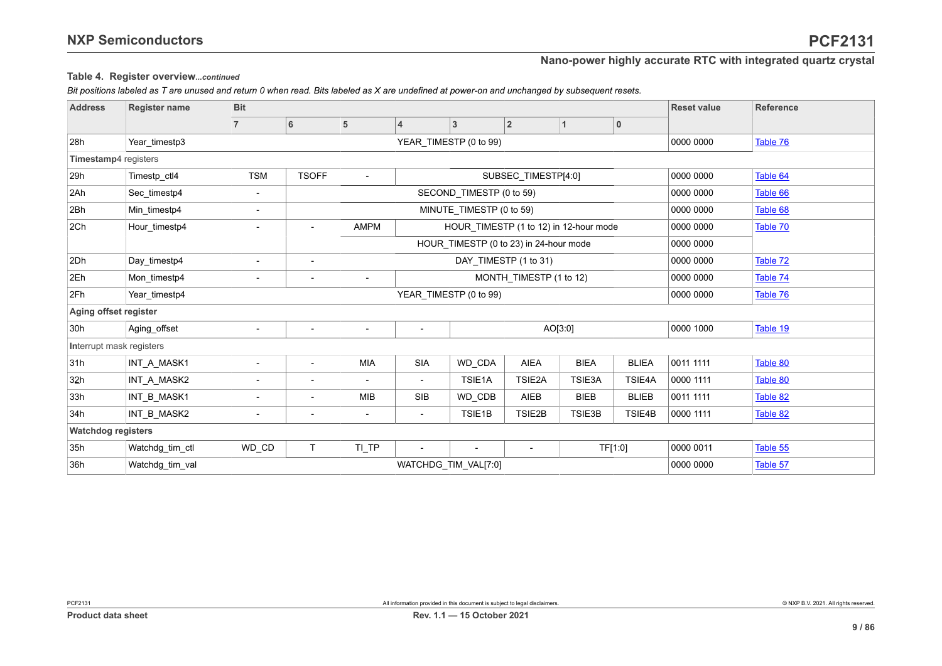#### **Table 4. Register overview***...continued*

*Bit positions labeled as T are unused and return 0 when read. Bits labeled as X are undefined at power-on and unchanged by subsequent resets.*

| <b>Address</b>           | <b>Register name</b> | <b>Bit</b>               |                          |                          |                                                                  |                                        |                       |              |              | <b>Reset value</b> | <b>Reference</b> |
|--------------------------|----------------------|--------------------------|--------------------------|--------------------------|------------------------------------------------------------------|----------------------------------------|-----------------------|--------------|--------------|--------------------|------------------|
|                          |                      | $\overline{7}$           | 6                        | 5                        | 4                                                                | 3                                      | $\overline{2}$        | $\mathbf{1}$ | $\bf{0}$     |                    |                  |
| 28h                      | Year timestp3        |                          |                          |                          |                                                                  | YEAR TIMESTP (0 to 99)                 |                       |              |              | 0000 0000          | Table 76         |
| Timestamp4 registers     |                      |                          |                          |                          |                                                                  |                                        |                       |              |              |                    |                  |
| 29h                      | Timestp_ctl4         | <b>TSM</b>               | <b>TSOFF</b>             | $\overline{\phantom{a}}$ |                                                                  |                                        | SUBSEC_TIMESTP[4:0]   |              |              | 0000 0000          | Table 64         |
| 2Ah                      | Sec_timestp4         | $\blacksquare$           |                          |                          |                                                                  | SECOND_TIMESTP (0 to 59)               |                       |              |              | 0000 0000          | Table 66         |
| 2Bh                      | Min timestp4         | -                        |                          |                          |                                                                  | MINUTE TIMESTP (0 to 59)               |                       |              |              | 0000 0000          | Table 68         |
| 2Ch                      | Hour_timestp4        |                          | $\blacksquare$           | <b>AMPM</b>              |                                                                  | HOUR TIMESTP (1 to 12) in 12-hour mode |                       |              |              | 0000 0000          | Table 70         |
|                          |                      |                          |                          |                          | HOUR TIMESTP (0 to 23) in 24-hour mode                           |                                        |                       |              |              | 0000 0000          |                  |
| 2Dh                      | Day timestp4         | $\blacksquare$           | $\overline{\phantom{a}}$ |                          |                                                                  |                                        | DAY TIMESTP (1 to 31) |              |              | 0000 0000          | Table 72         |
| 2Eh                      | Mon timestp4         | $\overline{\phantom{0}}$ | $\overline{\phantom{a}}$ | $\overline{\phantom{a}}$ | MONTH TIMESTP (1 to 12)                                          |                                        |                       |              |              | 0000 0000          | Table 74         |
| 2Fh                      | Year timestp4        |                          |                          |                          |                                                                  | YEAR TIMESTP (0 to 99)                 |                       |              |              | 0000 0000          | Table 76         |
| Aging offset register    |                      |                          |                          |                          |                                                                  |                                        |                       |              |              |                    |                  |
| 30h                      | Aging_offset         | $\sim$                   | $\overline{\phantom{a}}$ | $\overline{\phantom{a}}$ | $\overline{\phantom{a}}$                                         |                                        |                       | AO[3:0]      |              | 0000 1000          | Table 19         |
| Interrupt mask registers |                      |                          |                          |                          |                                                                  |                                        |                       |              |              |                    |                  |
| 31h                      | INT A MASK1          | $\overline{\phantom{0}}$ | $\overline{\phantom{a}}$ | <b>MIA</b>               | <b>SIA</b>                                                       | WD CDA                                 | <b>AIEA</b>           | <b>BIEA</b>  | <b>BLIEA</b> | 0011 1111          | Table 80         |
| 32h                      | INT_A_MASK2          |                          | $\blacksquare$           |                          | $\overline{\phantom{a}}$                                         | TSIE1A                                 | TSIE2A                | TSIE3A       | TSIE4A       | 0000 1111          | Table 80         |
| 33h                      | INT B MASK1          | $\blacksquare$           | $\blacksquare$           | MIB                      | <b>SIB</b>                                                       | WD CDB                                 | AIEB                  | <b>BIEB</b>  | <b>BLIEB</b> | 0011 1111          | Table 82         |
| 34h                      | INT_B_MASK2          | $\overline{\phantom{a}}$ | $\overline{\phantom{a}}$ | $\overline{\phantom{a}}$ | TSIE4B<br>TSIE1B<br>TSIE2B<br>TSIE3B<br>$\overline{\phantom{a}}$ |                                        |                       |              |              | 0000 1111          | Table 82         |
| Watchdog registers       |                      |                          |                          |                          |                                                                  |                                        |                       |              |              |                    |                  |
| 35h                      | Watchdg_tim_ctl      | WD CD                    | T.                       | TI TP                    |                                                                  |                                        | $\blacksquare$        |              | TF[1:0]      | 0000 0011          | Table 55         |
| 36h                      | Watchdg tim val      |                          |                          |                          |                                                                  | WATCHDG TIM VAL[7:0]                   |                       |              |              | 0000 0000          | Table 57         |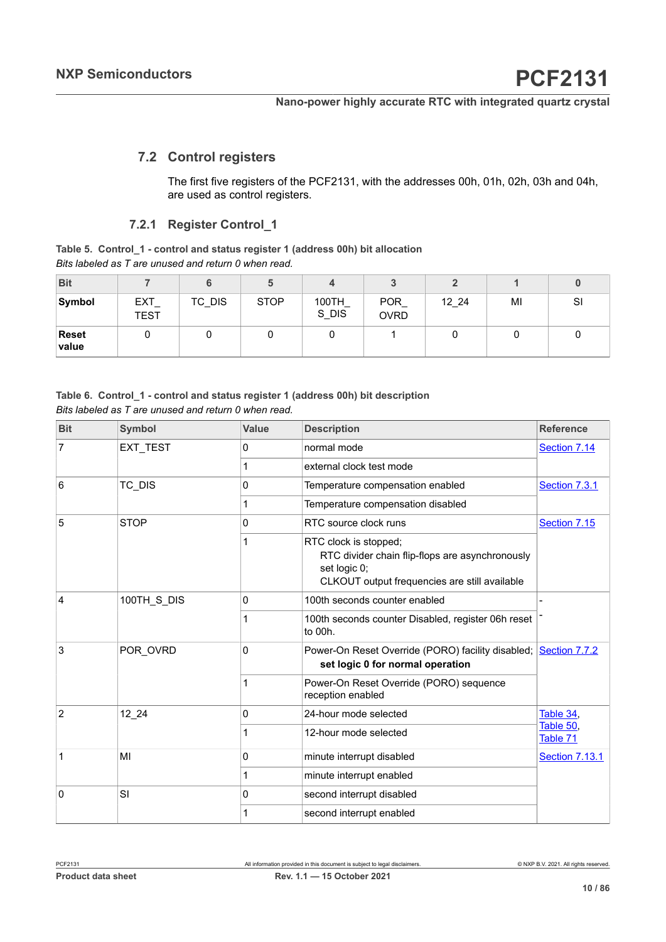## <span id="page-9-1"></span>**7.2 Control registers**

<span id="page-9-0"></span>The first five registers of the PCF2131, with the addresses 00h, 01h, 02h, 03h and 04h, are used as control registers.

#### **7.2.1 Register Control\_1**

*Bits labeled as T are unused and return 0 when read.* **Table 5. Control\_1 - control and status register 1 (address 00h) bit allocation**

| <b>Bit</b>            |                    | 6      |             |                |                           |       |    |    |
|-----------------------|--------------------|--------|-------------|----------------|---------------------------|-------|----|----|
| Symbol                | EXT<br><b>TEST</b> | TC DIS | <b>STOP</b> | 100TH<br>S_DIS | <b>POR</b><br><b>OVRD</b> | 12 24 | MI | SI |
| <b>Reset</b><br>value |                    |        |             |                |                           |       |    |    |

<span id="page-9-2"></span>*Bits labeled as T are unused and return 0 when read.* **Table 6. Control\_1 - control and status register 1 (address 00h) bit description**

| <b>Bit</b>     | <b>Symbol</b> | <b>Value</b>                                                                                                                                        | <b>Description</b>                                                                    | <b>Reference</b>      |  |  |
|----------------|---------------|-----------------------------------------------------------------------------------------------------------------------------------------------------|---------------------------------------------------------------------------------------|-----------------------|--|--|
| 7              | EXT TEST      | 0                                                                                                                                                   | normal mode                                                                           | Section 7.14          |  |  |
|                |               | 1                                                                                                                                                   | external clock test mode                                                              |                       |  |  |
| 6              | TC_DIS        | 0                                                                                                                                                   | Temperature compensation enabled                                                      | Section 7.3.1         |  |  |
|                |               | 1                                                                                                                                                   | Temperature compensation disabled                                                     |                       |  |  |
| 5              | <b>STOP</b>   | RTC source clock runs                                                                                                                               | Section 7.15                                                                          |                       |  |  |
|                |               | 0<br>RTC clock is stopped;<br>1<br>RTC divider chain flip-flops are asynchronously<br>set logic 0;<br>CLKOUT output frequencies are still available |                                                                                       |                       |  |  |
| $\overline{4}$ | 100TH_S_DIS   | 0                                                                                                                                                   | 100th seconds counter enabled                                                         |                       |  |  |
|                |               |                                                                                                                                                     | 100th seconds counter Disabled, register 06h reset<br>to 00h.                         |                       |  |  |
| 3              | POR_OVRD      | 0                                                                                                                                                   | Power-On Reset Override (PORO) facility disabled;<br>set logic 0 for normal operation | Section 7.7.2         |  |  |
|                |               | 1                                                                                                                                                   | Power-On Reset Override (PORO) sequence<br>reception enabled                          |                       |  |  |
| $\overline{2}$ | $12 - 24$     | 0                                                                                                                                                   | 24-hour mode selected                                                                 | Table 34,             |  |  |
|                |               | 1                                                                                                                                                   | 12-hour mode selected                                                                 | Table 50,<br>Table 71 |  |  |
| $\mathbf 1$    | MI            | 0                                                                                                                                                   | minute interrupt disabled                                                             | <b>Section 7.13.1</b> |  |  |
|                |               | 1                                                                                                                                                   | minute interrupt enabled                                                              |                       |  |  |
| $\Omega$       | SI            | 0                                                                                                                                                   | second interrupt disabled                                                             |                       |  |  |
|                |               |                                                                                                                                                     | second interrupt enabled                                                              |                       |  |  |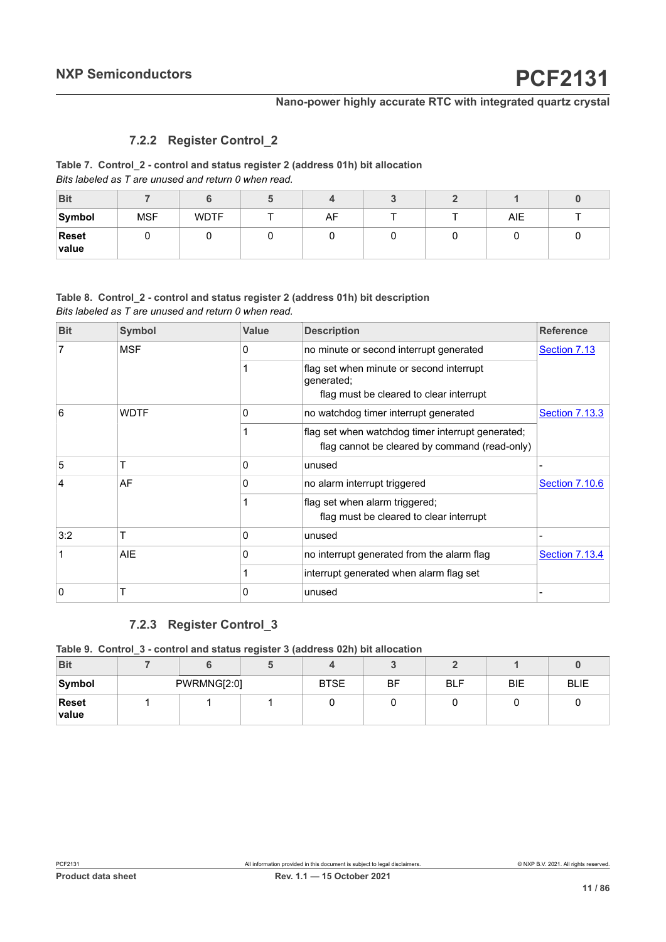#### <span id="page-10-0"></span>**7.2.2 Register Control\_2**

#### *Bits labeled as T are unused and return 0 when read.* **Table 7. Control\_2 - control and status register 2 (address 01h) bit allocation**

| <b>Bit</b>     |            | O           |    |  |     |  |
|----------------|------------|-------------|----|--|-----|--|
| Symbol         | <b>MSF</b> | <b>WDTF</b> | AF |  | AIE |  |
| Reset<br>value |            |             |    |  |     |  |

#### *Bits labeled as T are unused and return 0 when read.* **Table 8. Control\_2 - control and status register 2 (address 01h) bit description**

<span id="page-10-1"></span>

| <b>Bit</b> | Symbol      | Value | <b>Description</b>                                                                                 | <b>Reference</b>      |  |
|------------|-------------|-------|----------------------------------------------------------------------------------------------------|-----------------------|--|
| 7          | <b>MSF</b>  | 0     | no minute or second interrupt generated                                                            | Section 7.13          |  |
|            |             |       | flag set when minute or second interrupt<br>generated;<br>flag must be cleared to clear interrupt  |                       |  |
| 6          | <b>WDTF</b> | 0     | no watchdog timer interrupt generated                                                              | <b>Section 7.13.3</b> |  |
|            |             |       | flag set when watchdog timer interrupt generated;<br>flag cannot be cleared by command (read-only) |                       |  |
| 5          |             | 0     | unused                                                                                             |                       |  |
| 4          | AF          | 0     | no alarm interrupt triggered                                                                       | <b>Section 7.10.6</b> |  |
|            |             |       | flag set when alarm triggered;<br>flag must be cleared to clear interrupt                          |                       |  |
| 3:2        |             | 0     | unused                                                                                             |                       |  |
|            | <b>AIE</b>  | 0     | no interrupt generated from the alarm flag                                                         | <b>Section 7.13.4</b> |  |
|            |             |       | interrupt generated when alarm flag set                                                            |                       |  |
| 0          |             | 0     | unused                                                                                             |                       |  |

#### **7.2.3 Register Control\_3**

**Table 9. Control\_3 - control and status register 3 (address 02h) bit allocation**

| <b>Bit</b>            |             |             |    |            |            |             |
|-----------------------|-------------|-------------|----|------------|------------|-------------|
| Symbol                | PWRMNG[2:0] | <b>BTSE</b> | BF | <b>BLF</b> | <b>BIE</b> | <b>BLIE</b> |
| <b>Reset</b><br>value |             |             |    |            |            |             |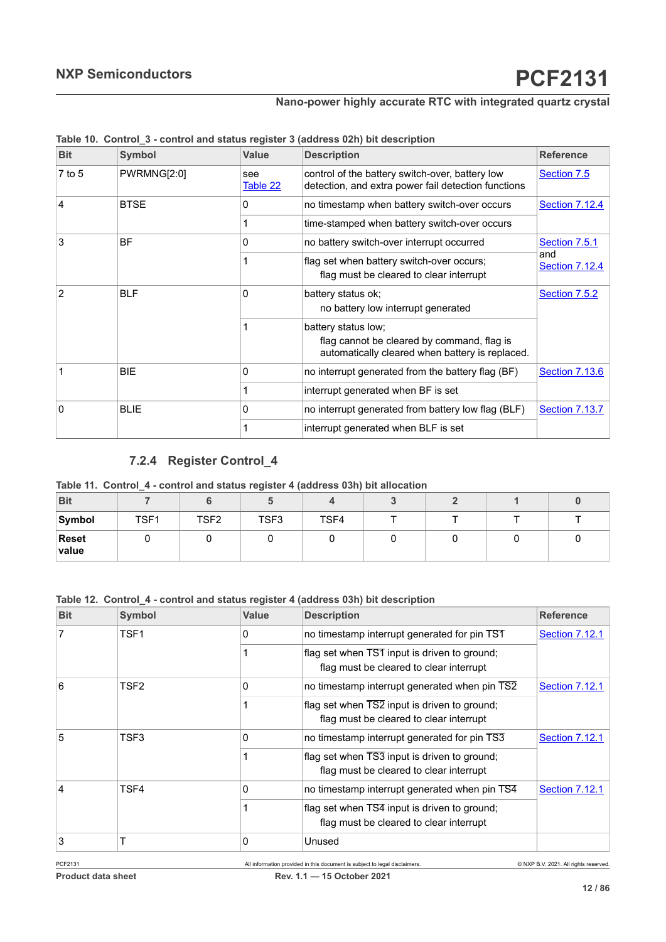<span id="page-11-1"></span><span id="page-11-0"></span>

| <b>Bit</b>     | Symbol      | <b>Value</b>    | <b>Description</b>                                                                                                   | <b>Reference</b>             |
|----------------|-------------|-----------------|----------------------------------------------------------------------------------------------------------------------|------------------------------|
| $7$ to 5       | PWRMNG[2:0] | see<br>Table 22 | control of the battery switch-over, battery low<br>detection, and extra power fail detection functions               | Section 7.5                  |
| $\overline{4}$ | <b>BTSE</b> | 0               | no timestamp when battery switch-over occurs                                                                         | <b>Section 7.12.4</b>        |
|                |             |                 | time-stamped when battery switch-over occurs                                                                         |                              |
| 3              | <b>BF</b>   | 0               | no battery switch-over interrupt occurred                                                                            | Section 7.5.1                |
|                |             |                 | flag set when battery switch-over occurs;<br>flag must be cleared to clear interrupt                                 | and<br><b>Section 7.12.4</b> |
| $\overline{2}$ | <b>BLF</b>  | 0               | battery status ok;<br>no battery low interrupt generated                                                             | Section 7.5.2                |
|                |             |                 | battery status low;<br>flag cannot be cleared by command, flag is<br>automatically cleared when battery is replaced. |                              |
|                | <b>BIE</b>  | 0               | no interrupt generated from the battery flag (BF)                                                                    | Section 7.13.6               |
|                |             |                 | interrupt generated when BF is set                                                                                   |                              |
| 0              | <b>BLIE</b> | 0               | no interrupt generated from battery low flag (BLF)                                                                   | Section 7.13.7               |
|                |             |                 | interrupt generated when BLF is set                                                                                  |                              |

**Table 10. Control\_3 - control and status register 3 (address 02h) bit description**

## **7.2.4 Register Control\_4**

|  |  |  |  | Table 11.  Control_4 - control and status register 4 (address 03h) bit allocation |
|--|--|--|--|-----------------------------------------------------------------------------------|
|--|--|--|--|-----------------------------------------------------------------------------------|

| <b>Bit</b>            |      |                  |                  |      |   |   |  |
|-----------------------|------|------------------|------------------|------|---|---|--|
| Symbol                | TSF1 | TSF <sub>2</sub> | TSF <sub>3</sub> | TSF4 |   |   |  |
| <b>Reset</b><br>value |      |                  |                  |      | ີ | ີ |  |

#### **Table 12. Control\_4 - control and status register 4 (address 03h) bit description**

| <b>Bit</b> | Symbol           | <b>Value</b> | <b>Description</b>                                                                      | <b>Reference</b>      |
|------------|------------------|--------------|-----------------------------------------------------------------------------------------|-----------------------|
| 7          | TSF <sub>1</sub> | 0            | no timestamp interrupt generated for pin TS1                                            | <b>Section 7.12.1</b> |
|            |                  |              | flag set when TS1 input is driven to ground;<br>flag must be cleared to clear interrupt |                       |
| 6          | TSF <sub>2</sub> | 0            | no timestamp interrupt generated when pin TS2                                           | <b>Section 7.12.1</b> |
|            |                  |              | flag set when TS2 input is driven to ground;<br>flag must be cleared to clear interrupt |                       |
| 5          | TSF <sub>3</sub> | 0            | no timestamp interrupt generated for pin TS3                                            | <b>Section 7.12.1</b> |
|            |                  |              | flag set when TS3 input is driven to ground;<br>flag must be cleared to clear interrupt |                       |
| 4          | TSF4             | 0            | no timestamp interrupt generated when pin TS4                                           | <b>Section 7.12.1</b> |
|            |                  |              | flag set when TS4 input is driven to ground;<br>flag must be cleared to clear interrupt |                       |
| 3          |                  | 0            | Unused                                                                                  |                       |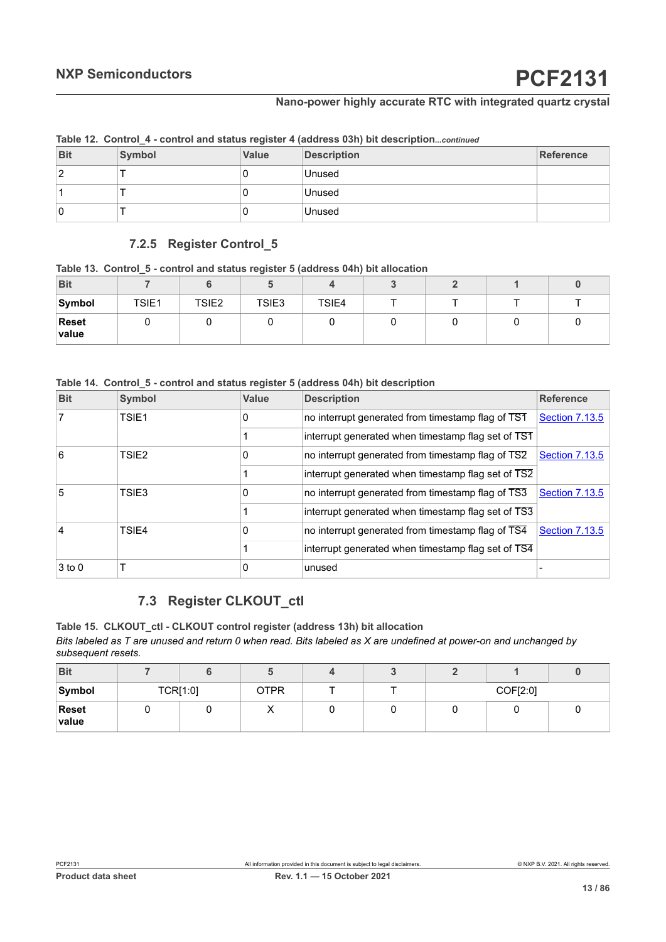| $1400$ material control to the control of the control of the control of the control of the control of the control of the control of the control of the control of the control of the control of the control of the control of |               |              |                    |           |  |  |
|-------------------------------------------------------------------------------------------------------------------------------------------------------------------------------------------------------------------------------|---------------|--------------|--------------------|-----------|--|--|
| <b>Bit</b>                                                                                                                                                                                                                    | <b>Symbol</b> | <b>Value</b> | <b>Description</b> | Reference |  |  |
| ົ                                                                                                                                                                                                                             |               |              | Unused             |           |  |  |
|                                                                                                                                                                                                                               |               |              | Unused             |           |  |  |
| 0                                                                                                                                                                                                                             |               |              | Unused             |           |  |  |

<span id="page-12-0"></span>**Table 12. Control\_4 - control and status register 4 (address 03h) bit description***...continued*

#### <span id="page-12-1"></span>**7.2.5 Register Control\_5**

|  | Table 13. Control_5 - control and status register 5 (address 04h) bit allocation |  |  |
|--|----------------------------------------------------------------------------------|--|--|
|  |                                                                                  |  |  |

| <b>Bit</b>            |       |                   |                   |       |  |  |
|-----------------------|-------|-------------------|-------------------|-------|--|--|
| Symbol                | TSIE1 | TSIE <sub>2</sub> | TSIE <sub>3</sub> | TSIE4 |  |  |
| <b>Reset</b><br>value |       |                   |                   |       |  |  |

#### **Table 14. Control\_5 - control and status register 5 (address 04h) bit description**

| <b>Bit</b>     | <b>Symbol</b>     | <b>Value</b> | <b>Description</b>                                 | <b>Reference</b>      |
|----------------|-------------------|--------------|----------------------------------------------------|-----------------------|
| 7              | TSIE <sub>1</sub> | 0            | no interrupt generated from timestamp flag of TS1  | <b>Section 7.13.5</b> |
|                |                   |              | interrupt generated when timestamp flag set of TS1 |                       |
| 6              | TSIE <sub>2</sub> | 0            | no interrupt generated from timestamp flag of TS2  | <b>Section 7.13.5</b> |
|                |                   |              | interrupt generated when timestamp flag set of TS2 |                       |
| 5              | TSIE3             | 0            | no interrupt generated from timestamp flag of TS3  | <b>Section 7.13.5</b> |
|                |                   |              | interrupt generated when timestamp flag set of TS3 |                       |
| $\overline{4}$ | TSIF4             | 0            | no interrupt generated from timestamp flag of TS4  | <b>Section 7.13.5</b> |
|                |                   |              | interrupt generated when timestamp flag set of TS4 |                       |
| $3$ to 0       |                   | 0            | unused                                             |                       |

## **7.3 Register CLKOUT\_ctl**

*Bits labeled as T are unused and return 0 when read. Bits labeled as X are undefined at power-on and unchanged by subsequent resets.* **Table 15. CLKOUT\_ctl - CLKOUT control register (address 13h) bit allocation**

| <b>Bit</b>            | o        |             |   |   |          |  |
|-----------------------|----------|-------------|---|---|----------|--|
| Symbol                | TCR[1:0] | <b>OTPR</b> |   |   | COF[2:0] |  |
| <b>Reset</b><br>value | v        |             | v | ັ |          |  |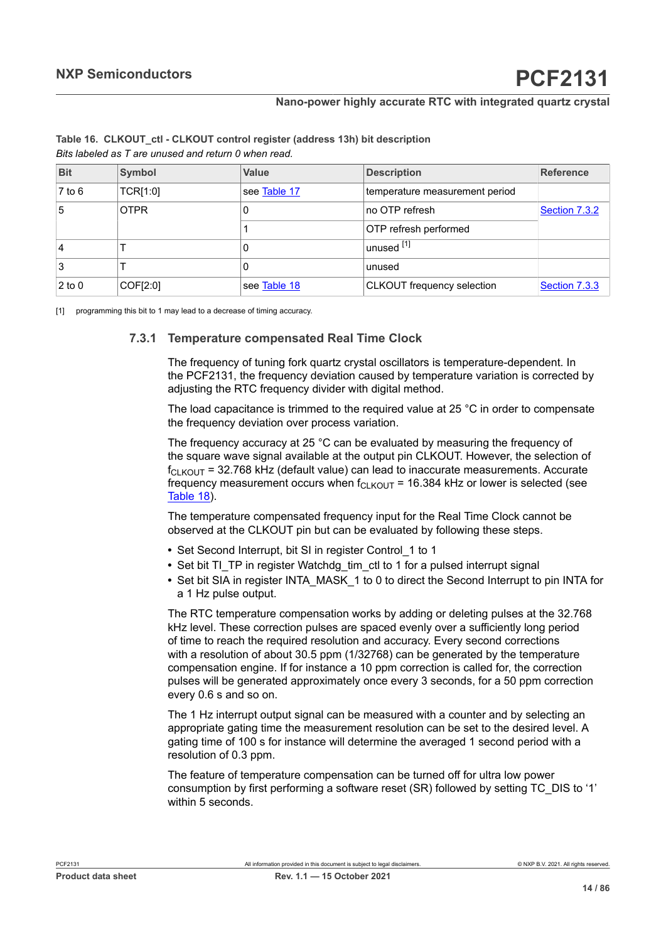| <b>Bit</b>     | Symbol      | <b>Value</b> | <b>Description</b>                | <b>Reference</b>     |
|----------------|-------------|--------------|-----------------------------------|----------------------|
| $7$ to $6$     | TCR[1:0]    | see Table 17 | temperature measurement period    |                      |
| 5              | <b>OTPR</b> | 0            | no OTP refresh                    | <b>Section 7.3.2</b> |
|                |             |              | OTP refresh performed             |                      |
| $\overline{4}$ |             | 0            | unused <sup>[1]</sup>             |                      |
| 3              |             | 0            | unused                            |                      |
| $2$ to 0       | COF[2:0]    | see Table 18 | <b>CLKOUT</b> frequency selection | Section 7.3.3        |

<span id="page-13-1"></span>

|  | Table 16. CLKOUT_ctl - CLKOUT control register (address 13h) bit description |  |  |
|--|------------------------------------------------------------------------------|--|--|
|  | Bits labeled as T are unused and return 0 when read.                         |  |  |

[1] programming this bit to 1 may lead to a decrease of timing accuracy.

#### **7.3.1 Temperature compensated Real Time Clock**

<span id="page-13-0"></span>The frequency of tuning fork quartz crystal oscillators is temperature-dependent. In the PCF2131, the frequency deviation caused by temperature variation is corrected by adjusting the RTC frequency divider with digital method.

The load capacitance is trimmed to the required value at 25 °C in order to compensate the frequency deviation over process variation.

The frequency accuracy at 25 °C can be evaluated by measuring the frequency of the square wave signal available at the output pin CLKOUT. However, the selection of  $f_{CLKOUT}$  = 32.768 kHz (default value) can lead to inaccurate measurements. Accurate frequency measurement occurs when  $f_{CLKOUT}$  = 16.384 kHz or lower is selected (see [Table](#page-15-0) 18).

The temperature compensated frequency input for the Real Time Clock cannot be observed at the CLKOUT pin but can be evaluated by following these steps.

- **•** Set Second Interrupt, bit SI in register Control\_1 to 1
- Set bit TI\_TP in register Watchdg\_tim\_ctl to 1 for a pulsed interrupt signal
- **•** Set bit SIA in register INTA\_MASK\_1 to 0 to direct the Second Interrupt to pin INTA for a 1 Hz pulse output.

The RTC temperature compensation works by adding or deleting pulses at the 32.768 kHz level. These correction pulses are spaced evenly over a sufficiently long period of time to reach the required resolution and accuracy. Every second corrections with a resolution of about 30.5 ppm (1/32768) can be generated by the temperature compensation engine. If for instance a 10 ppm correction is called for, the correction pulses will be generated approximately once every 3 seconds, for a 50 ppm correction every 0.6 s and so on.

The 1 Hz interrupt output signal can be measured with a counter and by selecting an appropriate gating time the measurement resolution can be set to the desired level. A gating time of 100 s for instance will determine the averaged 1 second period with a resolution of 0.3 ppm.

The feature of temperature compensation can be turned off for ultra low power consumption by first performing a software reset (SR) followed by setting TC\_DIS to '1' within 5 seconds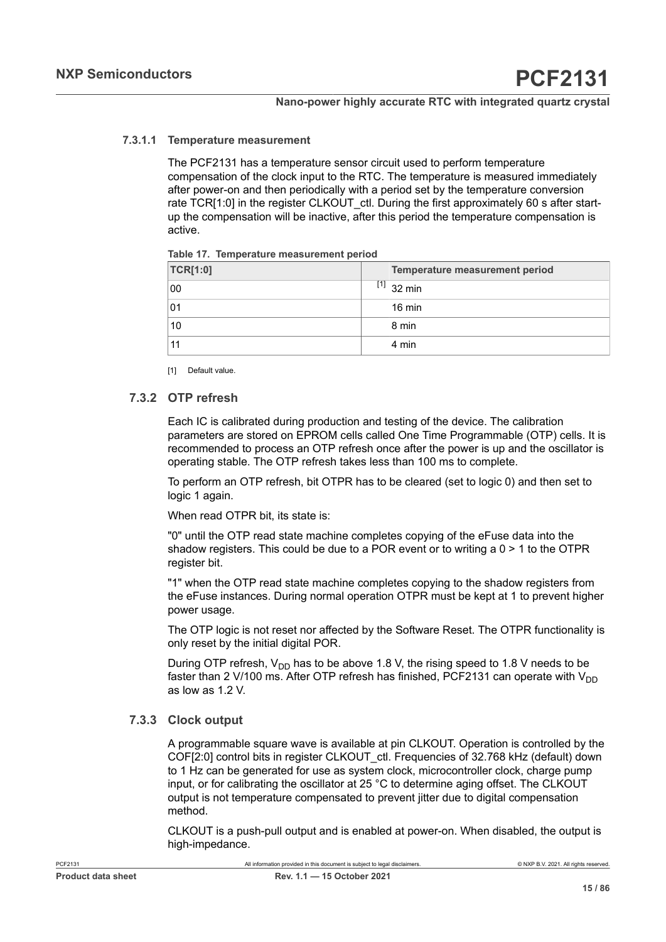#### **7.3.1.1 Temperature measurement**

<span id="page-14-3"></span>The PCF2131 has a temperature sensor circuit used to perform temperature compensation of the clock input to the RTC. The temperature is measured immediately after power-on and then periodically with a period set by the temperature conversion rate TCR[1:0] in the register CLKOUT ctl. During the first approximately 60 s after startup the compensation will be inactive, after this period the temperature compensation is active.

#### <span id="page-14-0"></span>**Table 17. Temperature measurement period**

| <b>TCR[1:0]</b> | Temperature measurement period |
|-----------------|--------------------------------|
| 00              | $[1]$ 32 min                   |
| 01              | 16 min                         |
| 10              | 8 min                          |
| 11              | 4 min                          |

<span id="page-14-1"></span>[1] Default value.

#### **7.3.2 OTP refresh**

Each IC is calibrated during production and testing of the device. The calibration parameters are stored on EPROM cells called One Time Programmable (OTP) cells. It is recommended to process an OTP refresh once after the power is up and the oscillator is operating stable. The OTP refresh takes less than 100 ms to complete.

To perform an OTP refresh, bit OTPR has to be cleared (set to logic 0) and then set to logic 1 again.

When read OTPR bit, its state is:

"0" until the OTP read state machine completes copying of the eFuse data into the shadow registers. This could be due to a POR event or to writing a  $0 > 1$  to the OTPR register bit.

"1" when the OTP read state machine completes copying to the shadow registers from the eFuse instances. During normal operation OTPR must be kept at 1 to prevent higher power usage.

The OTP logic is not reset nor affected by the Software Reset. The OTPR functionality is only reset by the initial digital POR.

During OTP refresh,  $V_{DD}$  has to be above 1.8 V, the rising speed to 1.8 V needs to be faster than 2 V/100 ms. After OTP refresh has finished, PCF2131 can operate with  $V_{DD}$ as low as 1.2 V.

#### **7.3.3 Clock output**

<span id="page-14-2"></span>A programmable square wave is available at pin CLKOUT. Operation is controlled by the COF[2:0] control bits in register CLKOUT\_ctl. Frequencies of 32.768 kHz (default) down to 1 Hz can be generated for use as system clock, microcontroller clock, charge pump input, or for calibrating the oscillator at 25 °C to determine aging offset. The CLKOUT output is not temperature compensated to prevent jitter due to digital compensation method.

CLKOUT is a push-pull output and is enabled at power-on. When disabled, the output is high-impedance.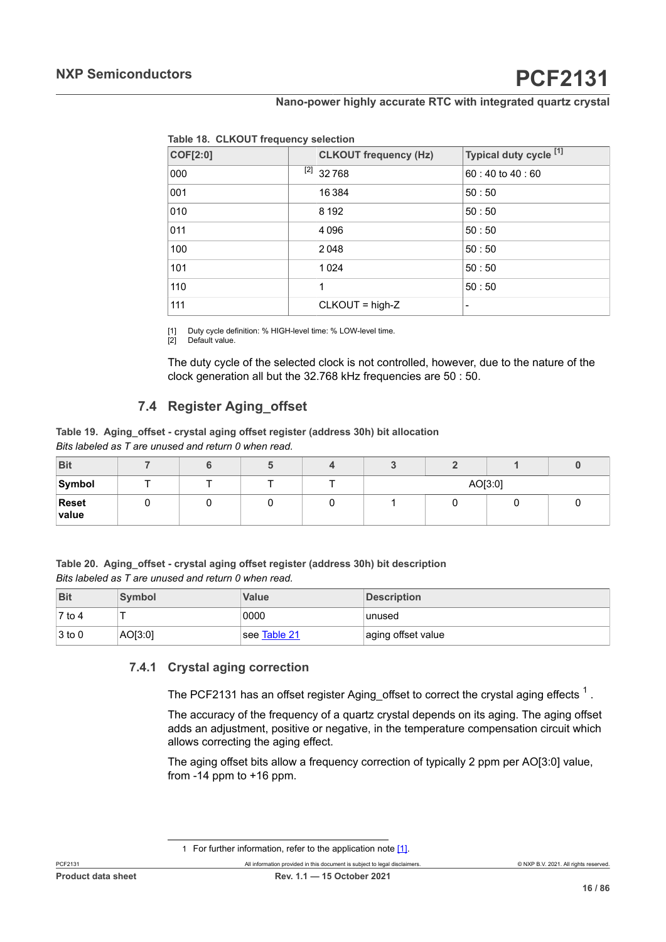<span id="page-15-0"></span>

<span id="page-15-3"></span><span id="page-15-2"></span>

| <b>COF[2:0]</b> |     | <b>CLKOUT frequency (Hz)</b> | Typical duty cycle <sup>[1]</sup> |
|-----------------|-----|------------------------------|-----------------------------------|
| 000             | [2] | 32768                        | 60:40 to 40:60                    |
| 001             |     | 16384                        | 50:50                             |
| 010             |     | 8 1 9 2                      | 50:50                             |
| 011             |     | 4096                         | 50:50                             |
| 100             |     | 2048                         | 50:50                             |
| 101             |     | 1024                         | 50:50                             |
| 110             |     | 1                            | 50:50                             |
| 111             |     | $CLKOUT = high-Z$            |                                   |

[1] Duty cycle definition: % HIGH-level time: % LOW-level time.

[2] Default value.

The duty cycle of the selected clock is not controlled, however, due to the nature of the clock generation all but the 32.768 kHz frequencies are 50 : 50.

## **7.4 Register Aging\_offset**

*Bits labeled as T are unused and return 0 when read.* **Table 19. Aging\_offset - crystal aging offset register (address 30h) bit allocation**

| <b>Bit</b>     |  |  |         |  |  |  |
|----------------|--|--|---------|--|--|--|
| Symbol         |  |  | AO[3:0] |  |  |  |
| Reset<br>value |  |  |         |  |  |  |

#### *Bits labeled as T are unused and return 0 when read.* **Table 20. Aging\_offset - crystal aging offset register (address 30h) bit description**

| <b>Bit</b>          | Symbol  | <b>Value</b> | <b>Description</b> |
|---------------------|---------|--------------|--------------------|
| $\overline{7}$ to 4 |         | 0000         | unused             |
| $ 3 \text{ to } 0$  | AO[3:0] | see Table 21 | aging offset value |

#### **7.4.1 Crystal aging correction**

<span id="page-15-1"></span>The PCF2[1](#page-15-4)31 has an offset register Aging\_offset to correct the crystal aging effects  $^{\text{1}}$  .

The accuracy of the frequency of a quartz crystal depends on its aging. The aging offset adds an adjustment, positive or negative, in the temperature compensation circuit which allows correcting the aging effect.

The aging offset bits allow a frequency correction of typically 2 ppm per AO[3:0] value, from -14 ppm to +16 ppm.

<span id="page-15-4"></span><sup>1</sup> For further information, refer to the application note [\[1\]](#page-77-0).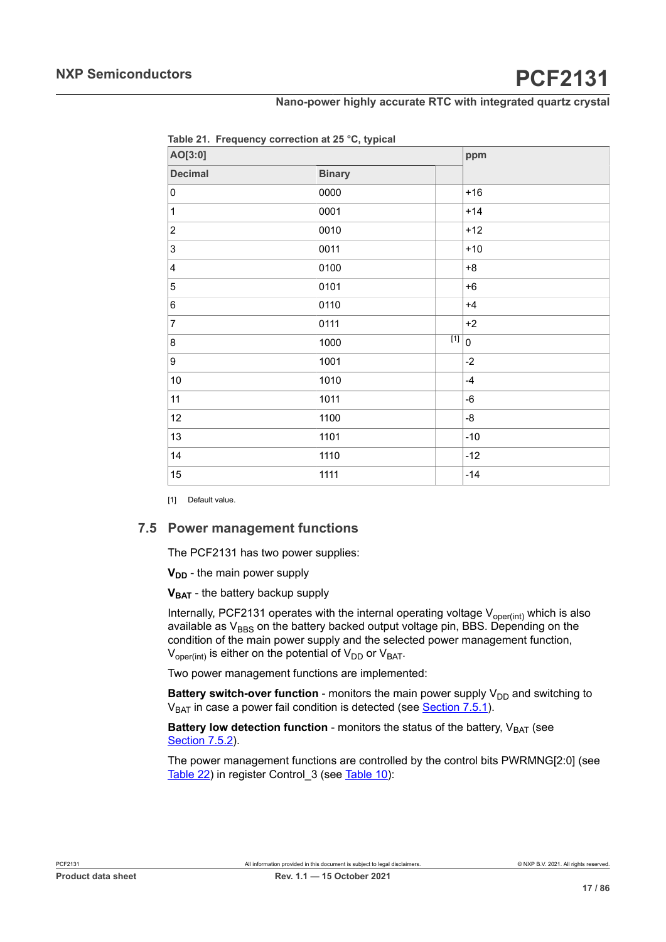| AO[3:0]                 |               |                    | ppm   |  |
|-------------------------|---------------|--------------------|-------|--|
| <b>Decimal</b>          | <b>Binary</b> |                    |       |  |
| 0                       | 0000          |                    | $+16$ |  |
| $\mathbf 1$             | 0001          |                    | $+14$ |  |
| $\overline{2}$          | 0010          |                    | $+12$ |  |
| $\mathbf{3}$            | 0011          |                    | $+10$ |  |
| $\overline{\mathbf{4}}$ | 0100          |                    | $+8$  |  |
| $\mathbf 5$             | 0101          |                    | $+6$  |  |
| 6                       | 0110          |                    | $+4$  |  |
| 7                       | 0111          |                    | $+2$  |  |
| 8                       | 1000          | $\overline{[1]}_0$ |       |  |
| 9                       | 1001          |                    | $-2$  |  |
| 10                      | 1010          |                    | $-4$  |  |
| 11                      | 1011          |                    | $-6$  |  |
| 12                      | 1100          |                    | -8    |  |
| 13                      | 1101          |                    | $-10$ |  |
| $14$                    | 1110          |                    | $-12$ |  |
| 15                      | 1111          |                    | $-14$ |  |

<span id="page-16-1"></span>**Table 21. Frequency correction at 25 °C, typical**

<span id="page-16-0"></span>[1] Default value.

#### **7.5 Power management functions**

The PCF2131 has two power supplies:

**V<sub>DD</sub>** - the main power supply

**V<sub>BAT</sub>** - the battery backup supply

Internally, PCF2131 operates with the internal operating voltage  $V_{\text{oper(int)}}$  which is also available as  $V_{BBS}$  on the battery backed output voltage pin, BBS. Depending on the condition of the main power supply and the selected power management function,  $V_{\text{oper(int)}}$  is either on the potential of  $V_{\text{DD}}$  or  $V_{\text{BAT}}$ .

Two power management functions are implemented:

**Battery switch-over function** - monitors the main power supply  $V_{DD}$  and switching to  $V_{BAT}$  in case a power fail condition is detected (see [Section 7.5.1](#page-17-0)).

**Battery low detection function** - monitors the status of the battery, V<sub>BAT</sub> (see [Section 7.5.2](#page-19-0)).

The power management functions are controlled by the control bits PWRMNG[2:0] (see [Table](#page-11-1) 22) in register Control\_3 (see Table 10):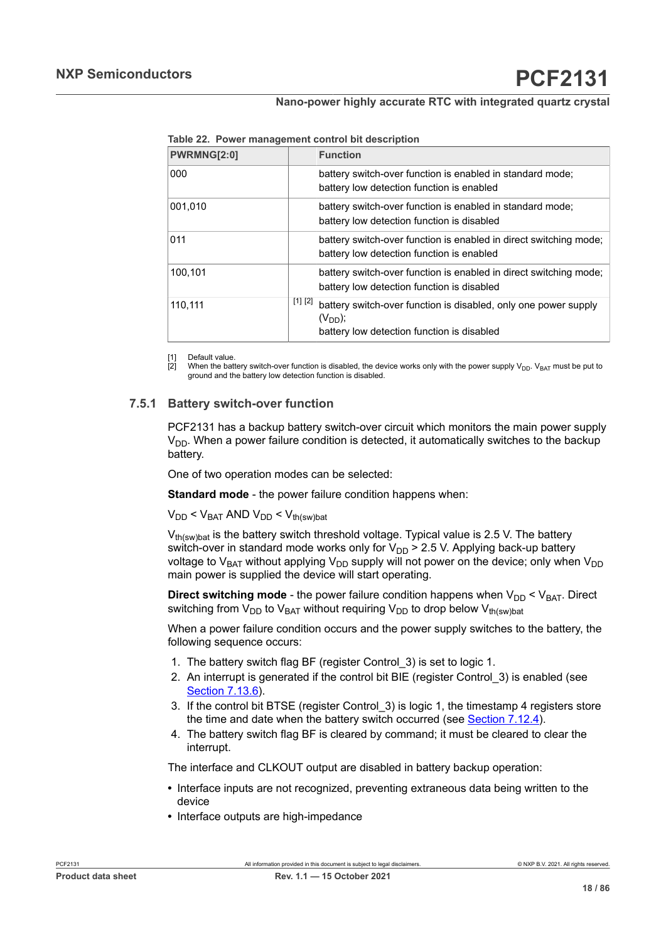<span id="page-17-2"></span>

|                    |         | Table 22. Power management control bit description                                                              |
|--------------------|---------|-----------------------------------------------------------------------------------------------------------------|
| <b>PWRMNG[2:0]</b> |         | <b>Function</b>                                                                                                 |
| 000                |         | battery switch-over function is enabled in standard mode;<br>battery low detection function is enabled          |
| 001,010            |         | battery switch-over function is enabled in standard mode;<br>battery low detection function is disabled         |
| 011                |         | battery switch-over function is enabled in direct switching mode;<br>battery low detection function is enabled  |
| 100.101            |         | battery switch-over function is enabled in direct switching mode;<br>battery low detection function is disabled |
| 110.111            | [1] [2] | battery switch-over function is disabled, only one power supply<br>$(V_{DD})$ ;                                 |

<span id="page-17-1"></span>

[1] Default value

[2] When the battery switch-over function is disabled, the device works only with the power supply  $V_{DD}$ .  $V_{BAT}$  must be put to ground and the battery low detection function is disabled.

battery low detection function is disabled

#### **7.5.1 Battery switch-over function**

<span id="page-17-0"></span>PCF2131 has a backup battery switch-over circuit which monitors the main power supply  $V_{DD}$ . When a power failure condition is detected, it automatically switches to the backup battery.

One of two operation modes can be selected:

**Standard mode** - the power failure condition happens when:

 $V_{DD}$  <  $V_{BAT}$  AND  $V_{DD}$  <  $V_{th(sw)bat}$ 

 $V_{th(sw)bat}$  is the battery switch threshold voltage. Typical value is 2.5 V. The battery switch-over in standard mode works only for  $V_{DD}$  > 2.5 V. Applying back-up battery voltage to  $V_{BAT}$  without applying  $V_{DD}$  supply will not power on the device; only when  $V_{DD}$ main power is supplied the device will start operating.

**Direct switching mode** - the power failure condition happens when  $V_{DD} < V_{BAT}$ . Direct switching from  $V_{DD}$  to  $V_{BAT}$  without requiring  $V_{DD}$  to drop below  $V_{th(sw)bat}$ 

When a power failure condition occurs and the power supply switches to the battery, the following sequence occurs:

- 1. The battery switch flag BF (register Control\_3) is set to logic 1.
- 2. An interrupt is generated if the control bit BIE (register Control\_3) is enabled (see [Section 7.13.6](#page-47-1)).
- 3. If the control bit BTSE (register Control\_3) is logic 1, the timestamp 4 registers store the time and date when the battery switch occurred (see [Section 7.12.4](#page-43-2)).
- 4. The battery switch flag BF is cleared by command; it must be cleared to clear the interrupt.

The interface and CLKOUT output are disabled in battery backup operation:

- **•** Interface inputs are not recognized, preventing extraneous data being written to the device
- **•** Interface outputs are high-impedance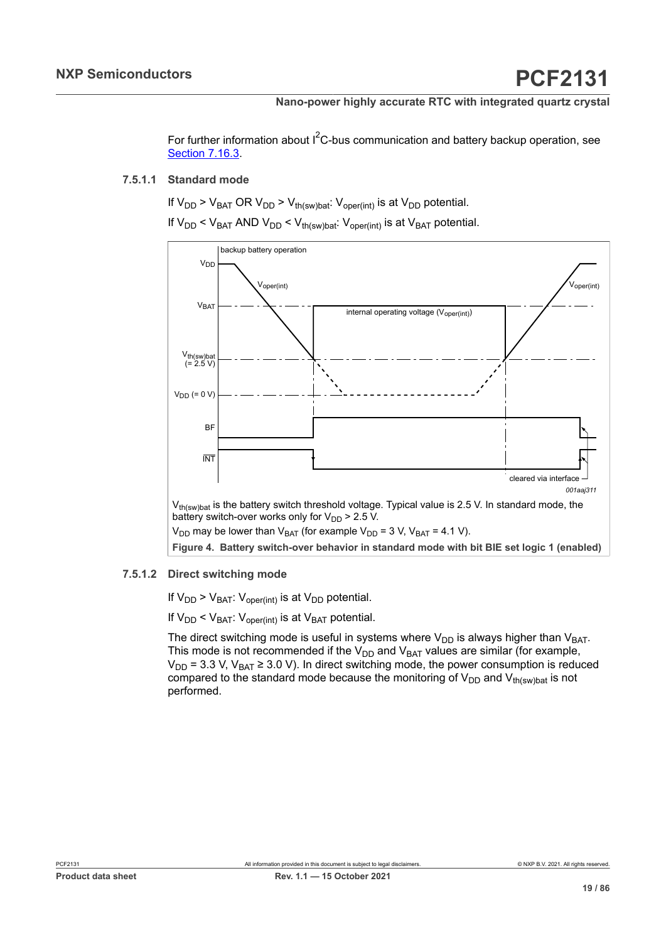For further information about  $1^2$ C-bus communication and battery backup operation, see [Section 7.16.3.](#page-56-0)

#### **7.5.1.1 Standard mode**

If  $V_{DD}$  >  $V_{BAT}$  OR  $V_{DD}$  >  $V_{th(sw)bat}$ :  $V_{oper(int)}$  is at  $V_{DD}$  potential.

If  $V_{DD}$  <  $V_{BAT}$  AND  $V_{DD}$  <  $V_{th(sw)bat}$ :  $V_{oper(int)}$  is at  $V_{BAT}$  potential.



#### **7.5.1.2 Direct switching mode**

If  $V_{DD}$  >  $V_{BAT}$ :  $V_{oper(int)}$  is at  $V_{DD}$  potential.

If  $V_{DD}$  <  $V_{BAT}$ :  $V_{oper(int)}$  is at  $V_{BAT}$  potential.

The direct switching mode is useful in systems where  $V_{DD}$  is always higher than  $V_{BAT}$ . This mode is not recommended if the  $V_{DD}$  and  $V_{BAT}$  values are similar (for example,  $V_{DD}$  = 3.3 V,  $V_{BAT}$  ≥ 3.0 V). In direct switching mode, the power consumption is reduced compared to the standard mode because the monitoring of  $V_{DD}$  and  $V_{th(sw)bat}$  is not performed.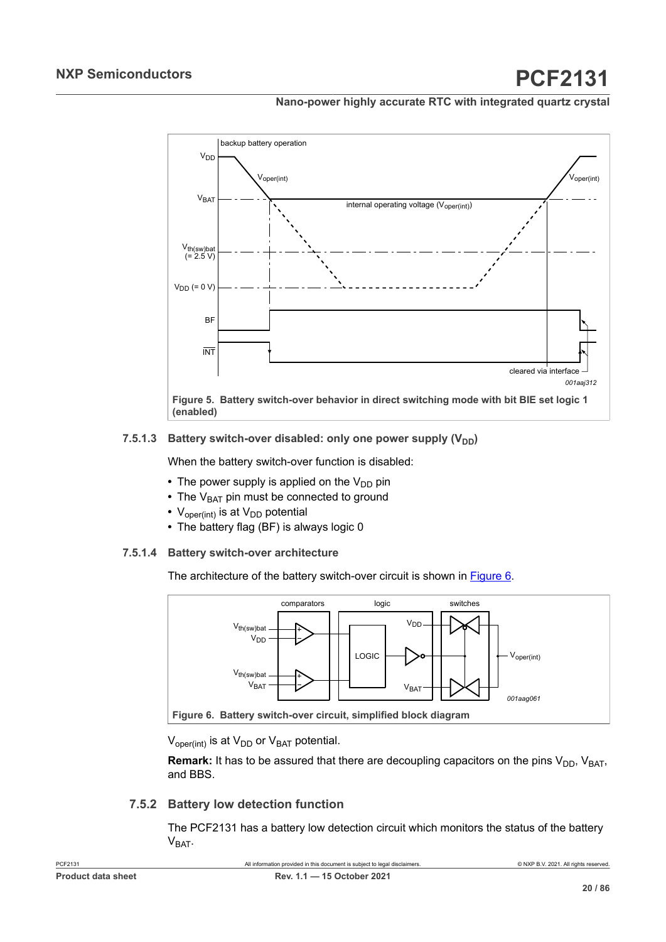

#### **7.5.1.3 Battery switch-over disabled: only one power supply**  $(V_{DD})$

When the battery switch-over function is disabled:

- The power supply is applied on the V<sub>DD</sub> pin
- The V<sub>BAT</sub> pin must be connected to ground
- V<sub>oper(int)</sub> is at V<sub>DD</sub> potential
- **•** The battery flag (BF) is always logic 0

#### **7.5.1.4 Battery switch-over architecture**

The architecture of the battery switch-over circuit is shown in [Figure 6](#page-19-1).

<span id="page-19-1"></span>

 $V_{\text{oper(int)}}$  is at  $V_{\text{DD}}$  or  $V_{\text{BAT}}$  potential.

**Remark:** It has to be assured that there are decoupling capacitors on the pins V<sub>DD</sub>, V<sub>BAT</sub>, and BBS.

#### **7.5.2 Battery low detection function**

<span id="page-19-0"></span>The PCF2131 has a battery low detection circuit which monitors the status of the battery  $V<sub>BAT</sub>$ .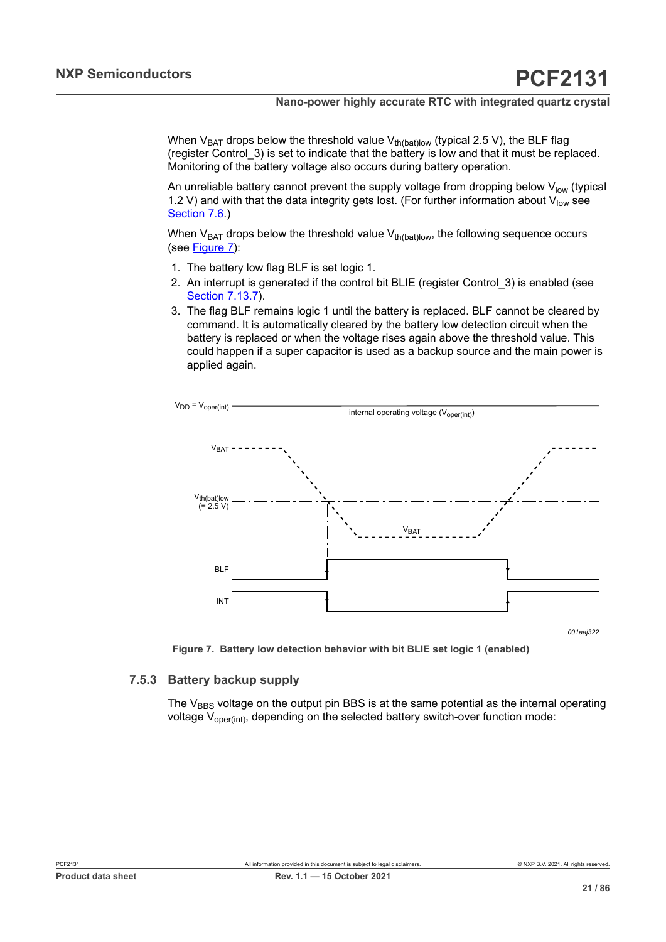When  $V_{BAT}$  drops below the threshold value  $V_{th(bat)low}$  (typical 2.5 V), the BLF flag (register Control\_3) is set to indicate that the battery is low and that it must be replaced. Monitoring of the battery voltage also occurs during battery operation.

An unreliable battery cannot prevent the supply voltage from dropping below  $V_{low}$  (typical 1.2 V) and with that the data integrity gets lost. (For further information about  $V_{low}$  see [Section 7.6.](#page-21-0))

When  $V_{BAT}$  drops below the threshold value  $V_{th(bat)low}$ , the following sequence occurs (see [Figure 7\)](#page-20-0):

- 1. The battery low flag BLF is set logic 1.
- 2. An interrupt is generated if the control bit BLIE (register Control\_3) is enabled (see [Section 7.13.7](#page-47-2)).
- 3. The flag BLF remains logic 1 until the battery is replaced. BLF cannot be cleared by command. It is automatically cleared by the battery low detection circuit when the battery is replaced or when the voltage rises again above the threshold value. This could happen if a super capacitor is used as a backup source and the main power is applied again.

<span id="page-20-0"></span>

#### **7.5.3 Battery backup supply**

The  $V_{\rm BBS}$  voltage on the output pin BBS is at the same potential as the internal operating voltage  $V_{\text{oner(int)}}$ , depending on the selected battery switch-over function mode: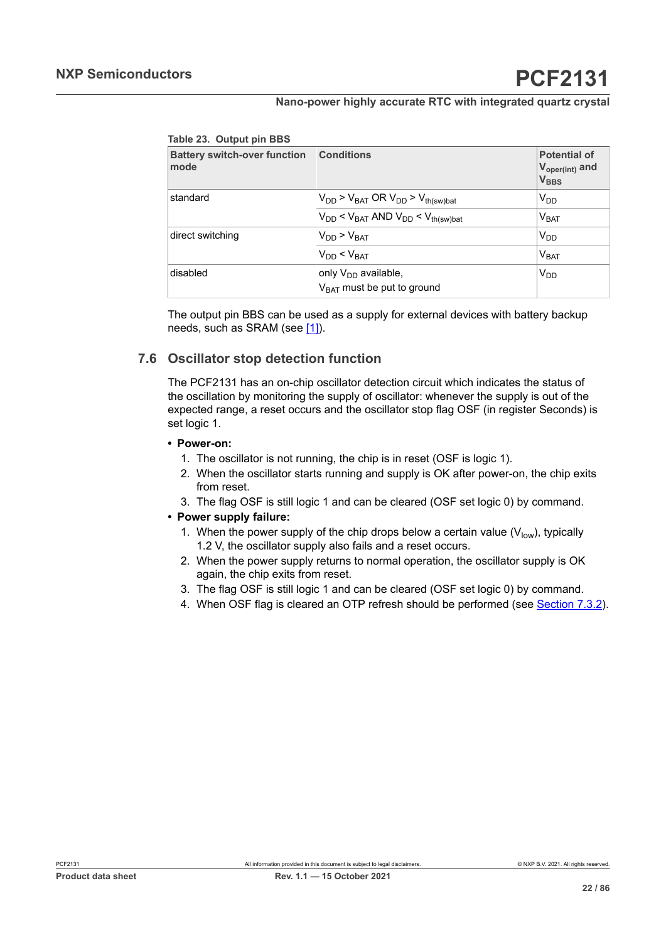**Table 23. Output pin BBS**

| . apic 20. Odipat pili BBO                  |                                                             |                                                                |  |  |  |  |  |  |
|---------------------------------------------|-------------------------------------------------------------|----------------------------------------------------------------|--|--|--|--|--|--|
| <b>Battery switch-over function</b><br>mode | <b>Conditions</b>                                           | <b>Potential of</b><br>$V_{\text{oper(int)}}$ and<br>$V_{BBS}$ |  |  |  |  |  |  |
| standard                                    | $V_{DD}$ > $V_{BAT}$ OR $V_{DD}$ > $V_{th(sw)bat}$          | V <sub>DD</sub>                                                |  |  |  |  |  |  |
|                                             | $V_{DD}$ < $V_{BAT}$ AND $V_{DD}$ < $V_{th(sw)bat}$         | V <sub>BAT</sub>                                               |  |  |  |  |  |  |
| direct switching                            | $V_{DD}$ > $V_{BAT}$                                        | V <sub>DD</sub>                                                |  |  |  |  |  |  |
|                                             | $V_{DD}$ < $V_{BAT}$                                        | V <sub>BAT</sub>                                               |  |  |  |  |  |  |
| disabled                                    | only $V_{DD}$ available,<br>$V_{BAT}$ must be put to ground | $V_{DD}$                                                       |  |  |  |  |  |  |

The output pin BBS can be used as a supply for external devices with battery backup needs, such as SRAM (see [\[1\]\)](#page-77-0).

### **7.6 Oscillator stop detection function**

<span id="page-21-0"></span>The PCF2131 has an on-chip oscillator detection circuit which indicates the status of the oscillation by monitoring the supply of oscillator: whenever the supply is out of the expected range, a reset occurs and the oscillator stop flag OSF (in register Seconds) is set logic 1.

#### **• Power-on:**

- 1. The oscillator is not running, the chip is in reset (OSF is logic 1).
- 2. When the oscillator starts running and supply is OK after power-on, the chip exits from reset.
- 3. The flag OSF is still logic 1 and can be cleared (OSF set logic 0) by command.

#### **• Power supply failure:**

- 1. When the power supply of the chip drops below a certain value  $(V_{low})$ , typically 1.2 V, the oscillator supply also fails and a reset occurs.
- 2. When the power supply returns to normal operation, the oscillator supply is OK again, the chip exits from reset.
- 3. The flag OSF is still logic 1 and can be cleared (OSF set logic 0) by command.
- 4. When OSF flag is cleared an OTP refresh should be performed (see [Section 7.3.2](#page-14-1)).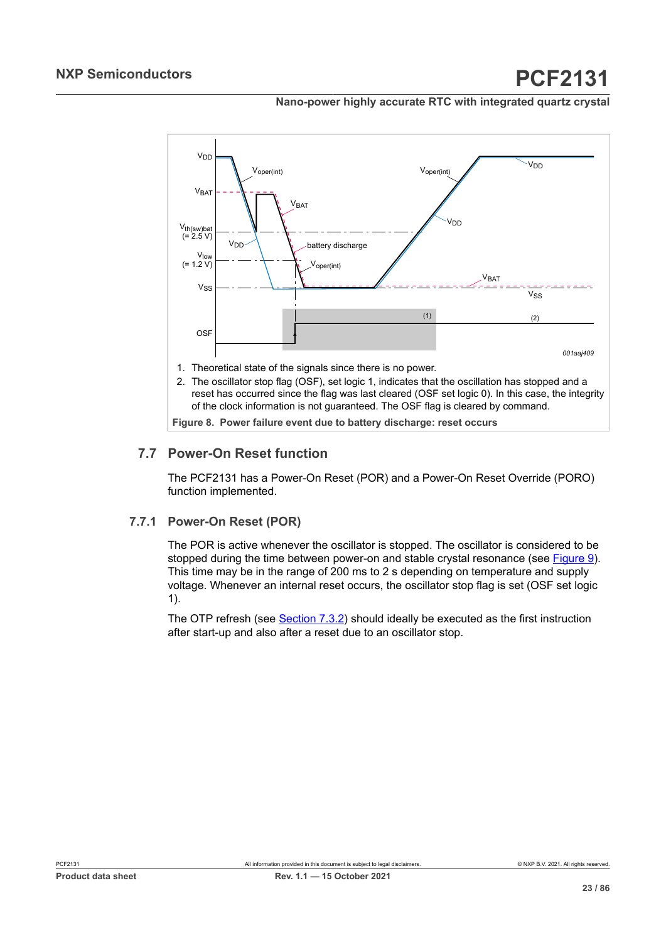

reset has occurred since the flag was last cleared (OSF set logic 0). In this case, the integrity of the clock information is not guaranteed. The OSF flag is cleared by command.

<span id="page-22-0"></span>**Figure 8. Power failure event due to battery discharge: reset occurs**

#### **7.7 Power-On Reset function**

The PCF2131 has a Power-On Reset (POR) and a Power-On Reset Override (PORO) function implemented.

#### **7.7.1 Power-On Reset (POR)**

The POR is active whenever the oscillator is stopped. The oscillator is considered to be stopped during the time between power-on and stable crystal resonance (see [Figure 9](#page-23-1)). This time may be in the range of 200 ms to 2 s depending on temperature and supply voltage. Whenever an internal reset occurs, the oscillator stop flag is set (OSF set logic 1).

The OTP refresh (see [Section 7.3.2\)](#page-14-1) should ideally be executed as the first instruction after start-up and also after a reset due to an oscillator stop.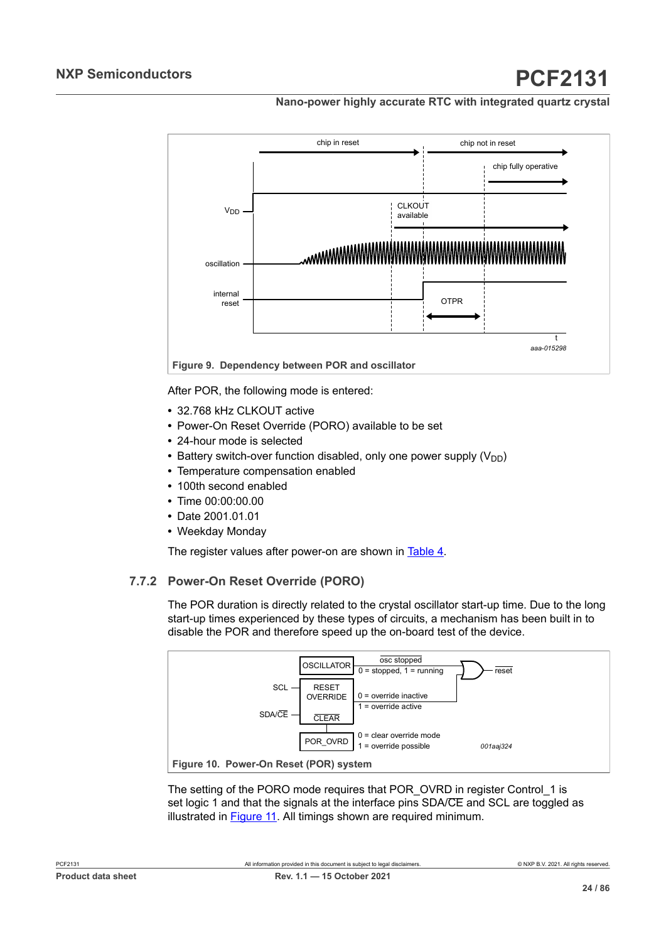<span id="page-23-1"></span>

After POR, the following mode is entered:

- **•** 32.768 kHz CLKOUT active
- **•** Power-On Reset Override (PORO) available to be set
- **•** 24-hour mode is selected
- Battery switch-over function disabled, only one power supply  $(V_{DD})$
- **•** Temperature compensation enabled
- **•** 100th second enabled
- **•** Time 00:00:00.00
- **•** Date 2001.01.01
- **•** Weekday Monday

<span id="page-23-0"></span>The register values after power-on are shown in [Table](#page-6-0) 4.

#### **7.7.2 Power-On Reset Override (PORO)**

The POR duration is directly related to the crystal oscillator start-up time. Due to the long start-up times experienced by these types of circuits, a mechanism has been built in to disable the POR and therefore speed up the on-board test of the device.



The setting of the PORO mode requires that POR OVRD in register Control 1 is set logic 1 and that the signals at the interface pins SDA/CE and SCL are toggled as illustrated in [Figure](#page-24-1) 11. All timings shown are required minimum.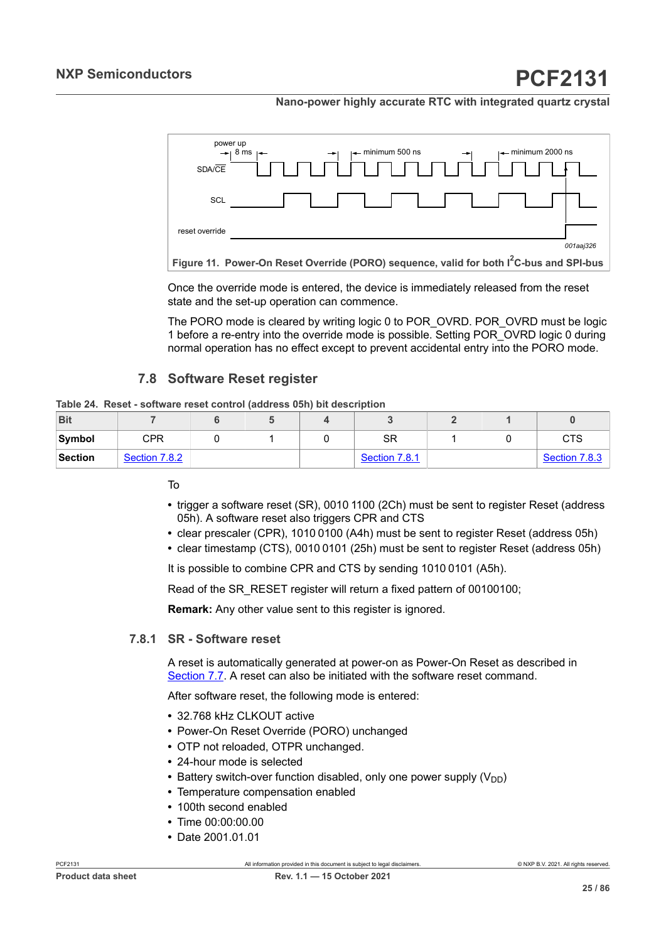<span id="page-24-1"></span><span id="page-24-0"></span>

Once the override mode is entered, the device is immediately released from the reset state and the set-up operation can commence.

The PORO mode is cleared by writing logic 0 to POR\_OVRD. POR\_OVRD must be logic 1 before a re-entry into the override mode is possible. Setting POR\_OVRD logic 0 during normal operation has no effect except to prevent accidental entry into the PORO mode.

### **7.8 Software Reset register**

**Table 24. Reset - software reset control (address 05h) bit description**

| <b>Bit</b> |               |  |               |  |               |
|------------|---------------|--|---------------|--|---------------|
| Symbol     | <b>CPR</b>    |  | <b>SR</b>     |  | CTS           |
| Section    | Section 7.8.2 |  | Section 7.8.1 |  | Section 7.8.3 |

To

- trigger a software reset (SR), 0010 1100 (2Ch) must be sent to register Reset (address 05h). A software reset also triggers CPR and CTS
- **•** clear prescaler (CPR), 1010 0100 (A4h) must be sent to register Reset (address 05h)
- **•** clear timestamp (CTS), 0010 0101 (25h) must be sent to register Reset (address 05h)

It is possible to combine CPR and CTS by sending 1010 0101 (A5h).

Read of the SR\_RESET register will return a fixed pattern of 00100100;

<span id="page-24-2"></span>**Remark:** Any other value sent to this register is ignored.

#### **7.8.1 SR - Software reset**

A reset is automatically generated at power-on as Power-On Reset as described in [Section 7.7.](#page-22-0) A reset can also be initiated with the software reset command.

After software reset, the following mode is entered:

- **•** 32.768 kHz CLKOUT active
- **•** Power-On Reset Override (PORO) unchanged
- **•** OTP not reloaded, OTPR unchanged.
- **•** 24-hour mode is selected
- Battery switch-over function disabled, only one power supply (V<sub>DD</sub>)
- **•** Temperature compensation enabled
- **•** 100th second enabled
- **•** Time 00:00:00.00
- **•** Date 2001.01.01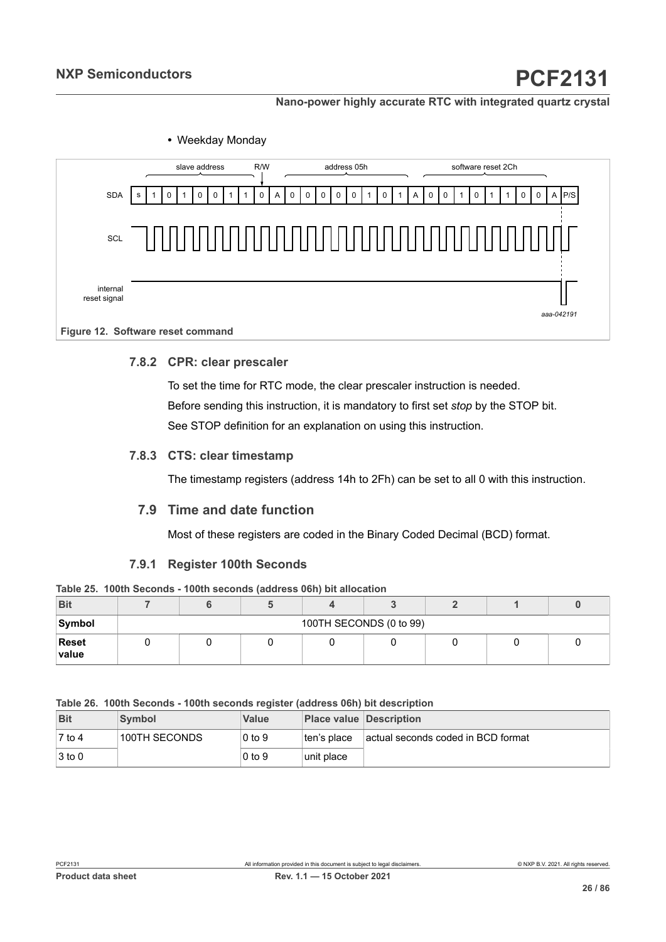

#### <span id="page-25-1"></span>**7.8.2 CPR: clear prescaler**

<span id="page-25-2"></span>To set the time for RTC mode, the clear prescaler instruction is needed. Before sending this instruction, it is mandatory to first set *stop* by the STOP bit. See STOP definition for an explanation on using this instruction.

#### **7.8.3 CTS: clear timestamp**

<span id="page-25-3"></span><span id="page-25-0"></span>The timestamp registers (address 14h to 2Fh) can be set to all 0 with this instruction.

#### **7.9 Time and date function**

Most of these registers are coded in the Binary Coded Decimal (BCD) format.

#### **7.9.1 Register 100th Seconds**

| <b>Bit</b>     |                         |  |  |  |  |  |  |
|----------------|-------------------------|--|--|--|--|--|--|
| Symbol         | 100TH SECONDS (0 to 99) |  |  |  |  |  |  |
| Reset<br>value |                         |  |  |  |  |  |  |

#### **Table 26. 100th Seconds - 100th seconds register (address 06h) bit description**

| <b>Bit</b>         | <b>Symbol</b> | <b>Value</b> | <b>Place value Description</b> |                                    |
|--------------------|---------------|--------------|--------------------------------|------------------------------------|
| 7 to 4             | 100TH SECONDS | $0$ to $9$   | ⊺ten's place                   | actual seconds coded in BCD format |
| $ 3 \text{ to } 0$ |               | $0$ to $9$   | unit place                     |                                    |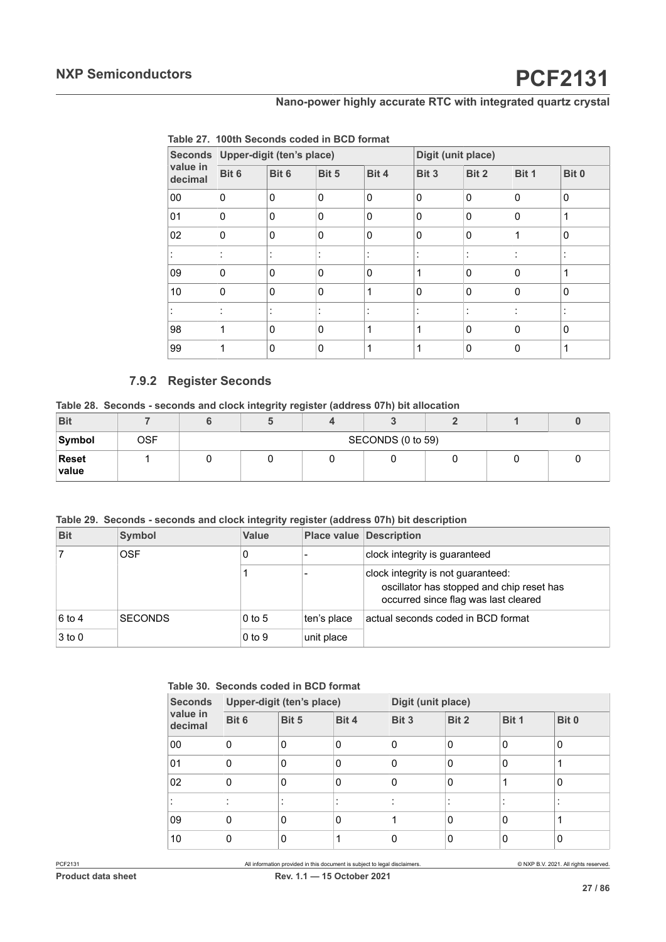| <b>Seconds</b><br>value in<br>decimal |              | Upper-digit (ten's place) |                |                           | Digit (unit place) |                    |                |                        |
|---------------------------------------|--------------|---------------------------|----------------|---------------------------|--------------------|--------------------|----------------|------------------------|
|                                       | Bit 6        | Bit 6                     | Bit 5          | Bit 4                     | Bit 3              | Bit 2              | Bit 1          | Bit 0                  |
| 00                                    | $\mathbf{0}$ | $\mathbf 0$               | $\mathbf 0$    | $\mathbf 0$               | $\mathbf{0}$       | 0                  | 0              | $\mathbf 0$            |
| 01                                    | $\Omega$     | $\mathbf{0}$              | $\mathbf 0$    | $\mathbf 0$               | 0                  | $\mathbf{0}$       | $\mathbf{0}$   | 1                      |
| 02                                    | $\mathbf{0}$ | $\mathbf{0}$              | $\mathbf 0$    | $\mathbf 0$               | 0                  | $\mathbf 0$        | 1              | $\mathbf{0}$           |
|                                       | ٠<br>$\cdot$ | $\cdot$<br>$\cdot$        | ٠<br>$\cdot$   | $\cdot$<br>$\blacksquare$ | ٠<br>$\cdot$       | $\cdot$<br>$\cdot$ | ٠<br>$\cdot$   | $\bullet$<br>$\cdot$   |
| 09                                    | $\mathbf{0}$ | $\mathbf{0}$              | $\mathbf 0$    | $\mathbf 0$               | 1                  | 0                  | 0              | 1                      |
| 10                                    | $\mathbf{0}$ | $\mathbf{0}$              | $\mathbf 0$    | 1                         | 0                  | $\mathbf{0}$       | $\mathbf{0}$   | $\mathbf{0}$           |
|                                       | ٠<br>٠       | $\cdot$<br>$\bullet$      | ٠<br>$\bullet$ | ٠<br>$\blacksquare$       | ٠<br>$\bullet$     | $\cdot$<br>$\cdot$ | ٠<br>$\bullet$ | $\bullet$<br>$\bullet$ |
| 98                                    | 1            | $\mathbf{0}$              | $\mathbf 0$    | 1                         | 1                  | $\mathbf{0}$       | 0              | $\mathbf{0}$           |
| 99                                    | 1            | $\mathbf 0$               | $\mathbf 0$    | 1                         | 1                  | $\mathbf 0$        | $\mathbf 0$    | 1                      |

### <span id="page-26-0"></span>**Table 27. 100th Seconds coded in BCD format**

### **7.9.2 Register Seconds**

**Table 28. Seconds - seconds and clock integrity register (address 07h) bit allocation**

| <b>Bit</b>     |     |                   |  |  |  |  |  |
|----------------|-----|-------------------|--|--|--|--|--|
| Symbol         | OSF | SECONDS (0 to 59) |  |  |  |  |  |
| Reset<br>value |     |                   |  |  |  |  |  |

#### **Table 29. Seconds - seconds and clock integrity register (address 07h) bit description**

| <b>Bit</b> | Symbol         | <b>Value</b> |             | <b>Place value Description</b>                                                                                          |
|------------|----------------|--------------|-------------|-------------------------------------------------------------------------------------------------------------------------|
|            | <b>OSF</b>     |              |             | clock integrity is guaranteed                                                                                           |
|            |                |              |             | clock integrity is not guaranteed:<br>oscillator has stopped and chip reset has<br>occurred since flag was last cleared |
| $6$ to 4   | <b>SECONDS</b> | $0$ to 5     | ten's place | actual seconds coded in BCD format                                                                                      |
| $3$ to $0$ |                | $0$ to $9$   | unit place  |                                                                                                                         |

#### **Table 30. Seconds coded in BCD format**

| <b>Seconds</b>      | Upper-digit (ten's place) |              |                    | Digit (unit place) |        |        |             |  |
|---------------------|---------------------------|--------------|--------------------|--------------------|--------|--------|-------------|--|
| value in<br>decimal | Bit 6                     | Bit 5        | Bit 4              | Bit 3              | Bit 2  | Bit 1  | Bit 0       |  |
| 00                  | 0                         | 0            | $\mathbf 0$        | 0                  | 0      | 0      | 0           |  |
| 01                  | 0                         | 0            | $\mathbf 0$        | $\Omega$           | 0      | 0      | и           |  |
| 02                  | 0                         | 0            | $\mathbf 0$        | 0                  | 0      |        | 0           |  |
|                     | ٠<br>۰.                   | ٠<br>٠       | $\cdot$<br>$\cdot$ |                    | ٠<br>٠ | ٠<br>٠ | ٠<br>٠.     |  |
| 09                  | 0                         | $\mathbf{0}$ | $\mathbf 0$        |                    | 0      | 0      | 4           |  |
| 10                  | 0                         | 0            |                    | 0                  | 0      |        | $\mathbf 0$ |  |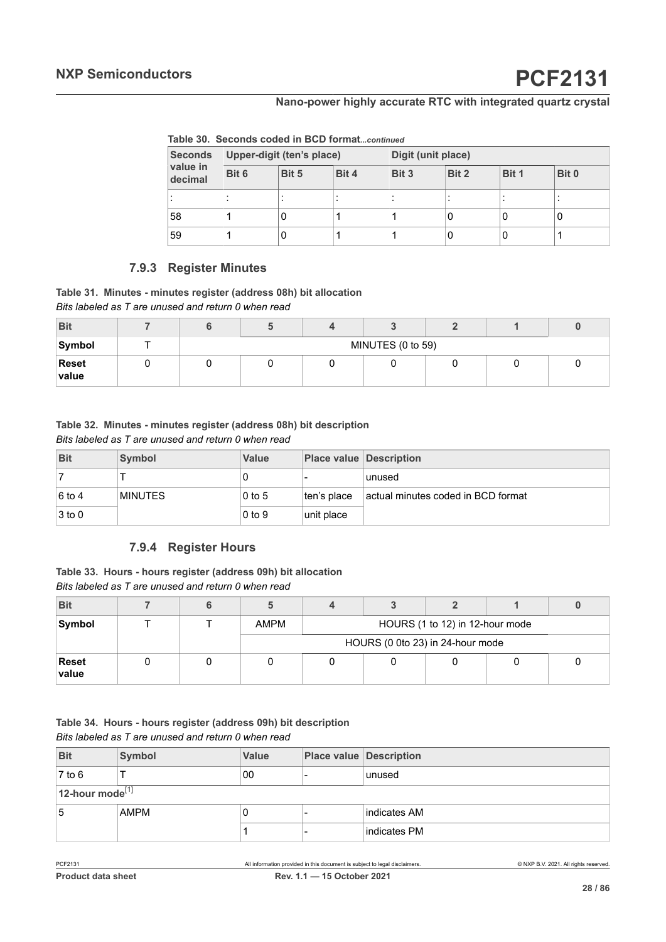<span id="page-27-0"></span>**Table 30. Seconds coded in BCD format***...continued*

| <b>Seconds</b>      | Upper-digit (ten's place) |       |       | Digit (unit place) |       |       |       |  |
|---------------------|---------------------------|-------|-------|--------------------|-------|-------|-------|--|
| value in<br>decimal | Bit 6                     | Bit 5 | Bit 4 | Bit 3              | Bit 2 | Bit 1 | Bit 0 |  |
|                     |                           |       |       | ٠                  |       |       | ٠     |  |
| 58                  |                           | 0     |       |                    | 0     |       | U     |  |
| 59                  |                           | 0     |       |                    | 0     |       |       |  |

#### <span id="page-27-1"></span>**7.9.3 Register Minutes**

**Table 31. Minutes - minutes register (address 08h) bit allocation**

*Bits labeled as T are unused and return 0 when read*

| <b>Bit</b>     |  |                   |  |  |  |  |  |
|----------------|--|-------------------|--|--|--|--|--|
| Symbol         |  | MINUTES (0 to 59) |  |  |  |  |  |
| Reset<br>value |  |                   |  |  |  |  |  |

**Table 32. Minutes - minutes register (address 08h) bit description**

*Bits labeled as T are unused and return 0 when read*

| <b>Bit</b>         | <b>Symbol</b>  | Value      | <b>Place value Description</b> |                                    |
|--------------------|----------------|------------|--------------------------------|------------------------------------|
|                    |                |            |                                | unused                             |
| $ 6 \text{ to } 4$ | <b>MINUTES</b> | $0$ to 5   | ten's place                    | actual minutes coded in BCD format |
| $3$ to 0           |                | $0$ to $9$ | unit place                     |                                    |

#### **7.9.4 Register Hours**

*Bits labeled as T are unused and return 0 when read* **Table 33. Hours - hours register (address 09h) bit allocation**

| <b>Bit</b>     |  |      |                                 |                                  |  |  |  |  |
|----------------|--|------|---------------------------------|----------------------------------|--|--|--|--|
| Symbol         |  | AMPM | HOURS (1 to 12) in 12-hour mode |                                  |  |  |  |  |
|                |  |      |                                 | HOURS (0 0to 23) in 24-hour mode |  |  |  |  |
| Reset<br>value |  |      |                                 |                                  |  |  |  |  |

<span id="page-27-2"></span>*Bits labeled as T are unused and return 0 when read* **Table 34. Hours - hours register (address 09h) bit description**

| <b>Bit</b>            | Symbol      | <b>Value</b> | <b>Place value Description</b> |
|-----------------------|-------------|--------------|--------------------------------|
| $7$ to 6              |             | 00           | unused                         |
| 12-hour mode $^{[1]}$ |             |              |                                |
| 5                     | <b>AMPM</b> |              | Indicates AM                   |
|                       |             |              | indicates PM                   |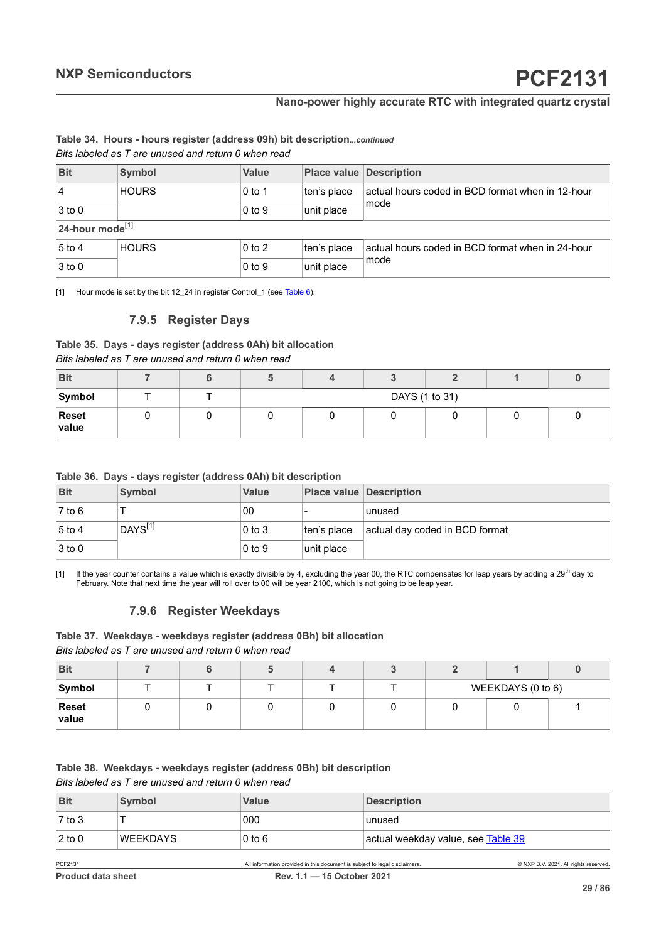#### <span id="page-28-2"></span><span id="page-28-0"></span>*Bits labeled as T are unused and return 0 when read* **Table 34. Hours - hours register (address 09h) bit description***...continued*

| <b>Bit</b>                | Symbol       | <b>Value</b> | <b>Place value Description</b> |                                                  |
|---------------------------|--------------|--------------|--------------------------------|--------------------------------------------------|
| $\overline{4}$            | <b>HOURS</b> | $0$ to 1     | ten's place                    | actual hours coded in BCD format when in 12-hour |
| $3$ to 0                  |              | $0$ to $9$   | unit place                     | mode                                             |
| $ $ 24-hour mode $ ^{11}$ |              |              |                                |                                                  |
| $5$ to 4                  | <b>HOURS</b> | $0$ to $2$   | ten's place                    | actual hours coded in BCD format when in 24-hour |
| $3$ to 0                  |              | $0$ to $9$   | unit place                     | mode                                             |

[1] Hour mode is set by the bit 12\_24 in register Control\_1 (see [Table](#page-9-2) 6).

#### <span id="page-28-1"></span>**7.9.5 Register Days**

#### **Table 35. Days - days register (address 0Ah) bit allocation**

*Bits labeled as T are unused and return 0 when read*

| <b>Bit</b>     |  |                |  |  |  |  |  |
|----------------|--|----------------|--|--|--|--|--|
| Symbol         |  | DAYS (1 to 31) |  |  |  |  |  |
| Reset<br>value |  |                |  |  |  |  |  |

| <b>Bit</b>                    | <b>Symbol</b>       | <b>Value</b> | <b>Place value Description</b> |                                |
|-------------------------------|---------------------|--------------|--------------------------------|--------------------------------|
| $\sqrt{7}$ to 6               |                     | 00           |                                | unused                         |
| $\vert 5 \text{ to } 4 \vert$ | DAYS <sup>[1]</sup> | $0$ to $3$   | ten's place                    | actual day coded in BCD format |
| $3$ to 0                      |                     | $0$ to $9$   | unit place                     |                                |

[1] If the year counter contains a value which is exactly divisible by 4, excluding the year 00, the RTC compensates for leap years by adding a 29<sup>th</sup> day to February. Note that next time the year will roll over to 00 will be year 2100, which is not going to be leap year.

#### **7.9.6 Register Weekdays**

| Table 37. Weekdays - weekdays register (address 0Bh) bit allocation |
|---------------------------------------------------------------------|
| Bits labeled as T are unused and return 0 when read                 |

| <b>Bit</b>     |  |  |                   |  |  |
|----------------|--|--|-------------------|--|--|
| Symbol         |  |  | WEEKDAYS (0 to 6) |  |  |
| Reset<br>value |  |  |                   |  |  |

#### *Bits labeled as T are unused and return 0 when read* **Table 38. Weekdays - weekdays register (address 0Bh) bit description**

| <b>Bit</b>          | <b>Symbol</b>   | Value      | <b>Description</b>                 |
|---------------------|-----------------|------------|------------------------------------|
| $\overline{7}$ to 3 |                 | 000        | unused                             |
| $ 2 \text{ to } 0$  | <b>WEEKDAYS</b> | $0$ to $6$ | actual weekday value, see Table 39 |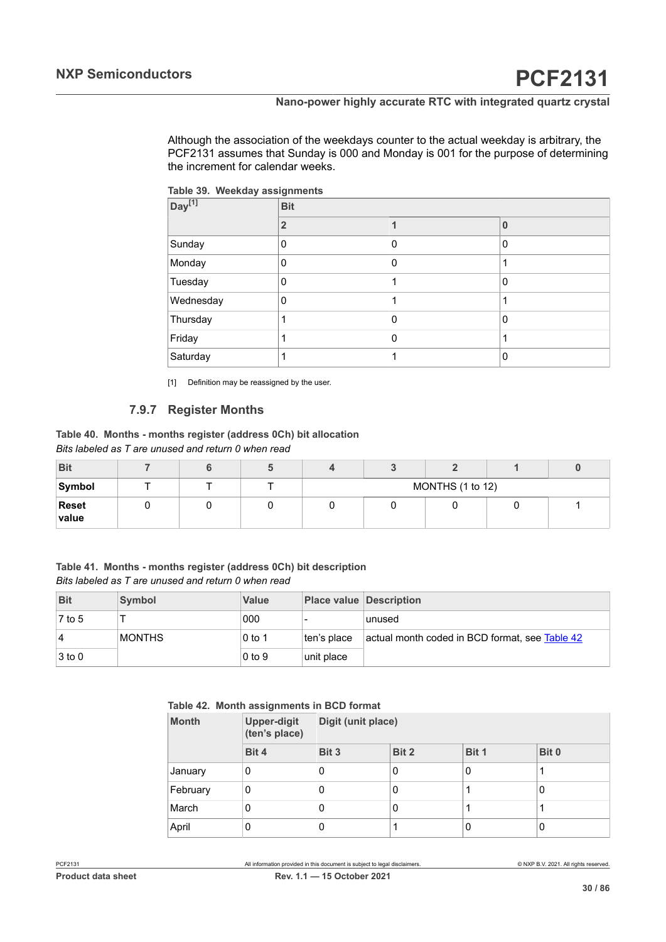<span id="page-29-2"></span><span id="page-29-0"></span>Although the association of the weekdays counter to the actual weekday is arbitrary, the PCF2131 assumes that Sunday is 000 and Monday is 001 for the purpose of determining the increment for calendar weeks.

<span id="page-29-1"></span>

| Day <sup>[1]</sup> | <b>Bit</b>     |   |             |  |  |  |  |  |
|--------------------|----------------|---|-------------|--|--|--|--|--|
|                    | $\overline{2}$ |   | $\mathbf 0$ |  |  |  |  |  |
| Sunday             | 0              | 0 | 0           |  |  |  |  |  |
| Monday             | 0              | 0 |             |  |  |  |  |  |
| Tuesday            | 0              |   | 0           |  |  |  |  |  |
| Wednesday          | 0              |   |             |  |  |  |  |  |
| Thursday           | 1              | 0 | $\Omega$    |  |  |  |  |  |
| Friday             | 1              | 0 |             |  |  |  |  |  |
| Saturday           |                |   | 0           |  |  |  |  |  |

[1] Definition may be reassigned by the user.

#### **7.9.7 Register Months**

*Bits labeled as T are unused and return 0 when read* **Table 40. Months - months register (address 0Ch) bit allocation**

| <b>Bit</b>            |  |                  |  |  |  |  |  |
|-----------------------|--|------------------|--|--|--|--|--|
| Symbol                |  | MONTHS (1 to 12) |  |  |  |  |  |
| <b>Reset</b><br>value |  |                  |  |  |  |  |  |

*Bits labeled as T are unused and return 0 when read* **Table 41. Months - months register (address 0Ch) bit description**

| <b>Bit</b>      | <b>Symbol</b> | <b>Value</b>   | <b>Place value Description</b> |                                                |
|-----------------|---------------|----------------|--------------------------------|------------------------------------------------|
| $\sqrt{7}$ to 5 |               | 000            |                                | unused                                         |
| 4               | <b>MONTHS</b> | $\vert 0$ to 1 | ten's place                    | actual month coded in BCD format, see Table 42 |
| $3$ to 0        |               | $0$ to 9       | unit place                     |                                                |

<span id="page-29-3"></span>**Table 42. Month assignments in BCD format**

| <b>Month</b> | <b>Upper-digit</b><br>(ten's place) | Digit (unit place)               |   |   |   |  |  |
|--------------|-------------------------------------|----------------------------------|---|---|---|--|--|
|              | Bit 4                               | Bit 2<br>Bit 1<br>Bit 0<br>Bit 3 |   |   |   |  |  |
| January      | 0                                   | 0                                | 0 | 0 |   |  |  |
| February     | 0                                   | 0                                | 0 |   | 0 |  |  |
| March        | 0                                   | 0                                | 0 |   |   |  |  |
| April        | 0                                   | 0                                |   | 0 | 0 |  |  |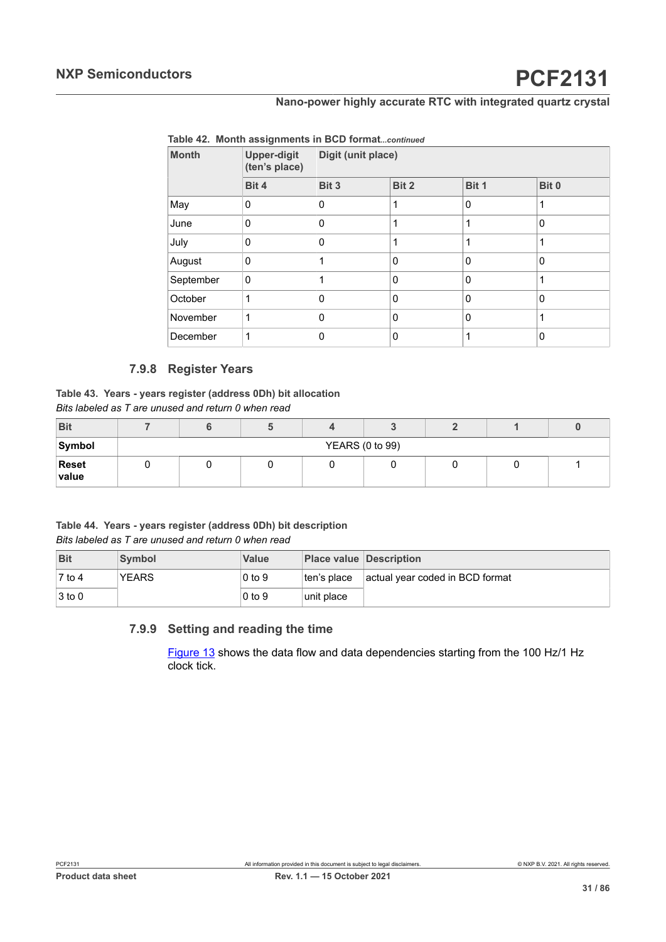| <b>Month</b> | <b>Upper-digit</b><br>(ten's place) | Digit (unit place) |              |          |              |  |  |
|--------------|-------------------------------------|--------------------|--------------|----------|--------------|--|--|
|              | Bit 4                               | Bit 3              | Bit 2        | Bit 1    | Bit 0        |  |  |
| May          | 0                                   | 0                  | 1            | $\Omega$ |              |  |  |
| June         | $\mathbf 0$                         | $\mathbf 0$        | 1            | 1        | 0            |  |  |
| July         | 0                                   | $\mathbf{0}$       | 1            | 1        |              |  |  |
| August       | $\mathbf 0$                         | 1                  | 0            | 0        | 0            |  |  |
| September    | $\mathbf 0$                         | 1                  | $\mathbf 0$  | 0        |              |  |  |
| October      | 1                                   | 0                  | 0            | 0        | $\mathbf{0}$ |  |  |
| November     | 1                                   | $\mathbf 0$        | $\mathbf{0}$ | $\Omega$ |              |  |  |
| December     | 1                                   | 0                  | 0            | 1        | 0            |  |  |

<span id="page-30-1"></span>**Table 42. Month assignments in BCD format***...continued*

#### **7.9.8 Register Years**

*Bits labeled as T are unused and return 0 when read* **Table 43. Years - years register (address 0Dh) bit allocation**

| <b>Bit</b>            |                        |  |  |  |  |  |  |  |  |
|-----------------------|------------------------|--|--|--|--|--|--|--|--|
| Symbol                | <b>YEARS (0 to 99)</b> |  |  |  |  |  |  |  |  |
| <b>Reset</b><br>value |                        |  |  |  |  |  |  |  |  |

*Bits labeled as T are unused and return 0 when read* **Table 44. Years - years register (address 0Dh) bit description**

| <b>Bit</b>         | <b>Symbol</b> | Value      | <b>Place value Description</b> |                                 |
|--------------------|---------------|------------|--------------------------------|---------------------------------|
| 7 to 4             | <b>YEARS</b>  | $0$ to $9$ | ⊺ten's place                   | actual year coded in BCD format |
| $ 3 \text{ to } 0$ |               | $0$ to $9$ | unit place                     |                                 |

#### **7.9.9 Setting and reading the time**

<span id="page-30-0"></span>[Figure 13](#page-31-0) shows the data flow and data dependencies starting from the 100 Hz/1 Hz clock tick.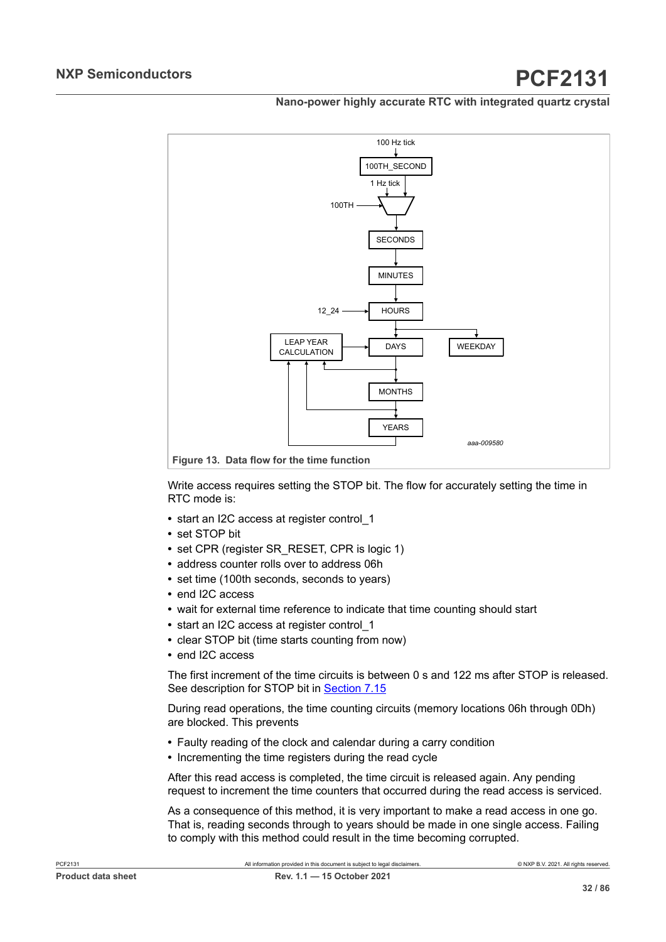<span id="page-31-0"></span>

Write access requires setting the STOP bit. The flow for accurately setting the time in RTC mode is:

- **•** start an I2C access at register control\_1
- **•** set STOP bit
- set CPR (register SR\_RESET, CPR is logic 1)
- **•** address counter rolls over to address 06h
- **•** set time (100th seconds, seconds to years)
- **•** end I2C access
- **•** wait for external time reference to indicate that time counting should start
- start an I2C access at register control 1
- **•** clear STOP bit (time starts counting from now)
- **•** end I2C access

The first increment of the time circuits is between 0 s and 122 ms after STOP is released. See description for STOP bit in [Section 7.15](#page-50-0)

During read operations, the time counting circuits (memory locations 06h through 0Dh) are blocked. This prevents

- **•** Faulty reading of the clock and calendar during a carry condition
- **•** Incrementing the time registers during the read cycle

After this read access is completed, the time circuit is released again. Any pending request to increment the time counters that occurred during the read access is serviced.

As a consequence of this method, it is very important to make a read access in one go. That is, reading seconds through to years should be made in one single access. Failing to comply with this method could result in the time becoming corrupted.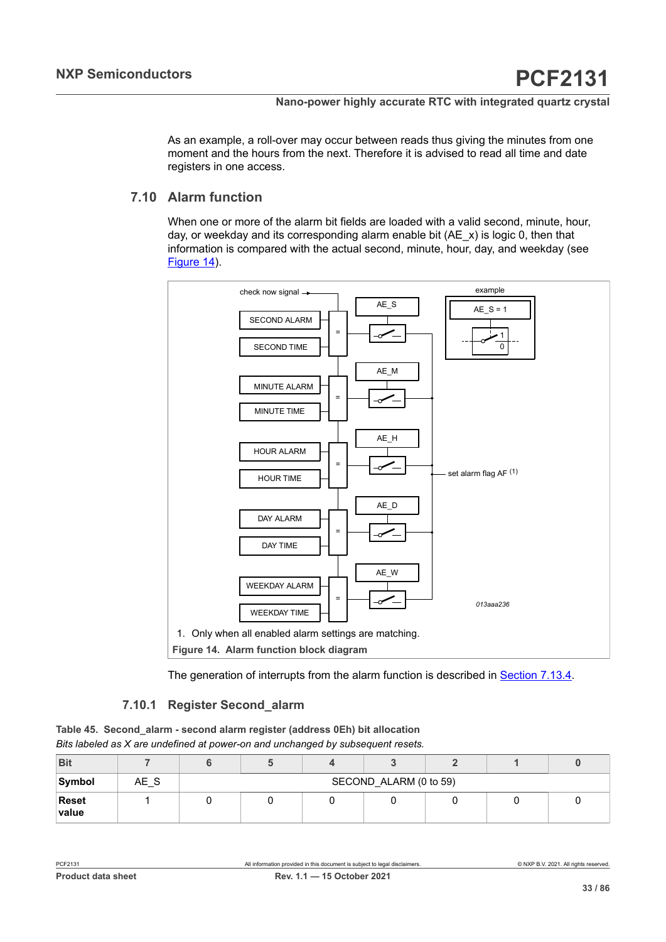As an example, a roll-over may occur between reads thus giving the minutes from one moment and the hours from the next. Therefore it is advised to read all time and date registers in one access.

#### **7.10 Alarm function**

<span id="page-32-0"></span>When one or more of the alarm bit fields are loaded with a valid second, minute, hour, day, or weekday and its corresponding alarm enable bit (AE\_x) is logic 0, then that information is compared with the actual second, minute, hour, day, and weekday (see [Figure 14](#page-32-2)).

<span id="page-32-2"></span><span id="page-32-1"></span>

The generation of interrupts from the alarm function is described in [Section 7.13.4](#page-47-0).

#### **7.10.1 Register Second\_alarm**

*Bits labeled as X are undefined at power-on and unchanged by subsequent resets.* **Table 45. Second\_alarm - second alarm register (address 0Eh) bit allocation**

| <b>Bit</b>            |      |                        |  |  |  |  |  |  |  |
|-----------------------|------|------------------------|--|--|--|--|--|--|--|
| Symbol                | AE S | SECOND_ALARM (0 to 59) |  |  |  |  |  |  |  |
| <b>Reset</b><br>value |      |                        |  |  |  |  |  |  |  |

PCF2131 All information provided in this document is subject to legal disclaimers. © NXP B.V. 2021. All rights reserved.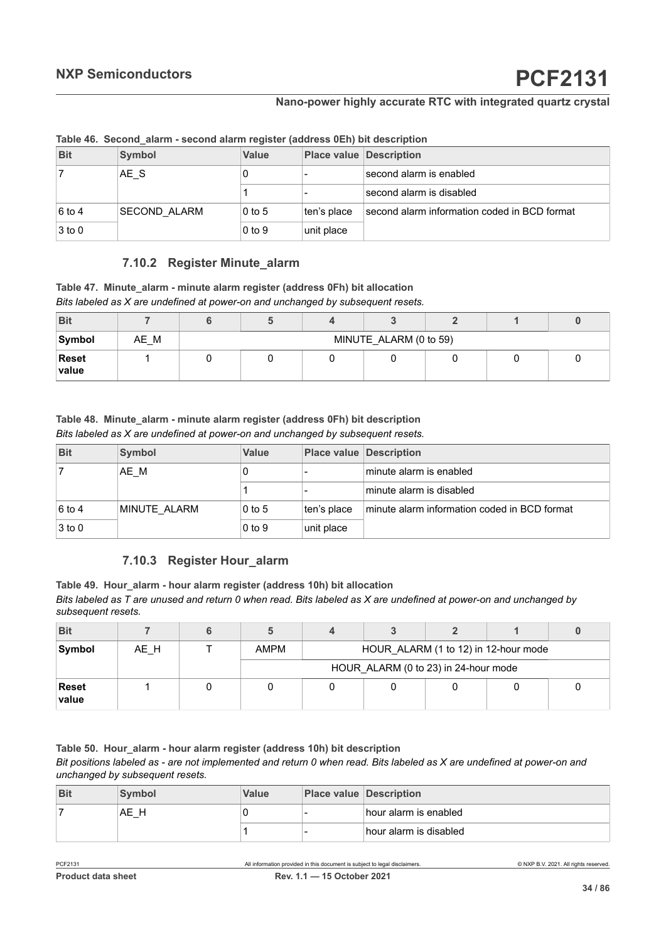| <b>Bit</b> | <b>Symbol</b>       | <b>Value</b> |             | <b>Place value Description</b>               |  |  |  |
|------------|---------------------|--------------|-------------|----------------------------------------------|--|--|--|
|            | AE S                |              |             | second alarm is enabled                      |  |  |  |
|            |                     |              |             | second alarm is disabled                     |  |  |  |
| $6$ to 4   | <b>SECOND ALARM</b> | $0$ to 5     | ten's place | second alarm information coded in BCD format |  |  |  |
| $3$ to 0   |                     | $0$ to $9$   | unit place  |                                              |  |  |  |

<span id="page-33-0"></span>**Table 46. Second\_alarm - second alarm register (address 0Eh) bit description**

#### <span id="page-33-1"></span>**7.10.2 Register Minute\_alarm**

*Bits labeled as X are undefined at power-on and unchanged by subsequent resets.* **Table 47. Minute\_alarm - minute alarm register (address 0Fh) bit allocation**

| <b>Bit</b>     |      |                        |  |  |  |  |  |
|----------------|------|------------------------|--|--|--|--|--|
| Symbol         | AE M | MINUTE_ALARM (0 to 59) |  |  |  |  |  |
| Reset<br>value |      |                        |  |  |  |  |  |

#### *Bits labeled as X are undefined at power-on and unchanged by subsequent resets.* **Table 48. Minute\_alarm - minute alarm register (address 0Fh) bit description**

| <b>Bit</b> | <b>Symbol</b> | <b>Value</b> | <b>Place value Description</b> |                                              |
|------------|---------------|--------------|--------------------------------|----------------------------------------------|
|            | AE M          |              |                                | minute alarm is enabled                      |
|            |               |              |                                | minute alarm is disabled                     |
| $6$ to 4   | MINUTE ALARM  | $0$ to 5     | ten's place                    | minute alarm information coded in BCD format |
| $3$ to 0   |               | $0$ to $9$   | unit place                     |                                              |

#### **7.10.3 Register Hour\_alarm**

*Bits labeled as T are unused and return 0 when read. Bits labeled as X are undefined at power-on and unchanged by subsequent resets.* **Table 49. Hour\_alarm - hour alarm register (address 10h) bit allocation**

| <b>Bit</b>     |      |                                      |                                      |  |  |  |  |  |
|----------------|------|--------------------------------------|--------------------------------------|--|--|--|--|--|
| Symbol         | AE H | <b>AMPM</b>                          | HOUR_ALARM (1 to 12) in 12-hour mode |  |  |  |  |  |
|                |      | HOUR_ALARM (0 to 23) in 24-hour mode |                                      |  |  |  |  |  |
| Reset<br>value |      |                                      |                                      |  |  |  |  |  |

<span id="page-33-2"></span>*Bit positions labeled as - are not implemented and return 0 when read. Bits labeled as X are undefined at power-on and unchanged by subsequent resets.* **Table 50. Hour\_alarm - hour alarm register (address 10h) bit description**

| <b>Bit</b> | Symbol | <b>Value</b> | <b>Place value Description</b> |                        |
|------------|--------|--------------|--------------------------------|------------------------|
|            | AE H   |              |                                | hour alarm is enabled  |
|            |        |              |                                | hour alarm is disabled |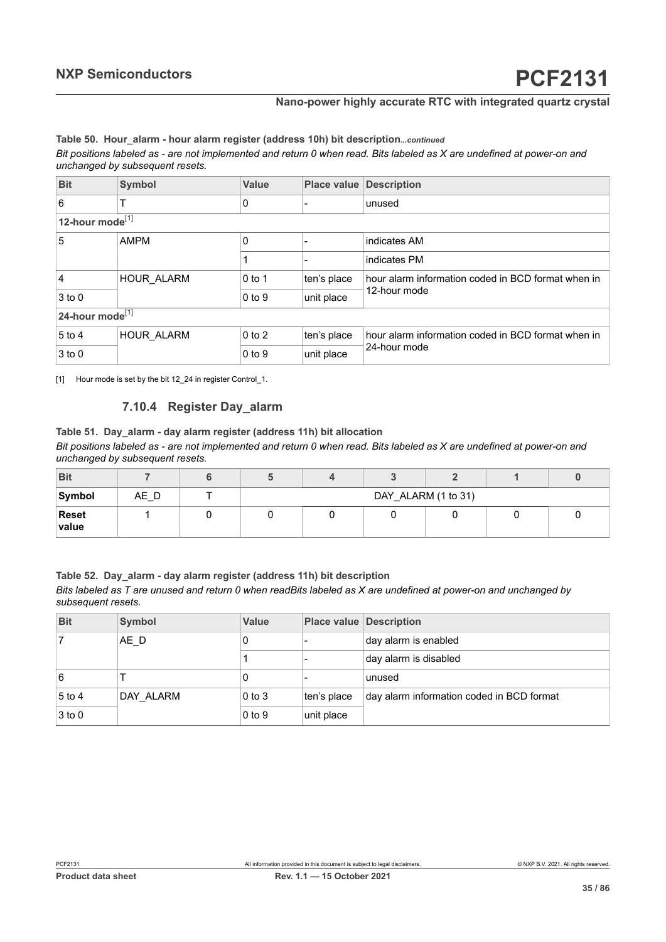<span id="page-34-1"></span><span id="page-34-0"></span>*Bit positions labeled as - are not implemented and return 0 when read. Bits labeled as X are undefined at power-on and unchanged by subsequent resets.* **Table 50. Hour\_alarm - hour alarm register (address 10h) bit description***...continued*

| <b>Bit</b>               | Symbol            | Value      | <b>Place value Description</b> |                                                    |  |  |  |
|--------------------------|-------------------|------------|--------------------------------|----------------------------------------------------|--|--|--|
| 6                        |                   | 0          |                                | unused                                             |  |  |  |
| $1$ 2-hour mode $^{[1]}$ |                   |            |                                |                                                    |  |  |  |
| 5                        | <b>AMPM</b>       | 0          |                                | indicates AM                                       |  |  |  |
|                          |                   |            |                                | indicates PM                                       |  |  |  |
| $\overline{4}$           | HOUR ALARM        | $0$ to 1   | ten's place                    | hour alarm information coded in BCD format when in |  |  |  |
| $3$ to 0                 |                   | $0$ to $9$ | unit place                     | 12-hour mode                                       |  |  |  |
| 24-hour mode $^{[1]}$    |                   |            |                                |                                                    |  |  |  |
| $5$ to 4                 | <b>HOUR ALARM</b> | $0$ to $2$ | ten's place                    | hour alarm information coded in BCD format when in |  |  |  |
| $3$ to 0                 |                   | $0$ to $9$ | unit place                     | 24-hour mode                                       |  |  |  |

[1] Hour mode is set by the bit 12\_24 in register Control\_1.

#### **7.10.4 Register Day\_alarm**

*Bit positions labeled as - are not implemented and return 0 when read. Bits labeled as X are undefined at power-on and unchanged by subsequent resets.* **Table 51. Day\_alarm - day alarm register (address 11h) bit allocation**

| <b>Bit</b>            |      |                     |  |  |  |  |
|-----------------------|------|---------------------|--|--|--|--|
| Symbol                | AE D | DAY ALARM (1 to 31) |  |  |  |  |
| <b>Reset</b><br>value |      |                     |  |  |  |  |

**Table 52. Day\_alarm - day alarm register (address 11h) bit description**

*Bits labeled as T are unused and return 0 when readBits labeled as X are undefined at power-on and unchanged by subsequent resets.*

| <b>Bit</b> | <b>Symbol</b> | <b>Value</b> |             | <b>Place value Description</b>            |
|------------|---------------|--------------|-------------|-------------------------------------------|
|            | AE D          | 0            |             | day alarm is enabled                      |
|            |               |              |             | day alarm is disabled                     |
| 16         |               | 0            |             | unused                                    |
| $5$ to 4   | DAY ALARM     | $0$ to $3$   | ten's place | day alarm information coded in BCD format |
| $3$ to 0   |               | $0$ to $9$   | unit place  |                                           |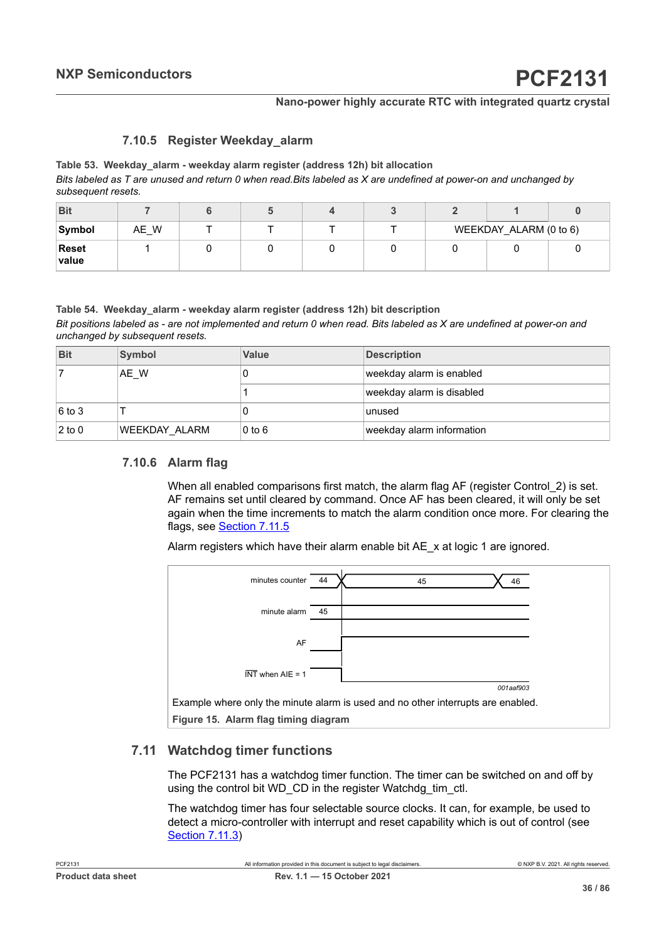#### <span id="page-35-0"></span>**7.10.5 Register Weekday\_alarm**

*Bits labeled as T are unused and return 0 when read.Bits labeled as X are undefined at power-on and unchanged by subsequent resets.* **Table 53. Weekday\_alarm - weekday alarm register (address 12h) bit allocation**

| <b>Bit</b>            |      |  |  |                        |  |
|-----------------------|------|--|--|------------------------|--|
| Symbol                | AE_W |  |  | WEEKDAY_ALARM (0 to 6) |  |
| <b>Reset</b><br>value |      |  |  |                        |  |

#### **Table 54. Weekday\_alarm - weekday alarm register (address 12h) bit description**

*Bit positions labeled as - are not implemented and return 0 when read. Bits labeled as X are undefined at power-on and unchanged by subsequent resets.*

| <b>Bit</b> | Symbol               | <b>Value</b> | <b>Description</b>        |
|------------|----------------------|--------------|---------------------------|
|            | AE W                 |              | weekday alarm is enabled  |
|            |                      |              | weekday alarm is disabled |
| $6$ to 3   |                      |              | unused                    |
| $2$ to 0   | <b>WEEKDAY ALARM</b> | $0$ to $6$   | weekday alarm information |

#### **7.10.6 Alarm flag**

<span id="page-35-1"></span>When all enabled comparisons first match, the alarm flag AF (register Control 2) is set. AF remains set until cleared by command. Once AF has been cleared, it will only be set again when the time increments to match the alarm condition once more. For clearing the flags, see [Section](#page-38-0) 7.11.5

Alarm registers which have their alarm enable bit AE x at logic 1 are ignored.



#### **7.11 Watchdog timer functions**

The PCF2131 has a watchdog timer function. The timer can be switched on and off by using the control bit WD\_CD in the register Watchdg\_tim\_ctl.

The watchdog timer has four selectable source clocks. It can, for example, be used to detect a micro-controller with interrupt and reset capability which is out of control (see [Section](#page-37-1) 7.11.3)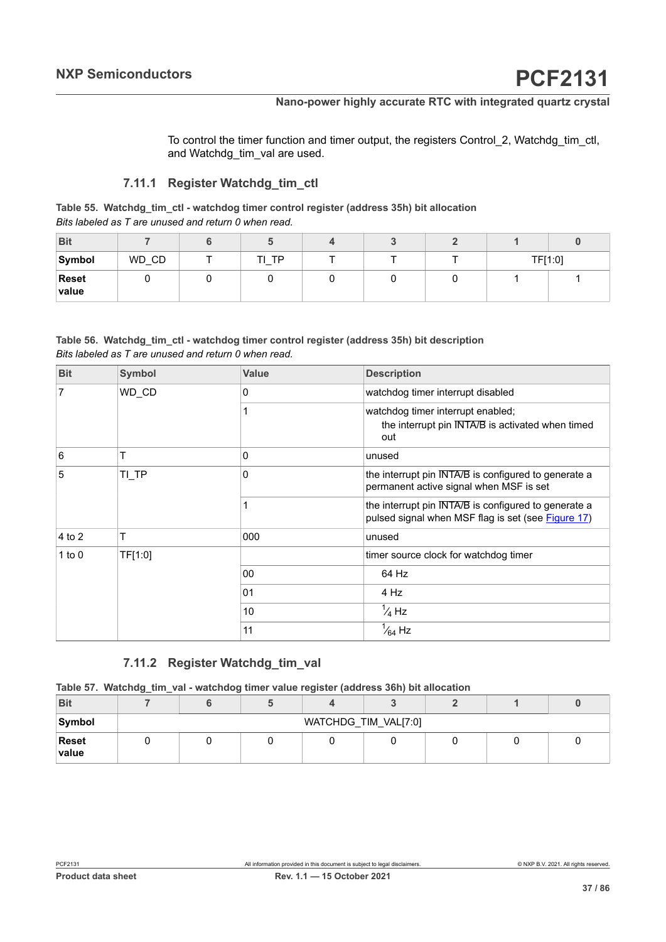To control the timer function and timer output, the registers Control\_2, Watchdg\_tim\_ctl, and Watchdg\_tim\_val are used.

# **7.11.1 Register Watchdg\_tim\_ctl**

|  |                                                      |  | Table 55. Watchdg_tim_ctl - watchdog timer control register (address 35h) bit allocation |  |
|--|------------------------------------------------------|--|------------------------------------------------------------------------------------------|--|
|  | Bits labeled as T are unused and return 0 when read. |  |                                                                                          |  |

| <b>Bit</b>            |       |    |  |         |  |
|-----------------------|-------|----|--|---------|--|
| Symbol                | WD_CD | ТP |  | TF[1:0] |  |
| <b>Reset</b><br>value |       |    |  |         |  |

#### <span id="page-36-0"></span>*Bits labeled as T are unused and return 0 when read.* **Table 56. Watchdg\_tim\_ctl - watchdog timer control register (address 35h) bit description**

| <b>Bit</b> | Symbol  | <b>Value</b> | <b>Description</b>                                                                                         |
|------------|---------|--------------|------------------------------------------------------------------------------------------------------------|
| 7          | WD CD   | 0            | watchdog timer interrupt disabled                                                                          |
|            |         |              | watchdog timer interrupt enabled;<br>the interrupt pin INTA/B is activated when timed<br>out               |
| 6          | т       | $\Omega$     | unused                                                                                                     |
| 5          | TI_TP   | 0            | the interrupt pin INTA/B is configured to generate a<br>permanent active signal when MSF is set            |
|            |         |              | the interrupt pin INTA/B is configured to generate a<br>pulsed signal when MSF flag is set (see Figure 17) |
| 4 to 2     | T       | 000          | unused                                                                                                     |
| 1 to $0$   | TF[1:0] |              | timer source clock for watchdog timer                                                                      |
|            |         | 00           | 64 Hz                                                                                                      |
|            |         | 01           | 4 Hz                                                                                                       |
|            |         | 10           | $\frac{1}{4}$ Hz                                                                                           |
|            |         | 11           | $\frac{1}{64}$ Hz                                                                                          |

# **7.11.2 Register Watchdg\_tim\_val**

|  |  | Table 57.  Watchdg_tim_val - watchdog timer value register (address 36h) bit allocation |  |  |  |  |  |
|--|--|-----------------------------------------------------------------------------------------|--|--|--|--|--|
|--|--|-----------------------------------------------------------------------------------------|--|--|--|--|--|

| <b>Bit</b>     |                      |  |  |  |  |  |  |  |  |  |
|----------------|----------------------|--|--|--|--|--|--|--|--|--|
| Symbol         | WATCHDG_TIM_VAL[7:0] |  |  |  |  |  |  |  |  |  |
| Reset<br>value |                      |  |  |  |  |  |  |  |  |  |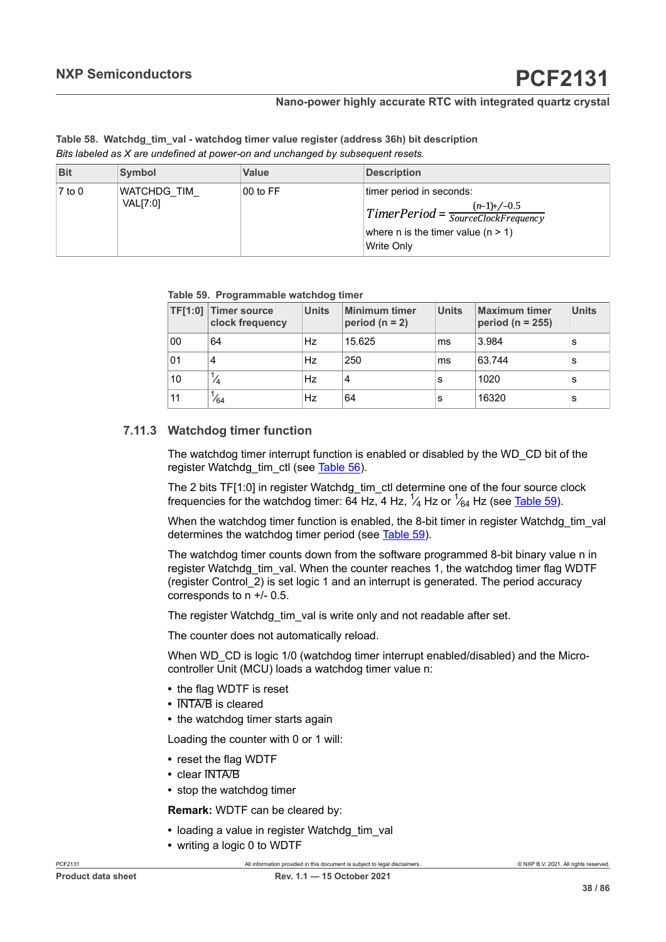*Bits labeled as X are undefined at power-on and unchanged by subsequent resets.* **Table 58. Watchdg\_tim\_val - watchdog timer value register (address 36h) bit description**

| <b>Bit</b>      | <b>Symbol</b>           | <b>Value</b> | <b>Description</b>                                                                                                                                                 |
|-----------------|-------------------------|--------------|--------------------------------------------------------------------------------------------------------------------------------------------------------------------|
| $\sqrt{7}$ to 0 | WATCHDG TIM<br>VAL[7:0] | 00 to FF     | timer period in seconds:<br>$\boxed{\text{TimerPeriod} = \frac{(n-1)+(-0.5)}{\text{SourceClockFrequency}}}$<br>where n is the timer value (n $> 1$ )<br>Write Only |

<span id="page-37-0"></span>**Table 59. Programmable watchdog timer**

| <b>TF[1:0]</b> | Timer source<br>clock frequency | <b>Units</b> | <b>Minimum timer</b><br>period ( $n = 2$ ) | <b>Units</b> | <b>Maximum timer</b><br>period ( $n = 255$ ) | <b>Units</b> |
|----------------|---------------------------------|--------------|--------------------------------------------|--------------|----------------------------------------------|--------------|
| 00             | 64                              | Hz           | 15.625                                     | ms           | 3.984                                        | s            |
| 01             | 4                               | Hz           | 250                                        | ms           | 63.744                                       | s            |
| 10             | 74                              | Hz           | 4                                          | s            | 1020                                         | s            |
| 11             | /64                             | Hz           | 64                                         | s            | 16320                                        | s            |

# **7.11.3 Watchdog timer function**

The watchdog timer interrupt function is enabled or disabled by the WD\_CD bit of the register Watchdg\_tim\_ctl (see [Table](#page-36-0) 56).

The 2 bits TF[1:0] in register Watchdg\_tim\_ctl determine one of the four source clock frequencies for the watchdog timer:  $64$  Hz,  $4$  Hz,  $^{1}\!/_{4}$  Hz or  $^{1}\!/_{64}$  Hz (see <u>Table 59</u>).

When the watchdog timer function is enabled, the 8-bit timer in register Watchdg\_tim\_val determines the watchdog timer period (see [Table](#page-37-0) 59).

The watchdog timer counts down from the software programmed 8-bit binary value n in register Watchdg\_tim\_val. When the counter reaches 1, the watchdog timer flag WDTF (register Control\_2) is set logic 1 and an interrupt is generated. The period accuracy corresponds to n +/- 0.5.

The register Watchdg\_tim\_val is write only and not readable after set.

The counter does not automatically reload.

When WD\_CD is logic 1/0 (watchdog timer interrupt enabled/disabled) and the Microcontroller Unit (MCU) loads a watchdog timer value n:

- **•** the flag WDTF is reset
- **•** INTA/B is cleared
- **•** the watchdog timer starts again

Loading the counter with 0 or 1 will:

- **•** reset the flag WDTF
- **•** clear INTA/B
- **•** stop the watchdog timer

**Remark:** WDTF can be cleared by:

- loading a value in register Watchdg\_tim\_val
- **•** writing a logic 0 to WDTF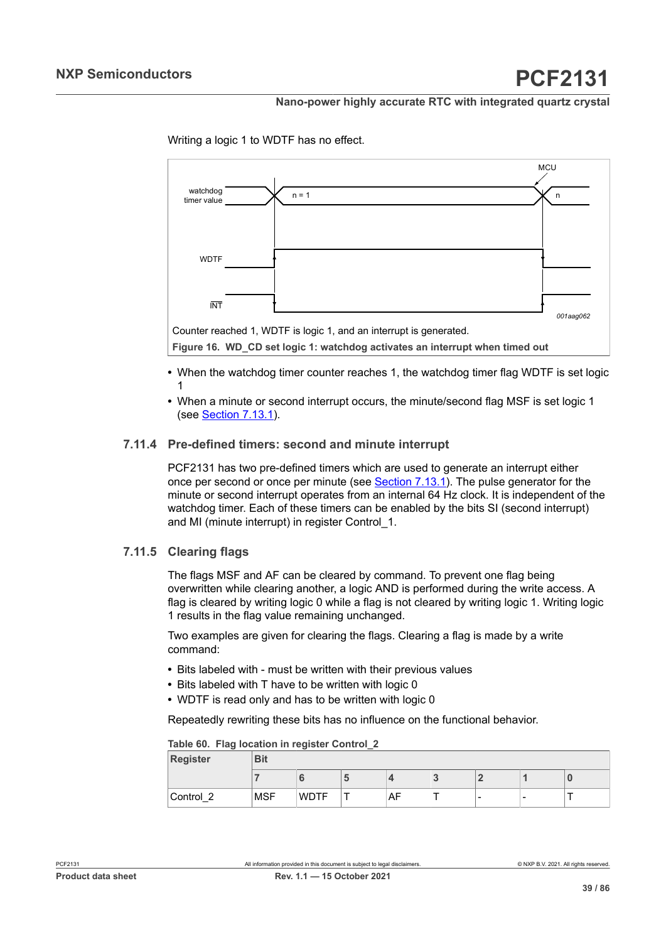

Writing a logic 1 to WDTF has no effect.

**•** When the watchdog timer counter reaches 1, the watchdog timer flag WDTF is set logic

**•** When a minute or second interrupt occurs, the minute/second flag MSF is set logic 1 (see [Section 7.13.1\)](#page-44-1).

### **7.11.4 Pre-defined timers: second and minute interrupt**

PCF2131 has two pre-defined timers which are used to generate an interrupt either once per second or once per minute (see [Section 7.13.1\)](#page-44-1). The pulse generator for the minute or second interrupt operates from an internal 64 Hz clock. It is independent of the watchdog timer. Each of these timers can be enabled by the bits SI (second interrupt) and MI (minute interrupt) in register Control\_1.

#### **7.11.5 Clearing flags**

1

<span id="page-38-0"></span>The flags MSF and AF can be cleared by command. To prevent one flag being overwritten while clearing another, a logic AND is performed during the write access. A flag is cleared by writing logic 0 while a flag is not cleared by writing logic 1. Writing logic 1 results in the flag value remaining unchanged.

Two examples are given for clearing the flags. Clearing a flag is made by a write command:

- **•** Bits labeled with must be written with their previous values
- **•** Bits labeled with T have to be written with logic 0
- **•** WDTF is read only and has to be written with logic 0

Repeatedly rewriting these bits has no influence on the functional behavior.

|  |  |  |  |  | Table 60. Flag location in register Control_2 |
|--|--|--|--|--|-----------------------------------------------|
|--|--|--|--|--|-----------------------------------------------|

| <b>Register</b> | <b>D</b> :4<br>DIL |             |  |    |  |  |   |  |  |  |
|-----------------|--------------------|-------------|--|----|--|--|---|--|--|--|
|                 |                    |             |  |    |  |  |   |  |  |  |
| Control 2<br>_  | ⊪MSF               | <b>WDTF</b> |  | AF |  |  | - |  |  |  |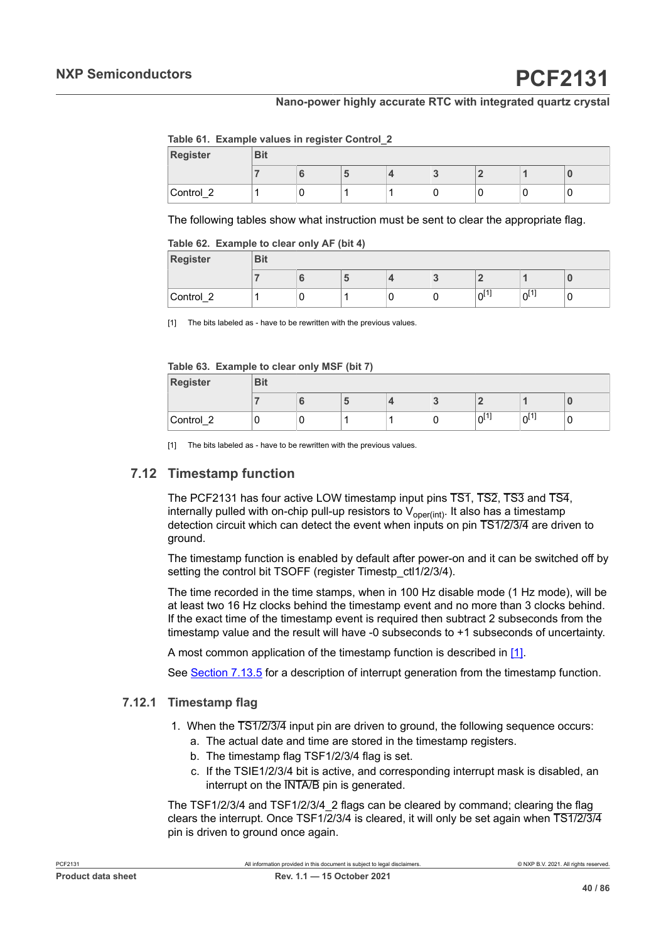#### <span id="page-39-0"></span>**Table 61. Example values in register Control\_2**

| <b>Register</b> | <b>Bit</b> |   |   |  |   |   |
|-----------------|------------|---|---|--|---|---|
|                 |            |   | Ð |  |   |   |
| Control 2<br>—  |            | C |   |  | u | u |

The following tables show what instruction must be sent to clear the appropriate flag.

**Table 62. Example to clear only AF (bit 4)**

| <b>Register</b>       | <b>Bit</b> |   |   |  |        |                         |          |   |  |  |
|-----------------------|------------|---|---|--|--------|-------------------------|----------|---|--|--|
|                       |            |   | Ð |  | $\sim$ |                         |          |   |  |  |
| Control 2<br><u>_</u> |            | v |   |  | u      | <b>F47</b><br>nl I<br>v | n!'<br>∼ | v |  |  |

[1] The bits labeled as - have to be rewritten with the previous values.

#### **Table 63. Example to clear only MSF (bit 7)**

| <b>Register</b> | <b>Bit</b> |  |  |  |  |                   |                   |  |  |  |
|-----------------|------------|--|--|--|--|-------------------|-------------------|--|--|--|
|                 |            |  |  |  |  |                   |                   |  |  |  |
| Control_2       |            |  |  |  |  | <b>EAT</b><br>n!' | <b>F41</b><br>ำ∩L |  |  |  |

[1] The bits labeled as - have to be rewritten with the previous values.

# **7.12 Timestamp function**

The PCF2131 has four active LOW timestamp input pins  $\overline{TS1}$ ,  $\overline{TS2}$ ,  $\overline{TS3}$  and  $\overline{TS4}$ , internally pulled with on-chip pull-up resistors to  $V_{\text{oper(int)}}$ . It also has a timestamp detection circuit which can detect the event when inputs on pin TS1/2/3/4 are driven to ground.

The timestamp function is enabled by default after power-on and it can be switched off by setting the control bit TSOFF (register Timestp\_ctl1/2/3/4).

The time recorded in the time stamps, when in 100 Hz disable mode (1 Hz mode), will be at least two 16 Hz clocks behind the timestamp event and no more than 3 clocks behind. If the exact time of the timestamp event is required then subtract 2 subseconds from the timestamp value and the result will have -0 subseconds to +1 subseconds of uncertainty.

A most common application of the timestamp function is described in [\[1\].](#page-77-0)

See [Section 7.13.5](#page-47-0) for a description of interrupt generation from the timestamp function.

#### **7.12.1 Timestamp flag**

- 1. When the TS1/2/3/4 input pin are driven to ground, the following sequence occurs: a. The actual date and time are stored in the timestamp registers.
	- b. The timestamp flag TSF1/2/3/4 flag is set.
	- c. If the TSIE1/2/3/4 bit is active, and corresponding interrupt mask is disabled, an interrupt on the INTA/B pin is generated.

The TSF1/2/3/4 and TSF1/2/3/4\_2 flags can be cleared by command; clearing the flag clears the interrupt. Once TSF1/2/3/4 is cleared, it will only be set again when TS1/2/3/4 pin is driven to ground once again.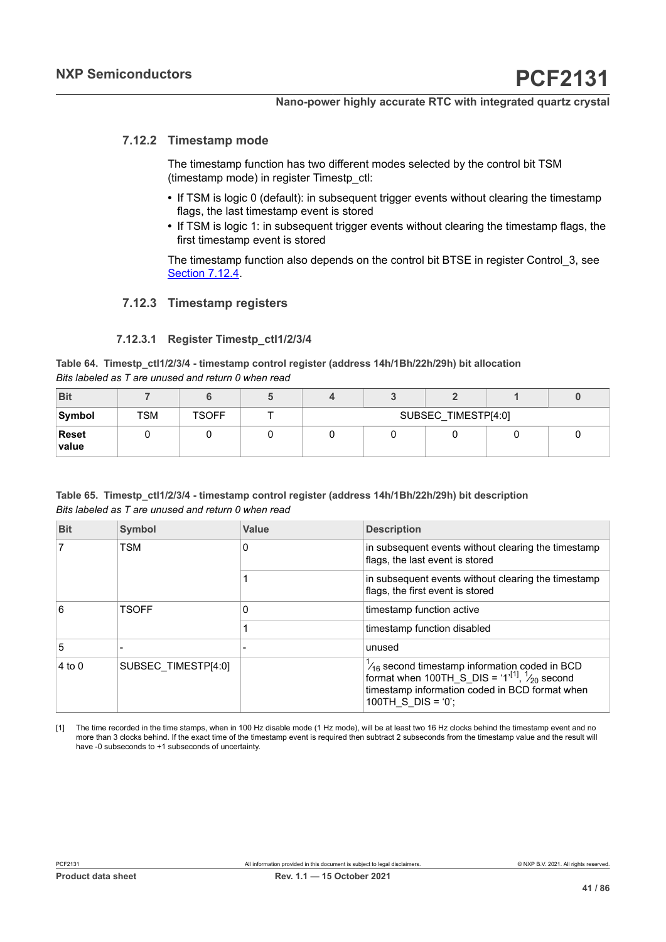### <span id="page-40-0"></span>**7.12.2 Timestamp mode**

The timestamp function has two different modes selected by the control bit TSM (timestamp mode) in register Timestp\_ctl:

- **•** If TSM is logic 0 (default): in subsequent trigger events without clearing the timestamp flags, the last timestamp event is stored
- **•** If TSM is logic 1: in subsequent trigger events without clearing the timestamp flags, the first timestamp event is stored

The timestamp function also depends on the control bit BTSE in register Control\_3, see [Section 7.12.4.](#page-43-0)

# **7.12.3 Timestamp registers**

#### **7.12.3.1 Register Timestp\_ctl1/2/3/4**

|  | Table 64.  Timestp_ctl1/2/3/4 - timestamp control register (address 14h/1Bh/22h/29h) bit allocation |  |  |  |  |
|--|-----------------------------------------------------------------------------------------------------|--|--|--|--|
|  | Bits labeled as T are unused and return 0 when read                                                 |  |  |  |  |

| <b>Bit</b>            |            |              |                     |  |  |  |  |  |
|-----------------------|------------|--------------|---------------------|--|--|--|--|--|
| Symbol                | <b>TSM</b> | <b>TSOFF</b> | SUBSEC TIMESTP[4:0] |  |  |  |  |  |
| <b>Reset</b><br>value |            |              |                     |  |  |  |  |  |

#### *Bits labeled as T are unused and return 0 when read* **Table 65. Timestp\_ctl1/2/3/4 - timestamp control register (address 14h/1Bh/22h/29h) bit description**

| <b>Bit</b> | Symbol              | Value | <b>Description</b>                                                                                                                                                                                       |
|------------|---------------------|-------|----------------------------------------------------------------------------------------------------------------------------------------------------------------------------------------------------------|
|            | TSM                 | 0     | in subsequent events without clearing the timestamp<br>flags, the last event is stored                                                                                                                   |
|            |                     |       | in subsequent events without clearing the timestamp<br>flags, the first event is stored                                                                                                                  |
| 6          | <b>TSOFF</b>        | 0     | timestamp function active                                                                                                                                                                                |
|            |                     |       | timestamp function disabled                                                                                                                                                                              |
| 5          |                     |       | unused                                                                                                                                                                                                   |
| $4$ to 0   | SUBSEC TIMESTP[4:0] |       | $\frac{1}{46}$ second timestamp information coded in BCD<br>format when 100TH_S_DIS = '1' <sup>[1]</sup> , $\frac{1}{20}$ second<br>timestamp information coded in BCD format when<br>100TH S DIS = '0': |

[1] The time recorded in the time stamps, when in 100 Hz disable mode (1 Hz mode), will be at least two 16 Hz clocks behind the timestamp event and no more than 3 clocks behind. If the exact time of the timestamp event is required then subtract 2 subseconds from the timestamp value and the result will have -0 subseconds to +1 subseconds of uncertainty.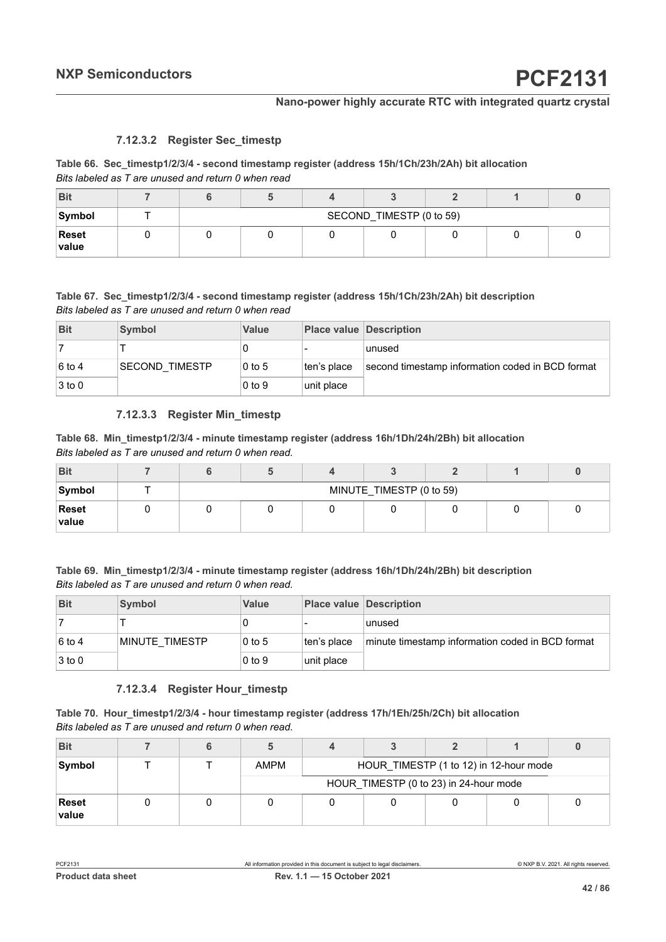#### **7.12.3.2 Register Sec\_timestp**

### *Bits labeled as T are unused and return 0 when read* **Table 66. Sec\_timestp1/2/3/4 - second timestamp register (address 15h/1Ch/23h/2Ah) bit allocation**

| <b>Bit</b>     |  |                          |  |  |  |  |  |  |  |
|----------------|--|--------------------------|--|--|--|--|--|--|--|
| Symbol         |  | SECOND_TIMESTP (0 to 59) |  |  |  |  |  |  |  |
| Reset<br>value |  |                          |  |  |  |  |  |  |  |

#### *Bits labeled as T are unused and return 0 when read* **Table 67. Sec\_timestp1/2/3/4 - second timestamp register (address 15h/1Ch/23h/2Ah) bit description**

| <b>Bit</b>         | <b>Symbol</b>  | <b>Value</b> | <b>Place value Description</b> |                                                  |
|--------------------|----------------|--------------|--------------------------------|--------------------------------------------------|
|                    |                |              |                                | unused                                           |
| $ 6 \text{ to } 4$ | SECOND TIMESTP | $0$ to 5     | ten's place                    | second timestamp information coded in BCD format |
| $3$ to 0           |                | $0$ to $9$   | unit place                     |                                                  |

#### **7.12.3.3 Register Min\_timestp**

|  | Table 68.  Min_timestp1/2/3/4 - minute timestamp register (address 16h/1Dh/24h/2Bh) bit allocation |  |  |
|--|----------------------------------------------------------------------------------------------------|--|--|
|  | Bits labeled as T are unused and return 0 when read.                                               |  |  |

| <b>Bit</b>            |  |                          |  |  |  |  |  |  |  |
|-----------------------|--|--------------------------|--|--|--|--|--|--|--|
| Symbol                |  | MINUTE_TIMESTP (0 to 59) |  |  |  |  |  |  |  |
| <b>Reset</b><br>value |  |                          |  |  |  |  |  |  |  |

#### *Bits labeled as T are unused and return 0 when read.* **Table 69. Min\_timestp1/2/3/4 - minute timestamp register (address 16h/1Dh/24h/2Bh) bit description**

| <b>Bit</b>         | <b>Symbol</b>  | Value      | <b>Place value Description</b> |                                                  |
|--------------------|----------------|------------|--------------------------------|--------------------------------------------------|
|                    |                |            |                                | unused                                           |
| $ 6 \text{ to } 4$ | MINUTE TIMESTP | $0$ to 5   | ten's place                    | minute timestamp information coded in BCD format |
| $3$ to 0           |                | $0$ to $9$ | unit place                     |                                                  |

#### **7.12.3.4 Register Hour\_timestp**

*Bits labeled as T are unused and return 0 when read.* **Table 70. Hour\_timestp1/2/3/4 - hour timestamp register (address 17h/1Eh/25h/2Ch) bit allocation**

| <b>Bit</b>     |  |                                        |                                        |  |  |  |  |  |  |
|----------------|--|----------------------------------------|----------------------------------------|--|--|--|--|--|--|
| Symbol         |  | AMPM                                   | HOUR_TIMESTP (1 to 12) in 12-hour mode |  |  |  |  |  |  |
|                |  | HOUR_TIMESTP (0 to 23) in 24-hour mode |                                        |  |  |  |  |  |  |
| Reset<br>value |  |                                        |                                        |  |  |  |  |  |  |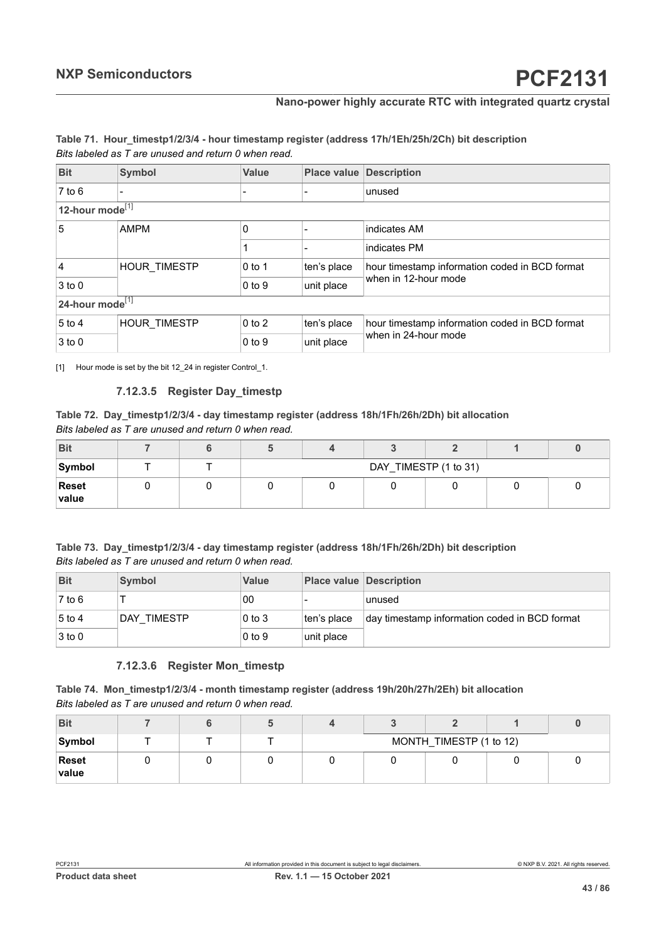#### <span id="page-42-0"></span>*Bits labeled as T are unused and return 0 when read.* **Table 71. Hour\_timestp1/2/3/4 - hour timestamp register (address 17h/1Eh/25h/2Ch) bit description**

| <b>Bit</b>            | Symbol              | Value                    | <b>Place value Description</b> |                                                |
|-----------------------|---------------------|--------------------------|--------------------------------|------------------------------------------------|
| $7$ to $6$            |                     | $\overline{\phantom{0}}$ |                                | unused                                         |
| 12-hour mode $^{[1]}$ |                     |                          |                                |                                                |
| 5                     | <b>AMPM</b>         | 0                        |                                | indicates AM                                   |
|                       |                     |                          |                                | indicates PM                                   |
| $\overline{4}$        | <b>HOUR TIMESTP</b> | $0$ to 1                 | ten's place                    | hour timestamp information coded in BCD format |
| $3$ to 0              |                     | $0$ to 9                 | unit place                     | when in 12-hour mode                           |
| 24-hour mode $^{[1]}$ |                     |                          |                                |                                                |
| $5$ to 4              | <b>HOUR TIMESTP</b> | $0$ to $2$               | ten's place                    | hour timestamp information coded in BCD format |
| $3$ to 0              |                     | $0$ to $9$               | unit place                     | when in 24-hour mode                           |

[1] Hour mode is set by the bit 12 24 in register Control 1.

#### **7.12.3.5 Register Day\_timestp**

|  |                                                      |  | Table 72. Day_timestp1/2/3/4 - day timestamp register (address 18h/1Fh/26h/2Dh) bit allocation |  |
|--|------------------------------------------------------|--|------------------------------------------------------------------------------------------------|--|
|  | Bits labeled as T are unused and return 0 when read. |  |                                                                                                |  |

| <b>Bit</b>     |  |                       |  |  |  |  |  |  |
|----------------|--|-----------------------|--|--|--|--|--|--|
| Symbol         |  | DAY TIMESTP (1 to 31) |  |  |  |  |  |  |
| Reset<br>value |  |                       |  |  |  |  |  |  |

*Bits labeled as T are unused and return 0 when read.* **Table 73. Day\_timestp1/2/3/4 - day timestamp register (address 18h/1Fh/26h/2Dh) bit description**

| <b>Bit</b>                    | <b>Symbol</b> | <b>Value</b> | <b>Place value Description</b> |                                               |
|-------------------------------|---------------|--------------|--------------------------------|-----------------------------------------------|
| $7$ to 6                      |               | 00           |                                | unused                                        |
| $\vert 5 \text{ to } 4 \vert$ | DAY TIMESTP   | $0$ to 3     | ⊺ten's place                   | day timestamp information coded in BCD format |
| $3$ to 0                      |               | $0$ to 9     | unit place                     |                                               |

#### **7.12.3.6 Register Mon\_timestp**

*Bits labeled as T are unused and return 0 when read.* **Table 74. Mon\_timestp1/2/3/4 - month timestamp register (address 19h/20h/27h/2Eh) bit allocation**

| <b>Bit</b>            |  |                         |  |  |  |  |
|-----------------------|--|-------------------------|--|--|--|--|
| Symbol                |  | MONTH TIMESTP (1 to 12) |  |  |  |  |
| <b>Reset</b><br>value |  |                         |  |  |  |  |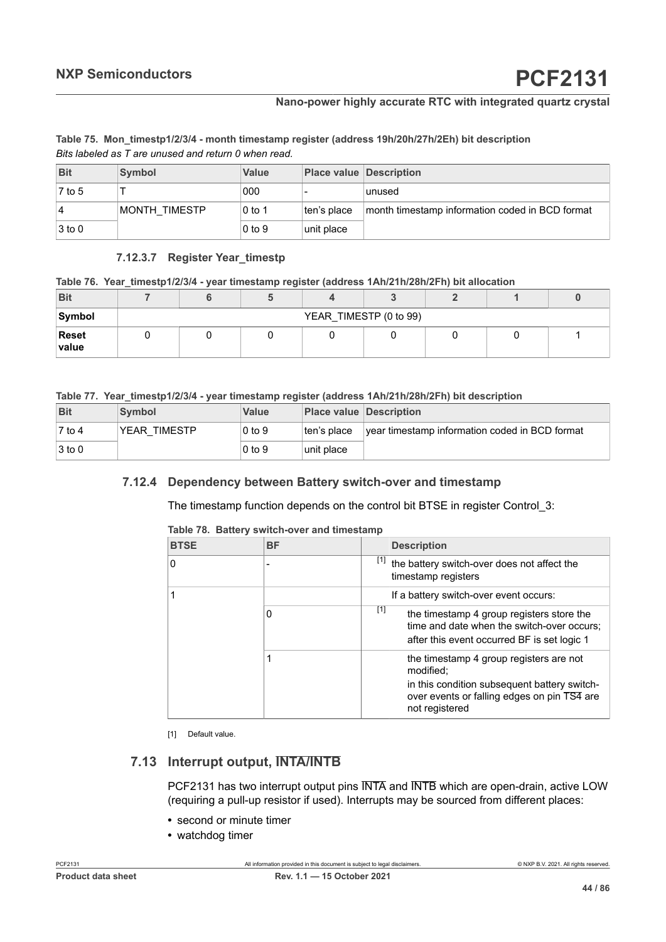#### <span id="page-43-1"></span>*Bits labeled as T are unused and return 0 when read.* **Table 75. Mon\_timestp1/2/3/4 - month timestamp register (address 19h/20h/27h/2Eh) bit description**

| <b>Bit</b> | <b>Symbol</b> | <b>Value</b> | <b>Place value Description</b> |                                                 |
|------------|---------------|--------------|--------------------------------|-------------------------------------------------|
| ⊺7 to 5    |               | 000          |                                | unused                                          |
| 14         | MONTH TIMESTP | $0$ to 1     | ten's place                    | month timestamp information coded in BCD format |
| $3$ to 0   |               | $0$ to $9$   | unit place                     |                                                 |

#### **7.12.3.7 Register Year\_timestp**

#### **Table 76. Year\_timestp1/2/3/4 - year timestamp register (address 1Ah/21h/28h/2Fh) bit allocation**

| Bit                   |                        |  |  |  |  |  |  |  |  |  |
|-----------------------|------------------------|--|--|--|--|--|--|--|--|--|
| Symbol                | YEAR TIMESTP (0 to 99) |  |  |  |  |  |  |  |  |  |
| <b>Reset</b><br>value |                        |  |  |  |  |  |  |  |  |  |

#### **Table 77. Year\_timestp1/2/3/4 - year timestamp register (address 1Ah/21h/28h/2Fh) bit description**

| <b>Bit</b>          | Symbol       | Value      | <b>Place value Description</b> |                                                |
|---------------------|--------------|------------|--------------------------------|------------------------------------------------|
| l 7 to 4            | YEAR TIMESTP | $0$ to $9$ | ⊺ten's place                   | year timestamp information coded in BCD format |
| $ 3 \text{ to } 0 $ |              | $0$ to $9$ | unit place                     |                                                |

# **7.12.4 Dependency between Battery switch-over and timestamp**

<span id="page-43-0"></span>The timestamp function depends on the control bit BTSE in register Control\_3:

| <b>BTSE</b> | <b>BF</b> |       | <b>Description</b>                                                                                                                                                    |
|-------------|-----------|-------|-----------------------------------------------------------------------------------------------------------------------------------------------------------------------|
| $\Omega$    |           | [1]   | the battery switch-over does not affect the<br>timestamp registers                                                                                                    |
|             |           |       | If a battery switch-over event occurs:                                                                                                                                |
|             | 0         | $[1]$ | the timestamp 4 group registers store the<br>time and date when the switch-over occurs;<br>after this event occurred BF is set logic 1                                |
|             |           |       | the timestamp 4 group registers are not<br>modified:<br>in this condition subsequent battery switch-<br>over events or falling edges on pin TS4 are<br>not registered |

#### <span id="page-43-2"></span>**Table 78. Battery switch-over and timestamp**

[1] Default value.

# **7.13 Interrupt output, INTA/INTB**

PCF2131 has two interrupt output pins INTA and INTB which are open-drain, active LOW (requiring a pull-up resistor if used). Interrupts may be sourced from different places:

- **•** second or minute timer
- **•** watchdog timer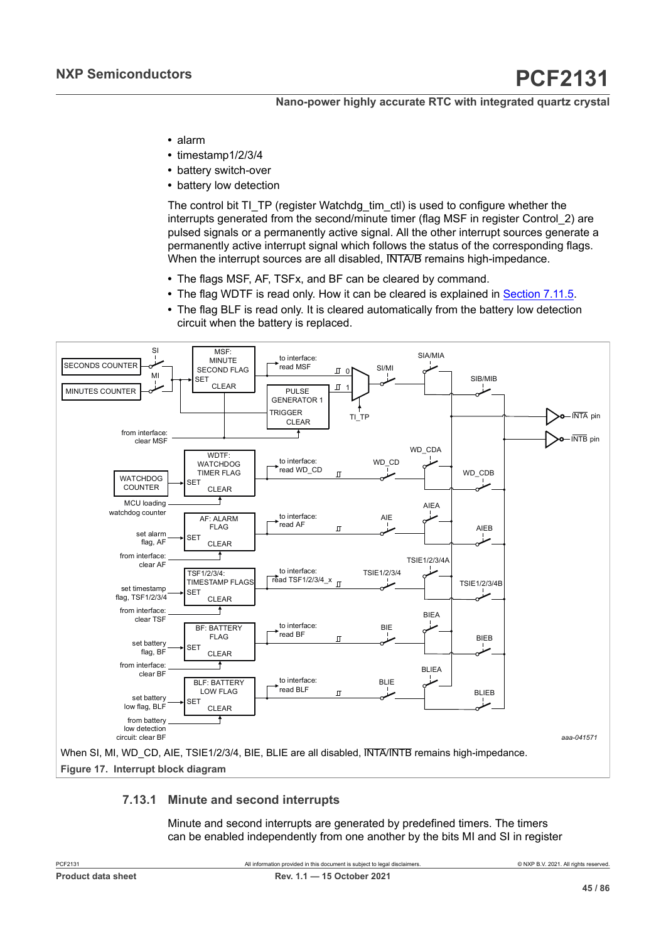- **•** alarm
- **•** timestamp1/2/3/4
- **•** battery switch-over
- **•** battery low detection

The control bit TI\_TP (register Watchdg\_tim\_ctl) is used to configure whether the interrupts generated from the second/minute timer (flag MSF in register Control\_2) are pulsed signals or a permanently active signal. All the other interrupt sources generate a permanently active interrupt signal which follows the status of the corresponding flags. When the interrupt sources are all disabled, INTA/B remains high-impedance.

- **•** The flags MSF, AF, TSFx, and BF can be cleared by command.
- **•** The flag WDTF is read only. How it can be cleared is explained in [Section](#page-38-0) 7.11.5.
- **•** The flag BLF is read only. It is cleared automatically from the battery low detection circuit when the battery is replaced.

<span id="page-44-0"></span>

# **7.13.1 Minute and second interrupts**

<span id="page-44-1"></span>Minute and second interrupts are generated by predefined timers. The timers can be enabled independently from one another by the bits MI and SI in register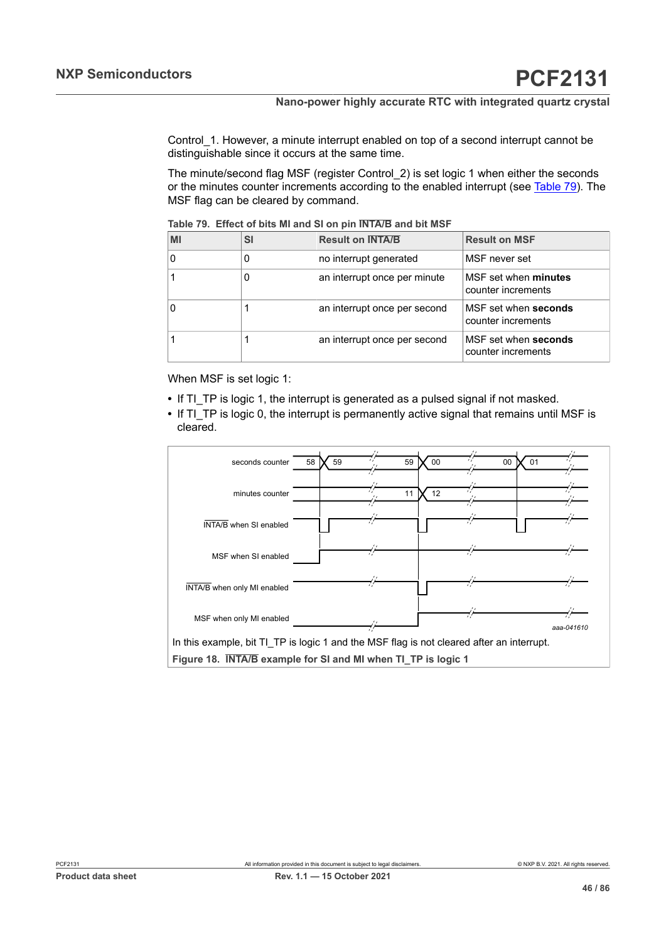Control\_1. However, a minute interrupt enabled on top of a second interrupt cannot be distinguishable since it occurs at the same time.

The minute/second flag MSF (register Control\_2) is set logic 1 when either the seconds or the minutes counter increments according to the enabled interrupt (see [Table](#page-45-0) 79). The MSF flag can be cleared by command.

| MI | SI | <b>Result on INTA/B</b>      | <b>Result on MSF</b>                              |
|----|----|------------------------------|---------------------------------------------------|
| 0  | 0  | no interrupt generated       | MSF never set                                     |
|    |    | an interrupt once per minute | MSF set when <b>minutes</b><br>counter increments |
|    |    | an interrupt once per second | MSF set when seconds<br>counter increments        |
|    |    | an interrupt once per second | MSF set when seconds<br>counter increments        |

<span id="page-45-0"></span>**Table 79. Effect of bits MI and SI on pin INTA/B and bit MSF**

When MSF is set logic 1:

- If TI TP is logic 1, the interrupt is generated as a pulsed signal if not masked.
- If TI TP is logic 0, the interrupt is permanently active signal that remains until MSF is cleared.

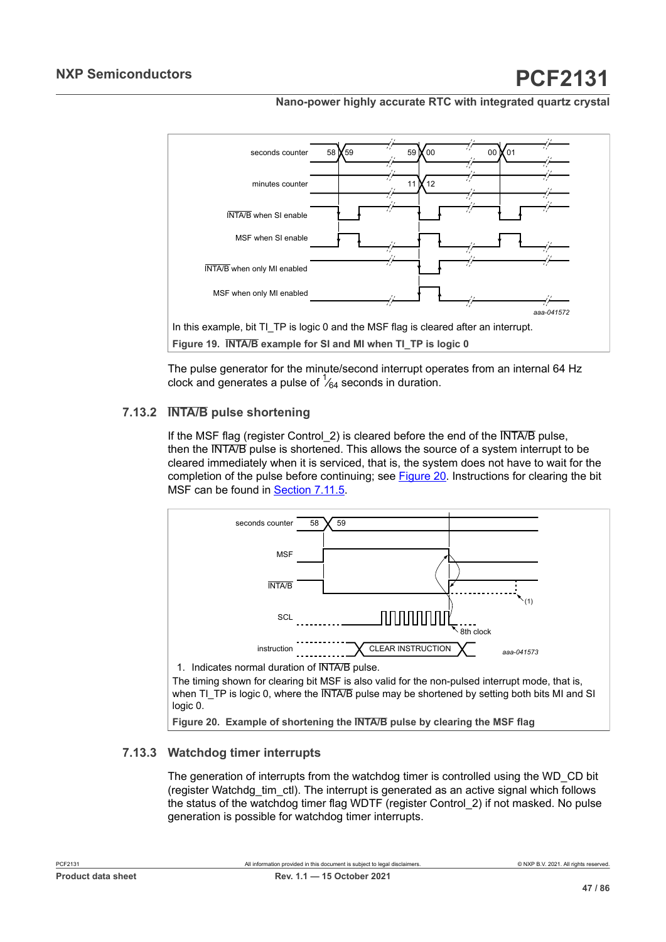

The pulse generator for the minute/second interrupt operates from an internal 64 Hz clock and generates a pulse of  $\frac{1}{64}$  seconds in duration.

# **7.13.2 INTA/B pulse shortening**

If the MSF flag (register Control 2) is cleared before the end of the  $\overline{\text{INTA/B}}$  pulse, then the INTA/B pulse is shortened. This allows the source of a system interrupt to be cleared immediately when it is serviced, that is, the system does not have to wait for the completion of the pulse before continuing; see [Figure 20.](#page-46-0) Instructions for clearing the bit MSF can be found in [Section](#page-38-0) 7.11.5.

<span id="page-46-0"></span>

# **7.13.3 Watchdog timer interrupts**

The generation of interrupts from the watchdog timer is controlled using the WD\_CD bit (register Watchdg\_tim\_ctl). The interrupt is generated as an active signal which follows the status of the watchdog timer flag WDTF (register Control\_2) if not masked. No pulse generation is possible for watchdog timer interrupts.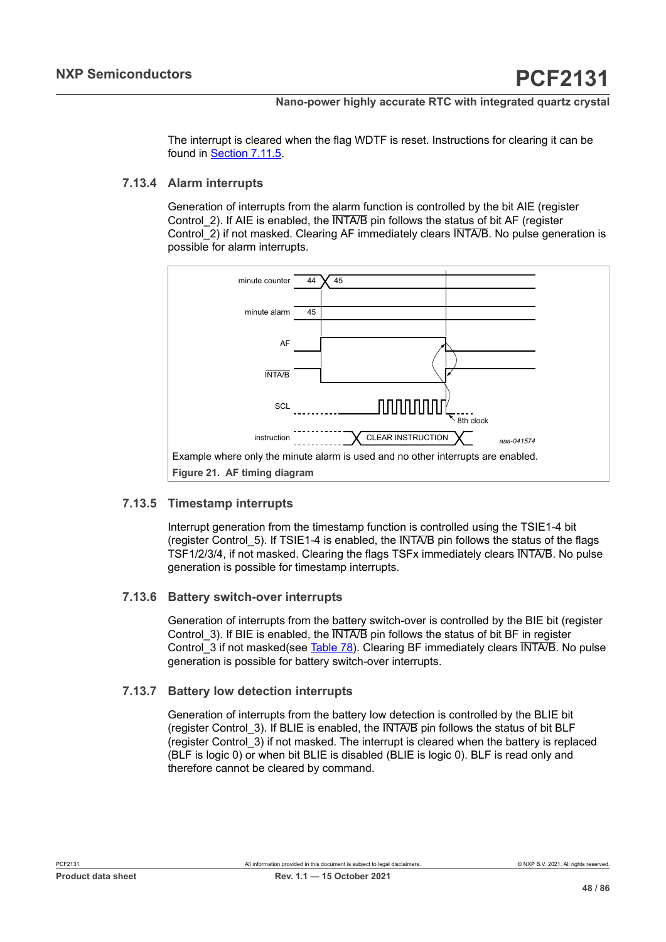The interrupt is cleared when the flag WDTF is reset. Instructions for clearing it can be found in [Section](#page-38-0) 7.11.5.

### **7.13.4 Alarm interrupts**

Generation of interrupts from the alarm function is controlled by the bit AIE (register Control 2). If AIE is enabled, the INTA/B pin follows the status of bit AF (register Control<sup>2</sup>) if not masked. Clearing AF immediately clears **INTA/B**. No pulse generation is possible for alarm interrupts.



# **7.13.5 Timestamp interrupts**

<span id="page-47-0"></span>Interrupt generation from the timestamp function is controlled using the TSIE1-4 bit (register Control\_5). If TSIE1-4 is enabled, the INTA/B pin follows the status of the flags TSF1/2/3/4, if not masked. Clearing the flags TSFx immediately clears INTA/B. No pulse generation is possible for timestamp interrupts.

# **7.13.6 Battery switch-over interrupts**

Generation of interrupts from the battery switch-over is controlled by the BIE bit (register Control 3). If BIE is enabled, the INTA/B pin follows the status of bit BF in register Control 3 if not masked(see [Table](#page-43-2) 78). Clearing BF immediately clears INTA/B. No pulse generation is possible for battery switch-over interrupts.

# **7.13.7 Battery low detection interrupts**

Generation of interrupts from the battery low detection is controlled by the BLIE bit (register Control\_3). If BLIE is enabled, the INTA/B pin follows the status of bit BLF (register Control\_3) if not masked. The interrupt is cleared when the battery is replaced (BLF is logic 0) or when bit BLIE is disabled (BLIE is logic 0). BLF is read only and therefore cannot be cleared by command.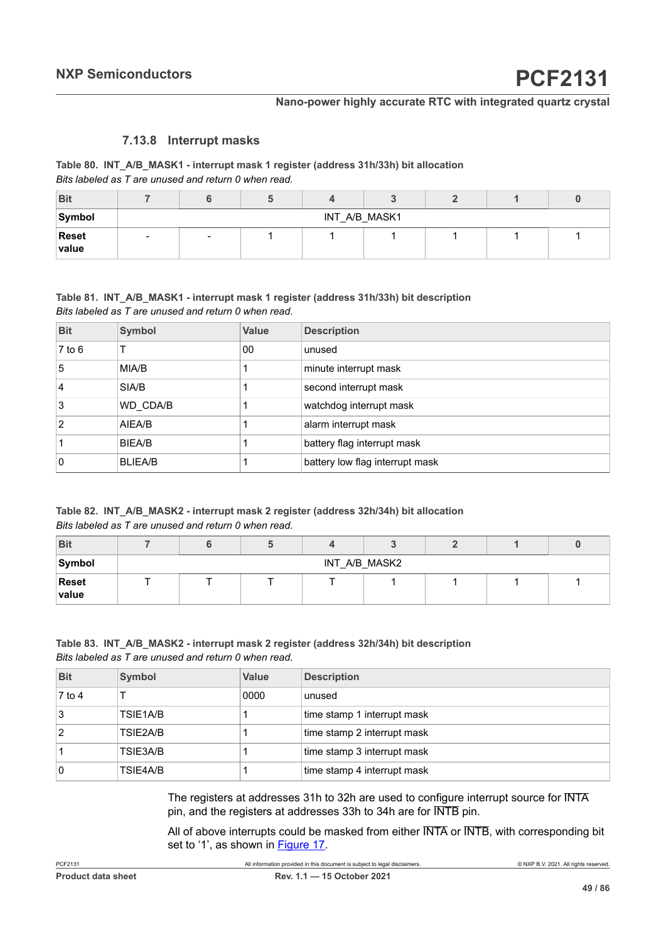### **7.13.8 Interrupt masks**

#### *Bits labeled as T are unused and return 0 when read.* **Table 80. INT\_A/B\_MASK1 - interrupt mask 1 register (address 31h/33h) bit allocation**

| <b>Bit</b>     |                          |        |  |  |  |  |  |  |  |
|----------------|--------------------------|--------|--|--|--|--|--|--|--|
| Symbol         | INT A/B MASK1            |        |  |  |  |  |  |  |  |
| Reset<br>value | $\overline{\phantom{0}}$ | $\sim$ |  |  |  |  |  |  |  |

#### *Bits labeled as T are unused and return 0 when read.* **Table 81. INT\_A/B\_MASK1 - interrupt mask 1 register (address 31h/33h) bit description**

| <b>Bit</b>     | Symbol         | <b>Value</b> | <b>Description</b>              |
|----------------|----------------|--------------|---------------------------------|
| $7$ to $6$     |                | 00           | unused                          |
| 5              | MIA/B          |              | minute interrupt mask           |
| $\overline{4}$ | SIA/B          |              | second interrupt mask           |
| Ι3             | WD CDA/B       |              | watchdog interrupt mask         |
| $\overline{2}$ | AIEA/B         |              | alarm interrupt mask            |
|                | BIEA/B         |              | battery flag interrupt mask     |
| l 0            | <b>BLIEA/B</b> |              | battery low flag interrupt mask |

### *Bits labeled as T are unused and return 0 when read.* **Table 82. INT\_A/B\_MASK2 - interrupt mask 2 register (address 32h/34h) bit allocation**

| <b>Bit</b>     |               |  |  |  |  |  |  |  |  |
|----------------|---------------|--|--|--|--|--|--|--|--|
| Symbol         | INT A/B MASK2 |  |  |  |  |  |  |  |  |
| Reset<br>value |               |  |  |  |  |  |  |  |  |

#### *Bits labeled as T are unused and return 0 when read.* **Table 83. INT\_A/B\_MASK2 - interrupt mask 2 register (address 32h/34h) bit description**

| <b>Bit</b>     | <b>Symbol</b> | <b>Value</b> | <b>Description</b>          |
|----------------|---------------|--------------|-----------------------------|
| $7$ to 4       |               | 0000         | unused                      |
| 3              | TSIE1A/B      |              | time stamp 1 interrupt mask |
| $\overline{2}$ | TSIE2A/B      |              | time stamp 2 interrupt mask |
|                | TSIE3A/B      |              | time stamp 3 interrupt mask |
| 10             | TSIE4A/B      |              | time stamp 4 interrupt mask |

The registers at addresses 31h to 32h are used to configure interrupt source for INTA pin, and the registers at addresses 33h to 34h are for INTB pin.

All of above interrupts could be masked from either  $\overline{\text{INTA}}$  or  $\overline{\text{INTB}}$ , with corresponding bit set to '1', as shown in [Figure 17.](#page-44-0)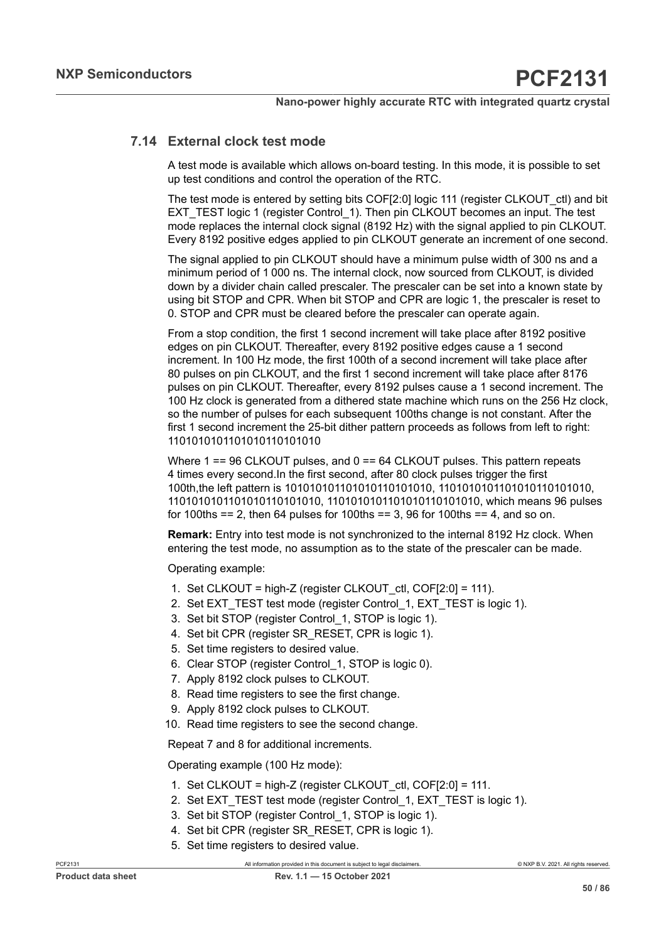# **7.14 External clock test mode**

A test mode is available which allows on-board testing. In this mode, it is possible to set up test conditions and control the operation of the RTC.

The test mode is entered by setting bits COF[2:0] logic 111 (register CLKOUT\_ctl) and bit EXT\_TEST logic 1 (register Control\_1). Then pin CLKOUT becomes an input. The test mode replaces the internal clock signal (8192 Hz) with the signal applied to pin CLKOUT. Every 8192 positive edges applied to pin CLKOUT generate an increment of one second.

The signal applied to pin CLKOUT should have a minimum pulse width of 300 ns and a minimum period of 1000 ns. The internal clock, now sourced from CLKOUT, is divided down by a divider chain called prescaler. The prescaler can be set into a known state by using bit STOP and CPR. When bit STOP and CPR are logic 1, the prescaler is reset to 0. STOP and CPR must be cleared before the prescaler can operate again.

From a stop condition, the first 1 second increment will take place after 8192 positive edges on pin CLKOUT. Thereafter, every 8192 positive edges cause a 1 second increment. In 100 Hz mode, the first 100th of a second increment will take place after 80 pulses on pin CLKOUT, and the first 1 second increment will take place after 8176 pulses on pin CLKOUT. Thereafter, every 8192 pulses cause a 1 second increment. The 100 Hz clock is generated from a dithered state machine which runs on the 256 Hz clock, so the number of pulses for each subsequent 100ths change is not constant. After the first 1 second increment the 25-bit dither pattern proceeds as follows from left to right: 1101010101101010110101010

Where  $1 = 96$  CLKOUT pulses, and  $0 = 64$  CLKOUT pulses. This pattern repeats 4 times every second.In the first second, after 80 clock pulses trigger the first 100th,the left pattern is 101010101101010110101010, 1101010101101010110101010, 1101010101101010110101010, 1101010101101010110101010, which means 96 pulses for 100ths == 2, then 64 pulses for 100ths == 3, 96 for 100ths == 4, and so on.

**Remark:** Entry into test mode is not synchronized to the internal 8192 Hz clock. When entering the test mode, no assumption as to the state of the prescaler can be made.

Operating example:

- 1. Set CLKOUT = high-Z (register CLKOUT\_ctl, COF[2:0] = 111).
- 2. Set EXT\_TEST test mode (register Control\_1, EXT\_TEST is logic 1).
- 3. Set bit STOP (register Control\_1, STOP is logic 1).
- 4. Set bit CPR (register SR\_RESET, CPR is logic 1).
- 5. Set time registers to desired value.
- 6. Clear STOP (register Control\_1, STOP is logic 0).
- 7. Apply 8192 clock pulses to CLKOUT.
- 8. Read time registers to see the first change.
- 9. Apply 8192 clock pulses to CLKOUT.
- 10. Read time registers to see the second change.

Repeat 7 and 8 for additional increments.

Operating example (100 Hz mode):

- 1. Set CLKOUT = high-Z (register CLKOUT\_ctl, COF[2:0] = 111.
- 2. Set EXT\_TEST test mode (register Control\_1, EXT\_TEST is logic 1).
- 3. Set bit STOP (register Control 1, STOP is logic 1).
- 4. Set bit CPR (register SR\_RESET, CPR is logic 1).
- 5. Set time registers to desired value.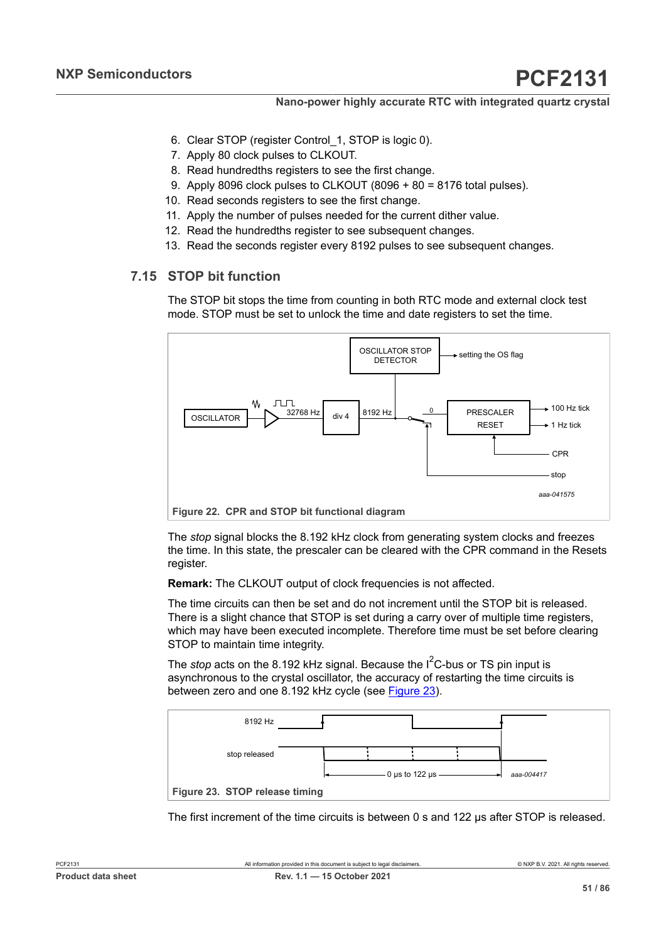- 6. Clear STOP (register Control\_1, STOP is logic 0).
- 7. Apply 80 clock pulses to CLKOUT.
- 8. Read hundredths registers to see the first change.
- 9. Apply 8096 clock pulses to CLKOUT (8096 + 80 = 8176 total pulses).
- 10. Read seconds registers to see the first change.
- 11. Apply the number of pulses needed for the current dither value.
- 12. Read the hundredths register to see subsequent changes.
- 13. Read the seconds register every 8192 pulses to see subsequent changes.

# **7.15 STOP bit function**

The STOP bit stops the time from counting in both RTC mode and external clock test mode. STOP must be set to unlock the time and date registers to set the time.



The *stop* signal blocks the 8.192 kHz clock from generating system clocks and freezes the time. In this state, the prescaler can be cleared with the CPR command in the Resets register.

**Remark:** The CLKOUT output of clock frequencies is not affected.

The time circuits can then be set and do not increment until the STOP bit is released. There is a slight chance that STOP is set during a carry over of multiple time registers, which may have been executed incomplete. Therefore time must be set before clearing STOP to maintain time integrity.

The *stop* acts on the 8.192 kHz signal. Because the I<sup>2</sup>C-bus or TS pin input is asynchronous to the crystal oscillator, the accuracy of restarting the time circuits is between zero and one 8.192 kHz cycle (see [Figure 23](#page-50-0)).

<span id="page-50-0"></span>

The first increment of the time circuits is between 0 s and 122 us after STOP is released.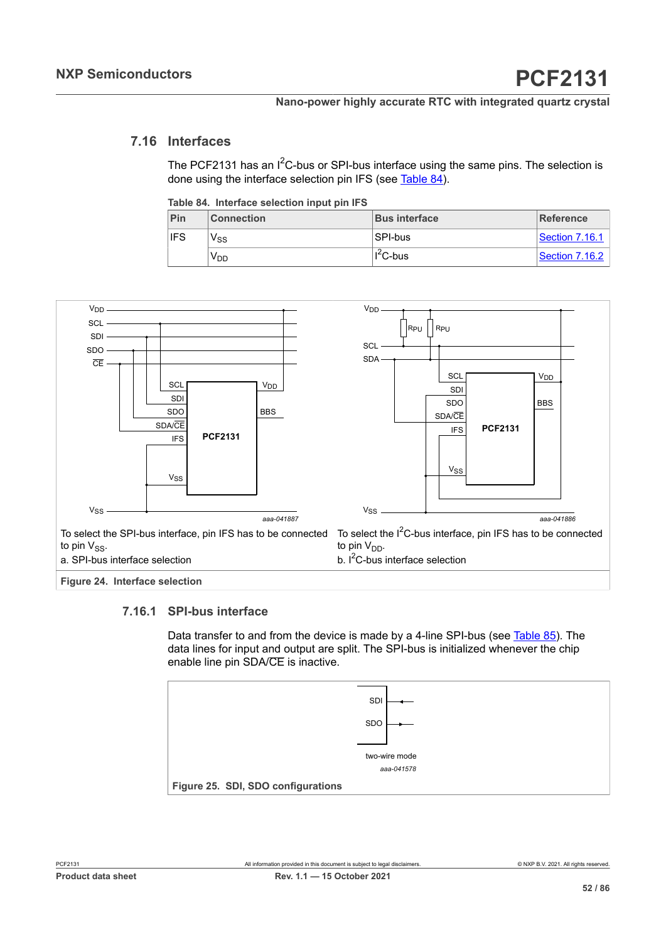# **7.16 Interfaces**

The PCF2131 has an  $I^2C$ -bus or SPI-bus interface using the same pins. The selection is done using the interface selection pin IFS (see [Table](#page-51-0) 84).

<span id="page-51-0"></span>

|  | Table 84. Interface selection input pin IFS |  |  |
|--|---------------------------------------------|--|--|
|  |                                             |  |  |

| Pin        | <b>Connection</b> | <b>Bus interface</b> | <b>Reference</b> |
|------------|-------------------|----------------------|------------------|
| <b>IFS</b> | Vss               | SPI-bus              | Section 7.16.1   |
|            | V <sub>DD</sub>   | $I^2C$ -bus          | Section 7.16.2   |



**Figure 24. Interface selection** 

### **7.16.1 SPI-bus interface**

<span id="page-51-1"></span>Data transfer to and from the device is made by a 4-line SPI-bus (see [Table](#page-52-0) 85). The data lines for input and output are split. The SPI-bus is initialized whenever the chip enable line pin SDA/CE is inactive.

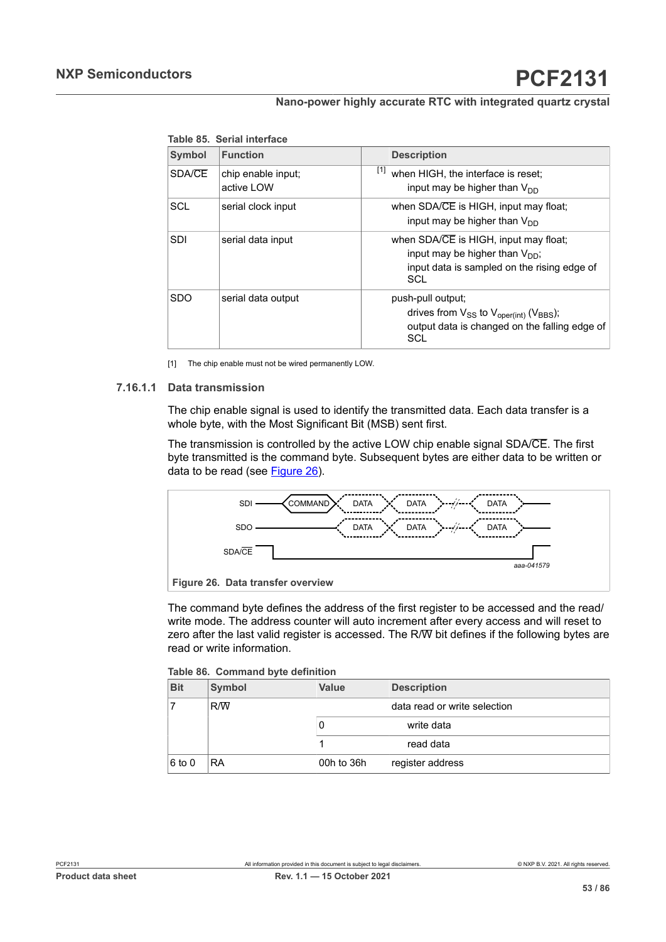|               | rable op.  perial interlace |       |                                                                                                                                     |
|---------------|-----------------------------|-------|-------------------------------------------------------------------------------------------------------------------------------------|
| <b>Symbol</b> | <b>Function</b>             |       | <b>Description</b>                                                                                                                  |
| SDA/CE        | chip enable input;          | $[1]$ | when HIGH, the interface is reset;                                                                                                  |
|               | active LOW                  |       | input may be higher than $V_{DD}$                                                                                                   |
| SCL           | serial clock input          |       | when SDA/CE is HIGH, input may float;<br>input may be higher than $V_{DD}$                                                          |
| <b>SDI</b>    | serial data input           |       | when SDA/CE is HIGH, input may float;<br>input may be higher than $V_{DD}$ ;<br>input data is sampled on the rising edge of<br>SCL  |
| <b>SDO</b>    | serial data output          |       | push-pull output;<br>drives from $V_{SS}$ to $V_{oper(int)}$ ( $V_{BBS}$ );<br>output data is changed on the falling edge of<br>SCL |

<span id="page-52-0"></span>**Table 85. Serial interface**

[1] The chip enable must not be wired permanently LOW.

#### **7.16.1.1 Data transmission**

The chip enable signal is used to identify the transmitted data. Each data transfer is a whole byte, with the Most Significant Bit (MSB) sent first.

The transmission is controlled by the active LOW chip enable signal SDA/CE. The first byte transmitted is the command byte. Subsequent bytes are either data to be written or data to be read (see [Figure 26](#page-52-1)).

<span id="page-52-1"></span>

The command byte defines the address of the first register to be accessed and the read/ write mode. The address counter will auto increment after every access and will reset to zero after the last valid register is accessed. The  $R/\overline{W}$  bit defines if the following bytes are read or write information.

|  |  |  | Table 86. Command byte definition |
|--|--|--|-----------------------------------|
|--|--|--|-----------------------------------|

| <b>Bit</b> | Symbol    | <b>Value</b> | <b>Description</b>           |
|------------|-----------|--------------|------------------------------|
|            | R/W       |              | data read or write selection |
|            |           | 0            | write data                   |
|            |           |              | read data                    |
| $6$ to 0   | <b>RA</b> | 00h to 36h   | register address             |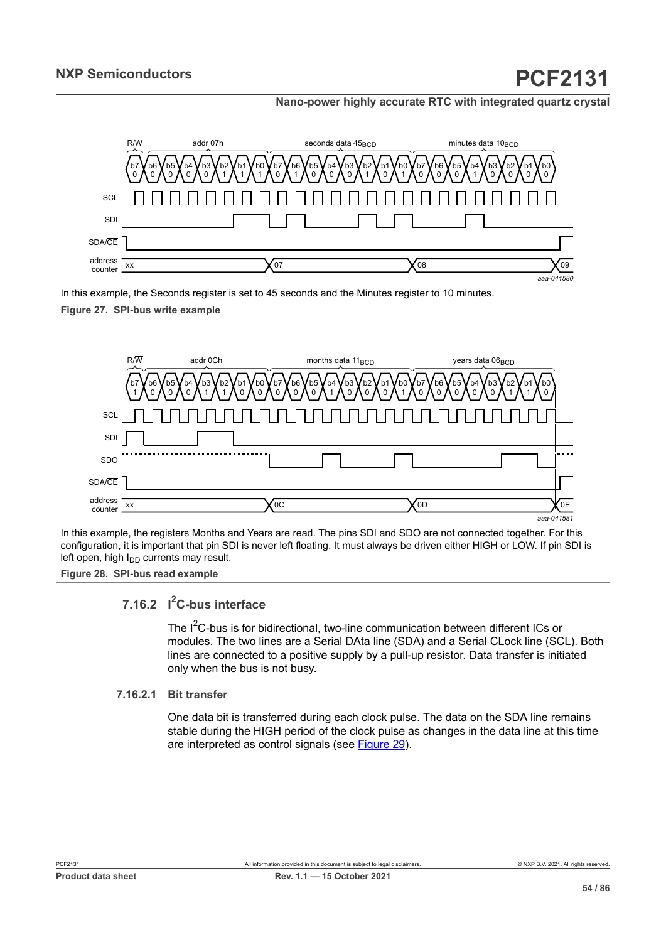



In this example, the registers Months and Years are read. The pins SDI and SDO are not connected together. For this configuration, it is important that pin SDI is never left floating. It must always be driven either HIGH or LOW. If pin SDI is left open, high  $I_{DD}$  currents may result.

**Figure 28. SPI-bus read example**

# **7.16.2 I <sup>2</sup>C-bus interface**

<span id="page-53-0"></span>The I<sup>2</sup>C-bus is for bidirectional, two-line communication between different ICs or modules. The two lines are a Serial DAta line (SDA) and a Serial CLock line (SCL). Both lines are connected to a positive supply by a pull-up resistor. Data transfer is initiated only when the bus is not busy.

#### **7.16.2.1 Bit transfer**

One data bit is transferred during each clock pulse. The data on the SDA line remains stable during the HIGH period of the clock pulse as changes in the data line at this time are interpreted as control signals (see [Figure 29](#page-54-0)).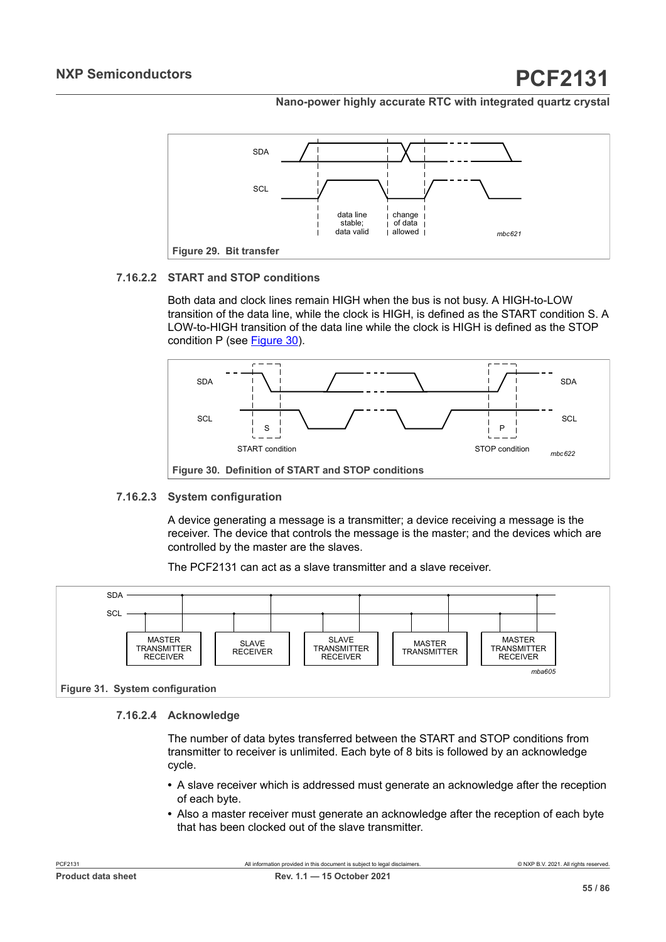<span id="page-54-0"></span>

### **7.16.2.2 START and STOP conditions**

Both data and clock lines remain HIGH when the bus is not busy. A HIGH-to-LOW transition of the data line, while the clock is HIGH, is defined as the START condition S. A LOW-to-HIGH transition of the data line while the clock is HIGH is defined as the STOP condition P (see [Figure 30\)](#page-54-1).

<span id="page-54-1"></span>

#### **7.16.2.3 System configuration**

A device generating a message is a transmitter; a device receiving a message is the receiver. The device that controls the message is the master; and the devices which are controlled by the master are the slaves.

The PCF2131 can act as a slave transmitter and a slave receiver.



#### **7.16.2.4 Acknowledge**

The number of data bytes transferred between the START and STOP conditions from transmitter to receiver is unlimited. Each byte of 8 bits is followed by an acknowledge cycle.

- **•** A slave receiver which is addressed must generate an acknowledge after the reception of each byte.
- **•** Also a master receiver must generate an acknowledge after the reception of each byte that has been clocked out of the slave transmitter.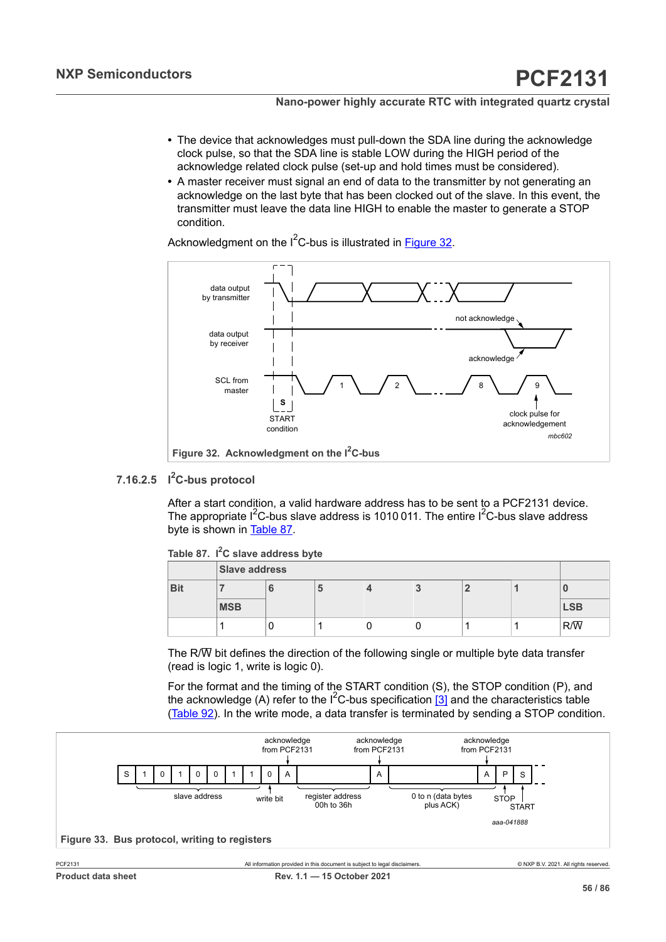- **•** The device that acknowledges must pull-down the SDA line during the acknowledge clock pulse, so that the SDA line is stable LOW during the HIGH period of the acknowledge related clock pulse (set-up and hold times must be considered).
- **•** A master receiver must signal an end of data to the transmitter by not generating an acknowledge on the last byte that has been clocked out of the slave. In this event, the transmitter must leave the data line HIGH to enable the master to generate a STOP condition.

Acknowledgment on the  $I^2C$ -bus is illustrated in [Figure 32](#page-55-0).

<span id="page-55-0"></span>

# **7.16.2.5 I <sup>2</sup>C-bus protocol**

After a start condition, a valid hardware address has to be sent to a PCF2131 device. The appropriate I<sup>2</sup>C-bus slave address is 1010 011. The entire I<sup>2</sup>C-bus slave address byte is shown in [Table](#page-55-1) 87.

<span id="page-55-1"></span>

|  |  |  |  | Table 87. I <sup>2</sup> C slave address byte |  |
|--|--|--|--|-----------------------------------------------|--|
|--|--|--|--|-----------------------------------------------|--|

|            | <b>Slave address</b> |   |   |  |    |  |  |                  |
|------------|----------------------|---|---|--|----|--|--|------------------|
| <b>Bit</b> |                      |   | ю |  | ۰. |  |  |                  |
|            | <b>MSB</b>           |   |   |  |    |  |  | <b>LSB</b>       |
|            |                      | u |   |  | U  |  |  | $R/\overline{W}$ |

The R/W bit defines the direction of the following single or multiple byte data transfer (read is logic 1, write is logic 0).

For the format and the timing of the START condition (S), the STOP condition (P), and the acknowledge (A) refer to the  $I^2C$ -bus specification [\[3\]](#page-77-1) and the characteristics table [\(Table](#page-65-0) 92). In the write mode, a data transfer is terminated by sending a STOP condition.

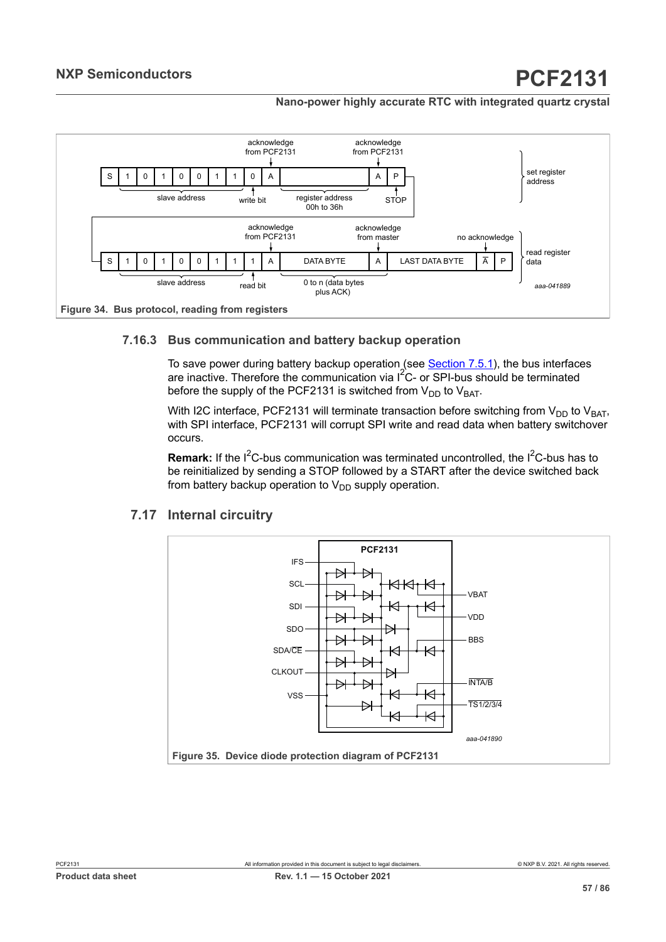

# **7.16.3 Bus communication and battery backup operation**

To save power during battery backup operation (see [Section 7.5.1](#page-17-0)), the bus interfaces are inactive. Therefore the communication via  $I^2C$ - or SPI-bus should be terminated before the supply of the PCF2131 is switched from  $V_{DD}$  to  $V_{BAT}$ .

With I2C interface, PCF2131 will terminate transaction before switching from  $V_{DD}$  to  $V_{BAT}$ , with SPI interface, PCF2131 will corrupt SPI write and read data when battery switchover occurs.

**Remark:** If the I<sup>2</sup>C-bus communication was terminated uncontrolled, the I<sup>2</sup>C-bus has to be reinitialized by sending a STOP followed by a START after the device switched back from battery backup operation to  $V_{DD}$  supply operation.



# **7.17 Internal circuitry**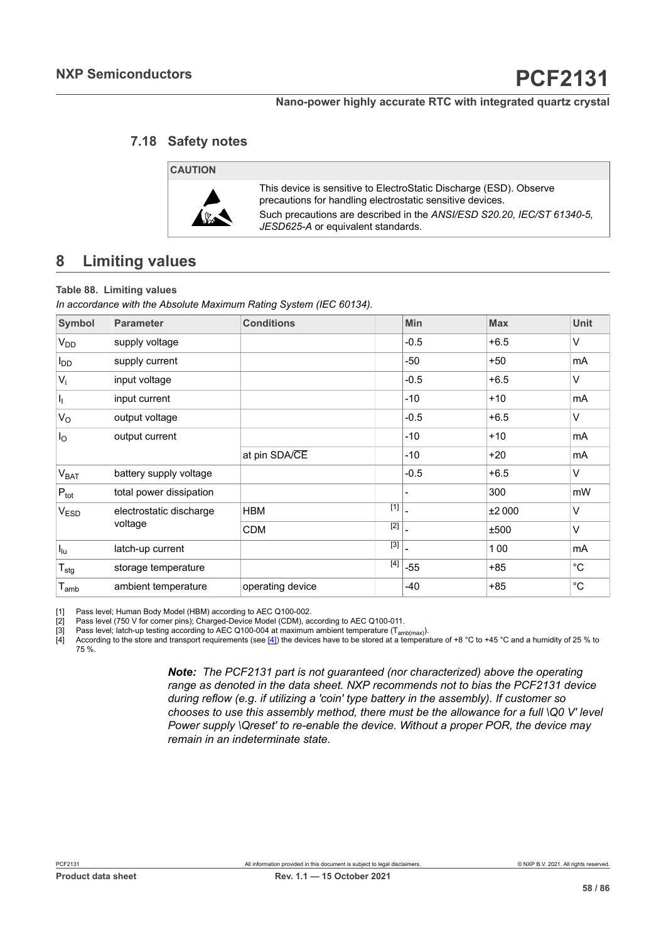# <span id="page-57-3"></span><span id="page-57-2"></span><span id="page-57-1"></span><span id="page-57-0"></span>**7.18 Safety notes**

**CAUTION**



This device is sensitive to ElectroStatic Discharge (ESD). Observe precautions for handling electrostatic sensitive devices. Such precautions are described in the *ANSI/ESD S20.20, IEC/ST 61340-5, JESD625-A* or equivalent standards.

# **8 Limiting values**

#### **Table 88. Limiting values**

*In accordance with the Absolute Maximum Rating System (IEC 60134).*

| Symbol                      | <b>Parameter</b>        | <b>Conditions</b> |       | <b>Min</b> | <b>Max</b> | Unit        |
|-----------------------------|-------------------------|-------------------|-------|------------|------------|-------------|
| V <sub>DD</sub>             | supply voltage          |                   |       | $-0.5$     | $+6.5$     | V           |
| $I_{DD}$                    | supply current          |                   |       | $-50$      | $+50$      | mA          |
| $V_i$                       | input voltage           |                   |       | $-0.5$     | $+6.5$     | V           |
| I <sub>I</sub>              | input current           |                   |       | $-10$      | $+10$      | mA          |
| $V_{\rm O}$                 | output voltage          |                   |       | $-0.5$     | $+6.5$     | V           |
| $I_{\rm O}$                 | output current          |                   |       | $-10$      | $+10$      | mA          |
|                             |                         | at pin SDA/CE     |       | $-10$      | $+20$      | mA          |
| V <sub>BAT</sub>            | battery supply voltage  |                   |       | $-0.5$     | $+6.5$     | V           |
| $P_{\text{tot}}$            | total power dissipation |                   |       |            | 300        | mW          |
| VESD                        | electrostatic discharge | <b>HBM</b>        | $[1]$ |            | ±2000      | V           |
|                             | voltage                 | <b>CDM</b>        | $[2]$ |            | ±500       | V           |
| $I_{lu}$                    | latch-up current        |                   | $[3]$ |            | 100        | mA          |
| $T_{\text{stg}}$            | storage temperature     |                   | $[4]$ | $-55$      | $+85$      | $^{\circ}C$ |
| $\mathsf{T}_{\mathsf{amb}}$ | ambient temperature     | operating device  |       | $-40$      | $+85$      | $^{\circ}C$ |

[1] Pass level; Human Body Model (HBM) according to AEC Q100-002.<br>[2] Pass level (750 V for corner pins); Charged-Device Model (CDM), at

[2] Pass level (750 V for corner pins); Charged-Device Model (CDM), according to AEC Q100-011.<br>[3] Pass level; latch-up testing according to AEC Q100-004 at maximum ambient temperature (T<sub>am</sub>

[3] Pass level; latch-up testing according to AEC Q100-004 at maximum ambient temperature (T<sub>amb(max)</sub>).<br>[4] According to the store and transport requirements (see [4]) the devices have to be stored at a temperature

According to the store and transport requirements (see [\[4\]](#page-77-2)) the devices have to be stored at a temperature of +8 °C to +45 °C and a humidity of 25 % to 75 %.

> *Note: The PCF2131 part is not guaranteed (nor characterized) above the operating range as denoted in the data sheet. NXP recommends not to bias the PCF2131 device during reflow (e.g. if utilizing a 'coin' type battery in the assembly). If customer so chooses to use this assembly method, there must be the allowance for a full \Q0 V' level Power supply \Qreset' to re-enable the device. Without a proper POR, the device may remain in an indeterminate state.*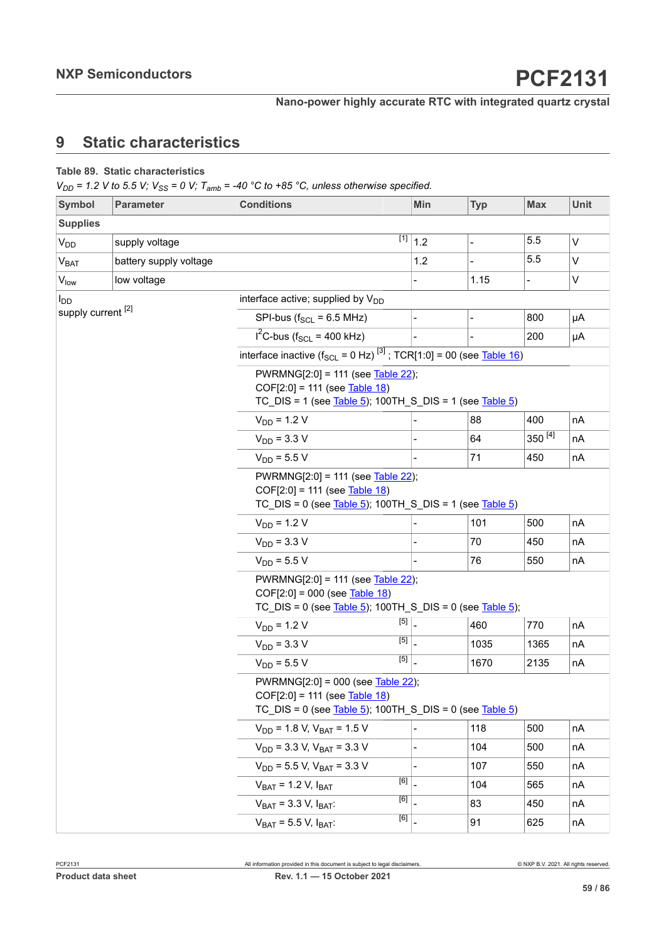# **9 Static characteristics**

### **Table 89. Static characteristics**

*V<sub>DD</sub>* = 1.2 *V* to 5.5 *V*; *V*<sub>SS</sub> = 0 *V*; *T<sub>amb</sub>* = -40 °C to +85 °C, unless otherwise specified.

| Symbol                        | <b>Parameter</b>       | <b>Conditions</b>                                                                                                                                                       |             | Min                      | <b>Typ</b>               | <b>Max</b>         | Unit         |  |  |  |  |
|-------------------------------|------------------------|-------------------------------------------------------------------------------------------------------------------------------------------------------------------------|-------------|--------------------------|--------------------------|--------------------|--------------|--|--|--|--|
| <b>Supplies</b>               |                        |                                                                                                                                                                         |             |                          |                          |                    |              |  |  |  |  |
| $V_{DD}$                      | supply voltage         |                                                                                                                                                                         |             | $\overline{[1]}$ 1.2     | $\overline{a}$           | 5.5                | $\vee$       |  |  |  |  |
| V <sub>BAT</sub>              | battery supply voltage |                                                                                                                                                                         |             | 1.2                      |                          | 5.5                | $\mathsf{V}$ |  |  |  |  |
| V <sub>low</sub>              | low voltage            |                                                                                                                                                                         |             |                          | 1.15                     |                    | $\mathsf{V}$ |  |  |  |  |
| $I_{DD}$                      |                        | interface active; supplied by V <sub>DD</sub>                                                                                                                           |             |                          |                          |                    |              |  |  |  |  |
| supply current <sup>[2]</sup> |                        | SPI-bus ( $f_{SCL}$ = 6.5 MHz)                                                                                                                                          |             | $\overline{\phantom{0}}$ | $\overline{\phantom{0}}$ | 800                | μA           |  |  |  |  |
|                               |                        | $I^2C$ -bus (f <sub>SCL</sub> = 400 kHz)                                                                                                                                |             |                          |                          | 200                | μA           |  |  |  |  |
|                               |                        | interface inactive $(f_{SCL} = 0 Hz)^{[3]}$ ; TCR[1:0] = 00 (see Table 16)                                                                                              |             |                          |                          |                    |              |  |  |  |  |
|                               |                        | PWRMNG[2:0] = 111 (see Table 22);<br>COF[2:0] = 111 (see Table 18)<br>TC_DIS = 1 (see $\overline{\text{Table 5}}$ ); 100TH_S_DIS = 1 (see $\overline{\text{Table 5}}$ ) |             |                          |                          |                    |              |  |  |  |  |
|                               |                        | $V_{DD}$ = 1.2 V                                                                                                                                                        |             |                          | 88                       | 400                | nA           |  |  |  |  |
|                               |                        | $V_{DD}$ = 3.3 V                                                                                                                                                        |             |                          | 64                       | 350 <sup>[4]</sup> | nA           |  |  |  |  |
|                               |                        | $V_{DD}$ = 5.5 V                                                                                                                                                        |             |                          | 71                       | 450                | nA           |  |  |  |  |
|                               |                        | PWRMNG[2:0] = 111 (see Table 22);<br>COF[2:0] = 111 (see Table 18)<br>TC DIS = $0$ (see Table 5); 100TH S DIS = 1 (see Table 5)                                         |             |                          |                          |                    |              |  |  |  |  |
|                               |                        | $V_{DD}$ = 1.2 V                                                                                                                                                        |             |                          | 101                      | 500                | nA           |  |  |  |  |
|                               |                        | $V_{DD}$ = 3.3 V                                                                                                                                                        |             |                          | 70                       | 450                | nA           |  |  |  |  |
|                               |                        | $V_{DD}$ = 5.5 V                                                                                                                                                        |             |                          | 76                       | 550                | nA           |  |  |  |  |
|                               |                        | PWRMNG[2:0] = 111 (see Table 22);<br>$COF[2:0] = 000$ (see Table 18)<br>TC_DIS = 0 (see Table 5); 100TH_S_DIS = 0 (see Table 5);                                        |             |                          |                          |                    |              |  |  |  |  |
|                               |                        | $V_{DD}$ = 1.2 V                                                                                                                                                        | $\boxed{5}$ |                          | 460                      | 770                | nA           |  |  |  |  |
|                               |                        | $V_{DD}$ = 3.3 V                                                                                                                                                        | [5]         |                          | 1035                     | 1365               | nA           |  |  |  |  |
|                               |                        | $V_{DD}$ = 5.5 V                                                                                                                                                        | $\boxed{5}$ |                          | 1670                     | 2135               | nA           |  |  |  |  |
|                               |                        | PWRMNG[2:0] = 000 (see Table 22);<br>$COF[2:0] = 111$ (see Table 18)<br>TC_DIS = $0$ (see Table $5$ ); 100TH_S_DIS = $0$ (see Table $5$ )                               |             |                          |                          |                    |              |  |  |  |  |
|                               |                        | $V_{DD}$ = 1.8 V, $V_{BAT}$ = 1.5 V                                                                                                                                     |             | $\overline{\phantom{0}}$ | 118                      | 500                | nA           |  |  |  |  |
|                               |                        | $V_{DD}$ = 3.3 V, $V_{BAT}$ = 3.3 V                                                                                                                                     |             |                          | 104                      | 500                | nA           |  |  |  |  |
|                               |                        | $V_{DD}$ = 5.5 V, $V_{BAT}$ = 3.3 V                                                                                                                                     |             |                          | 107                      | 550                | nA           |  |  |  |  |
|                               |                        | $V_{BAT}$ = 1.2 V, $I_{BAT}$                                                                                                                                            | [6]         |                          | 104                      | 565                | nA           |  |  |  |  |
|                               |                        | $V_{BAT} = 3.3 V, I_{BAT}$ :                                                                                                                                            | [6]         |                          | 83                       | 450                | nA           |  |  |  |  |
|                               |                        | $V_{BAT}$ = 5.5 V, $I_{BAT}$ :                                                                                                                                          | $\boxed{6}$ |                          | 91                       | 625                | nA           |  |  |  |  |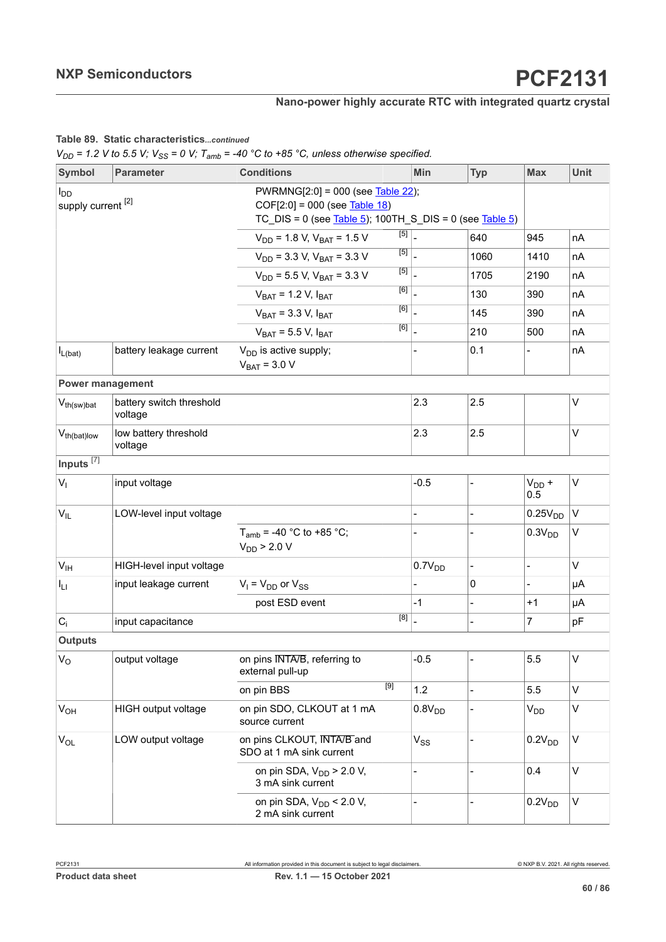#### **Table 89. Static characteristics***...continued*

 $V_{DD}$  = 1.2 V to 5.5 V;  $V_{SS}$  = 0 V;  $T_{amb}$  = -40 °C to +85 °C, unless otherwise specified.

| <b>Symbol</b>                             | <b>Parameter</b>                    | <b>Conditions</b>                                                                                                                                                         |             | Min                | <b>Typ</b>               | <b>Max</b>               | <b>Unit</b> |
|-------------------------------------------|-------------------------------------|---------------------------------------------------------------------------------------------------------------------------------------------------------------------------|-------------|--------------------|--------------------------|--------------------------|-------------|
| $I_{DD}$<br>supply current <sup>[2]</sup> |                                     | PWRMNG[2:0] = 000 (see Table 22);<br>$COF[2:0] = 000$ (see Table 18)<br>TC_DIS = 0 (see $\overline{\text{Table 5}}$ ); 100TH_S_DIS = 0 (see $\overline{\text{Table 5}}$ ) |             |                    |                          |                          |             |
|                                           |                                     | $V_{DD}$ = 1.8 V, $V_{BAT}$ = 1.5 V                                                                                                                                       | $\boxed{5}$ |                    | 640                      | 945                      | nА          |
|                                           |                                     | $V_{DD}$ = 3.3 V, $V_{BAT}$ = 3.3 V                                                                                                                                       | $\boxed{5}$ |                    | 1060                     | 1410                     | nА          |
|                                           |                                     | $V_{DD}$ = 5.5 V, $V_{BAT}$ = 3.3 V                                                                                                                                       | $\boxed{5}$ |                    | 1705                     | 2190                     | nA          |
|                                           |                                     | $V_{BAT}$ = 1.2 V, $I_{BAT}$                                                                                                                                              | [6]         |                    | 130                      | 390                      | nA          |
|                                           |                                     | $V_{BAT}$ = 3.3 V, $I_{BAT}$                                                                                                                                              | [6]         |                    | 145                      | 390                      | nA          |
|                                           |                                     | $V_{BAT}$ = 5.5 V, $I_{BAT}$                                                                                                                                              | [6]         |                    | 210                      | 500                      | nA          |
| $I_{L(bat)}$                              | battery leakage current             | $V_{DD}$ is active supply;<br>$V_{BAT}$ = 3.0 V                                                                                                                           |             |                    | 0.1                      |                          | nA          |
| <b>Power management</b>                   |                                     |                                                                                                                                                                           |             |                    |                          |                          |             |
| $V_{th(sw)bat}$                           | battery switch threshold<br>voltage |                                                                                                                                                                           |             | 2.3                | 2.5                      |                          | V           |
| $V_{th(bat)low}$                          | low battery threshold<br>voltage    |                                                                                                                                                                           |             | 2.3                | 2.5                      |                          | V           |
| Inputs <sup>[7]</sup>                     |                                     |                                                                                                                                                                           |             |                    |                          |                          |             |
| V <sub>1</sub>                            | input voltage                       |                                                                                                                                                                           |             | $-0.5$             |                          | $V_{DD}$ +<br>0.5        | V           |
| $V_{IL}$                                  | LOW-level input voltage             |                                                                                                                                                                           |             | $\overline{a}$     | $\overline{\phantom{0}}$ | 0.25V <sub>DD</sub>      | V           |
|                                           |                                     | $T_{amb}$ = -40 °C to +85 °C;<br>$V_{DD}$ > 2.0 V                                                                                                                         |             |                    | $\overline{a}$           | 0.3V <sub>DD</sub>       | V           |
| V <sub>IH</sub>                           | HIGH-level input voltage            |                                                                                                                                                                           |             | 0.7V <sub>DD</sub> | $\frac{1}{2}$            | $\overline{\phantom{a}}$ | V           |
| Iц                                        | input leakage current               | $V_1 = V_{DD}$ or $V_{SS}$                                                                                                                                                |             |                    | 0                        |                          | μA          |
|                                           |                                     | post ESD event                                                                                                                                                            |             | $-1$               | $\overline{a}$           | $+1$                     | μA          |
| $C_i$                                     | input capacitance                   |                                                                                                                                                                           | $\boxed{8}$ |                    | $\blacksquare$           | $\overline{7}$           | рF          |
| <b>Outputs</b>                            |                                     |                                                                                                                                                                           |             |                    |                          |                          |             |
| $V_{\rm O}$                               | output voltage                      | on pins INTA/B, referring to<br>external pull-up                                                                                                                          |             | $-0.5$             | $\frac{1}{2}$            | 5.5                      | V           |
|                                           |                                     | on pin BBS                                                                                                                                                                | $[9]$       | 1.2                | $\overline{a}$           | 5.5                      | V           |
| $V_{OH}$                                  | HIGH output voltage                 | on pin SDO, CLKOUT at 1 mA<br>source current                                                                                                                              |             | 0.8V <sub>DD</sub> | $\blacksquare$           | $V_{DD}$                 | V           |
| $V_{OL}$                                  | LOW output voltage                  | on pins CLKOUT, INTA/B and<br>SDO at 1 mA sink current                                                                                                                    |             | $V_{SS}$           |                          | 0.2V <sub>DD</sub>       | V           |
|                                           |                                     | on pin SDA, $V_{DD}$ > 2.0 V,<br>3 mA sink current                                                                                                                        |             | $\overline{a}$     | $\overline{a}$           | 0.4                      | V           |
|                                           |                                     | on pin SDA, $V_{DD}$ < 2.0 V,<br>2 mA sink current                                                                                                                        |             | $\blacksquare$     | $\overline{a}$           | 0.2V <sub>DD</sub>       | V           |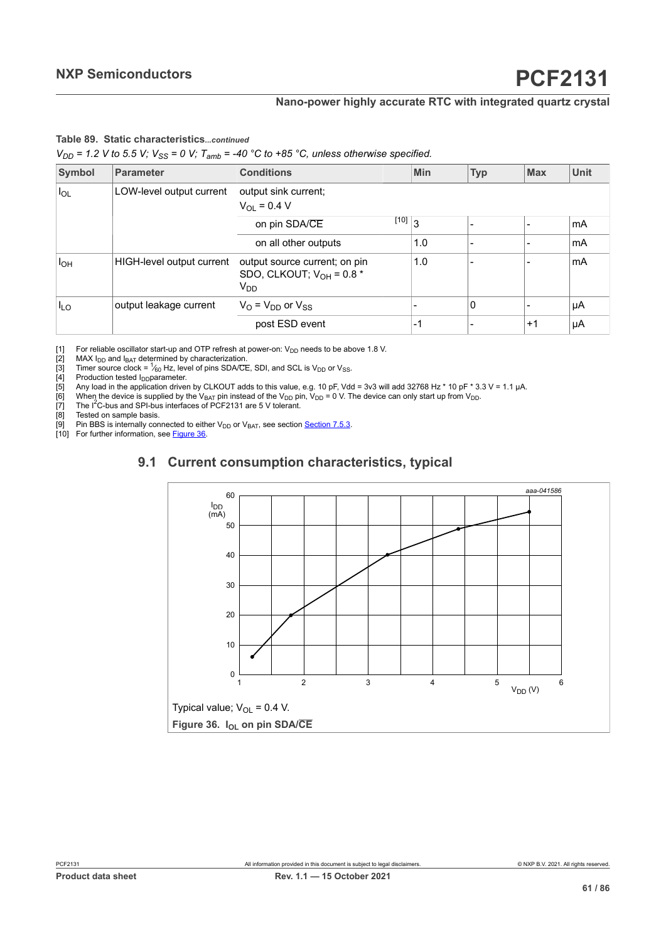#### <span id="page-60-0"></span>**Table 89. Static characteristics***...continued*

<span id="page-60-5"></span><span id="page-60-1"></span> $V_{DD}$  = 1.2 V to 5.5 V;  $V_{SS}$  = 0 V;  $T_{amb}$  = -40 °C to +85 °C, unless otherwise specified.

<span id="page-60-9"></span><span id="page-60-8"></span><span id="page-60-7"></span><span id="page-60-6"></span><span id="page-60-4"></span><span id="page-60-3"></span><span id="page-60-2"></span>

| Symbol   | <b>Parameter</b>          | <b>Conditions</b>                                                                 |                | Min            | <b>Typ</b>               | <b>Max</b>     | Unit |
|----------|---------------------------|-----------------------------------------------------------------------------------|----------------|----------------|--------------------------|----------------|------|
| $I_{OL}$ | LOW-level output current  | output sink current;<br>$V_{\Omega I} = 0.4 V$                                    |                |                |                          |                |      |
|          |                           | on pin SDA/CE                                                                     | $\boxed{10}$ 3 |                | $\overline{\phantom{a}}$ | $\blacksquare$ | mA   |
|          |                           | on all other outputs                                                              |                | 1.0            | $\overline{\phantom{a}}$ | $\blacksquare$ | mA   |
| $I_{OH}$ | HIGH-level output current | output source current; on pin<br>SDO, CLKOUT; $V_{OH} = 0.8$ *<br>V <sub>DD</sub> |                | 1.0            |                          |                | mA   |
| $I_{LO}$ | output leakage current    | $V_{\rm O}$ = $V_{\rm DD}$ or $V_{\rm SS}$                                        |                | $\blacksquare$ | $\mathbf 0$              |                | μA   |
|          |                           | post ESD event                                                                    |                | -1             |                          | $+1$           | μA   |

[2] MAX l<sub>DD</sub> and l<sub>BAT</sub> determined by characterization.<br>[3] Timer source clock = <sup>1</sup>⁄<sub>60</sub> Hz, level of pins SDA/CE, SDI, and SCL is V<sub>DD</sub> or V<sub>SS</sub>.

Production tested I<sub>DD</sub>parameter.

[1] For reliable oscillator start-up and OTP refresh at power-on:  $V_{DD}$  needs to be above 1.8 V.<br>
[2] MAX  $I_{DD}$  and  $I_{BAT}$  determined by characterization.<br>
[3] Timer source clock =  $\frac{1}{60}$  Hz, level of pins SDA/CE, S Fig. Any load in the application driven by CLKOUT adds to this value, e.g. 10 pF, Vdd = 3v3 will add 32768 Hz \* 10 pF \* 3.3 V = 1.1 µA.<br>[6] When the device is supplied by the V<sub>BAT</sub> pin instead of the V<sub>DD</sub> pin, V<sub>DD</sub> = 0

[6] When the device is supplied by the V<sub>BAT</sub> pin instead of the V<sub>DD</sub> pin, V<sub>DD</sub> = 0 V. The device can only start up from V<sub>DD</sub>.<br>[7] The I<sup>2</sup>C-bus and SPI-bus interfaces of PCF2131 are 5 V tolerant.

[8] Tested on sample basis.<br>[8] Tested on sample basis.<br>[9] Pin BBS is internally con

Pin BBS is internally connected to either V<sub>DD</sub> or V<sub>BAT</sub>, see section <u>Section 7.5.3</u>.

[10] For further information, see [Figure 36.](#page-60-10)

# **9.1 Current consumption characteristics, typical**

<span id="page-60-10"></span>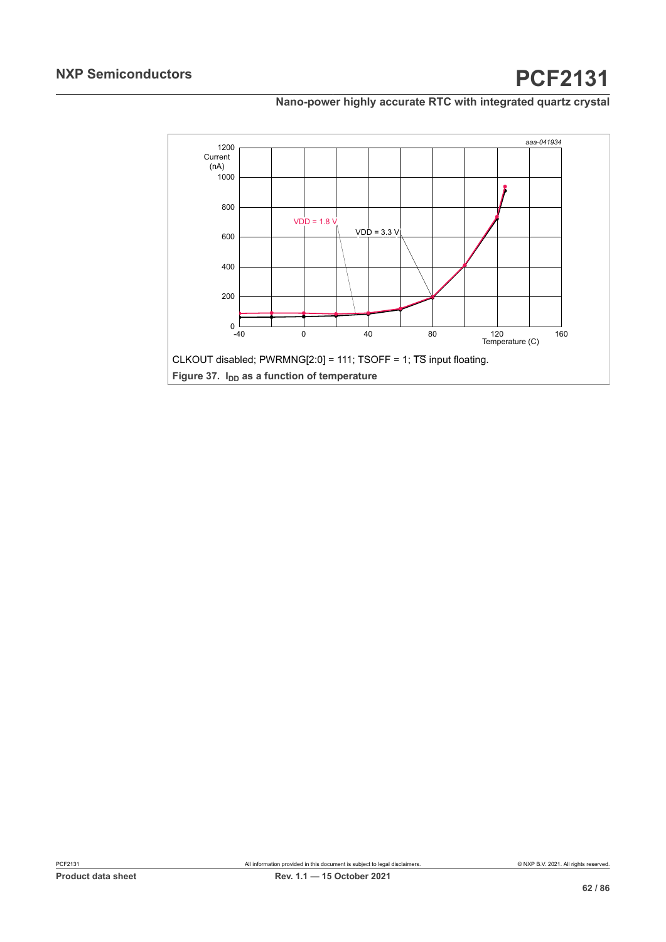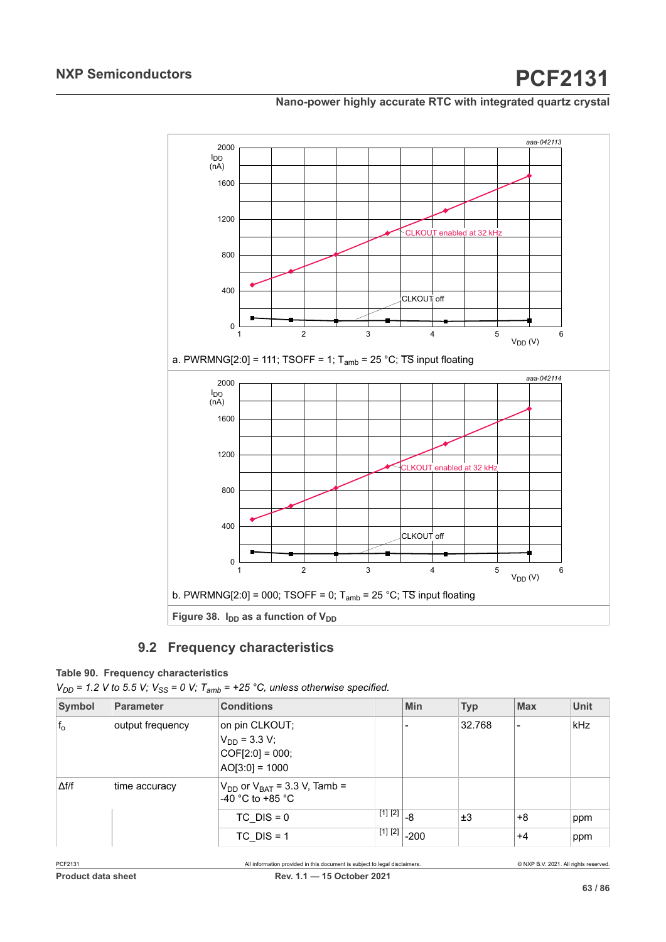

# **9.2 Frequency characteristics**

# **Table 90. Frequency characteristics**

*V<sub>DD</sub>* = 1.2 *V* to 5.5 *V*; *V*<sub>SS</sub> = 0 *V*; *T<sub>amb</sub>* = +25 °C, unless otherwise specified.

| Symbol       | <b>Parameter</b> | <b>Conditions</b>                                                            |                            | <b>Min</b>               | <b>Typ</b> | <b>Max</b>               | <b>Unit</b> |
|--------------|------------------|------------------------------------------------------------------------------|----------------------------|--------------------------|------------|--------------------------|-------------|
| $f_{o}$      | output frequency | on pin CLKOUT;<br>$V_{DD}$ = 3.3 V;<br>$COF[2:0] = 000;$<br>$AO[3:0] = 1000$ |                            |                          | 32.768     | $\overline{\phantom{0}}$ | <b>kHz</b>  |
| $\Delta f/f$ | time accuracy,   | $V_{DD}$ or $V_{BAT}$ = 3.3 V, Tamb =<br>-40 °C to +85 °C                    |                            |                          |            |                          |             |
|              |                  | TC $DIS = 0$                                                                 | $\sqrt{11}$ [2] $\vert$ -8 |                          | ±3         | +8                       | ppm         |
|              |                  | $TC$ DIS = 1                                                                 |                            | $\frac{1}{[1] [2]}$ -200 |            | $+4$                     | ppm         |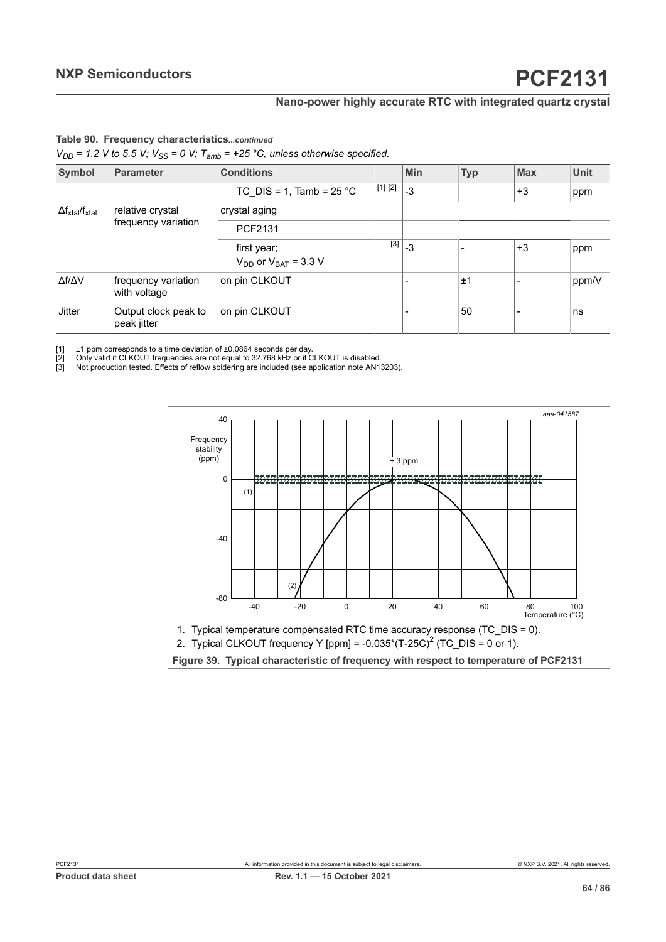# <span id="page-63-0"></span>**Table 90. Frequency characteristics***...continued*

<span id="page-63-2"></span><span id="page-63-1"></span> $V_{DD}$  = 1.2 V to 5.5 V;  $V_{SS}$  = 0 V;  $T_{amb}$  = +25 °C, unless otherwise specified.

| Symbol                                                                | Parameter                           | <b>Conditions</b>                            |         | Min             | <b>Typ</b> | <b>Max</b> | <b>Unit</b> |
|-----------------------------------------------------------------------|-------------------------------------|----------------------------------------------|---------|-----------------|------------|------------|-------------|
|                                                                       |                                     | TC DIS = 1, Tamb = $25^{\circ}$ C            | [1] [2] | $-3$            |            | $+3$       | ppm         |
| $\Delta f_{xtal}/f_{xtal}$<br>relative crystal<br>frequency variation |                                     | crystal aging                                |         |                 |            |            |             |
|                                                                       |                                     | PCF2131                                      |         |                 |            |            |             |
|                                                                       |                                     | first year;<br>$V_{DD}$ or $V_{BAT}$ = 3.3 V | [3]     | $\overline{-3}$ |            | $+3$       | ppm         |
| Δf/ΔV                                                                 | frequency variation<br>with voltage | on pin CLKOUT                                |         |                 | ±1         |            | ppm/V       |
| <b>Jitter</b>                                                         | Output clock peak to<br>peak jitter | on pin CLKOUT                                |         |                 | 50         | -          | ns          |

 $[1]$   $\pm$ 1 ppm corresponds to a time deviation of  $\pm$ 0.0864 seconds per day.

[2] Only valid if CLKOUT frequencies are not equal to 32.768 kHz or if CLKOUT is disabled.

[3] Not production tested. Effects of reflow soldering are included (see application note AN13203).

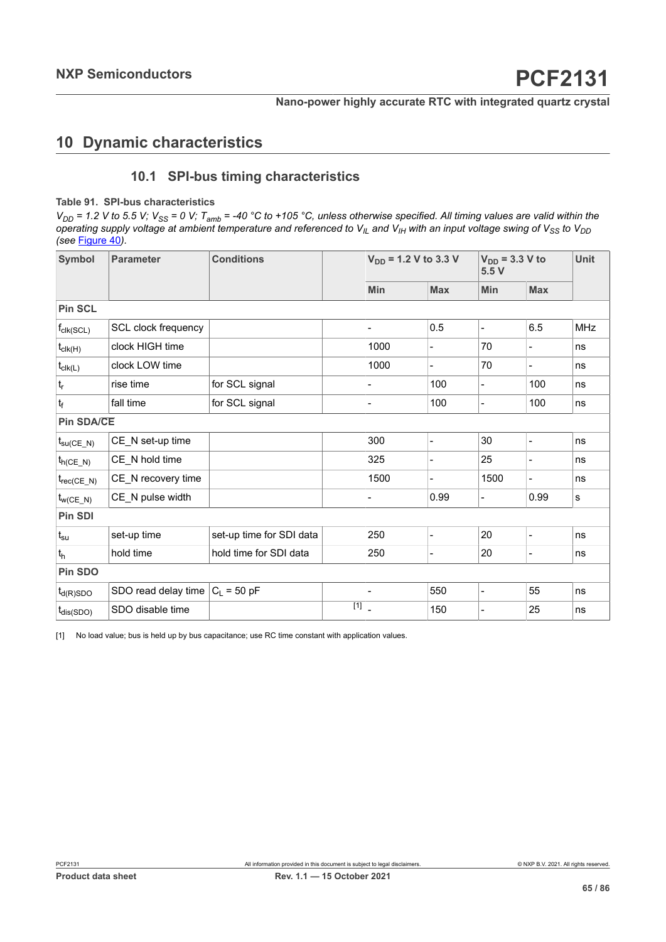# **10 Dynamic characteristics**

# <span id="page-64-0"></span>**10.1 SPI-bus timing characteristics**

#### **Table 91. SPI-bus characteristics**

*V<sub>DD</sub>* = 1.2 V to 5.5 V; V<sub>SS</sub> = 0 V; T<sub>amb</sub> = -40 °C to +105 °C, unless otherwise specified. All timing values are valid within the *operating supply voltage at ambient temperature and referenced to VIL and VIH with an input voltage swing of VSS to VDD (see* [Figure 40](#page-65-1)*).*

| Symbol                         | <b>Parameter</b>                   | <b>Conditions</b>        | $V_{DD}$ = 1.2 V to 3.3 V |                              |                          | $V_{DD}$ = 3.3 V to<br>5.5V  |                          | <b>Unit</b> |
|--------------------------------|------------------------------------|--------------------------|---------------------------|------------------------------|--------------------------|------------------------------|--------------------------|-------------|
|                                |                                    |                          |                           | <b>Min</b>                   | <b>Max</b>               | Min                          | <b>Max</b>               |             |
| <b>Pin SCL</b>                 |                                    |                          |                           |                              |                          |                              |                          |             |
| $f_{\text{clk}(\text{SCL})}$   | SCL clock frequency                |                          |                           | $\qquad \qquad \blacksquare$ | 0.5                      | $\qquad \qquad \blacksquare$ | 6.5                      | <b>MHz</b>  |
| $t_{\mathsf{clk}(\mathsf{H})}$ | clock HIGH time                    |                          |                           | 1000                         |                          | 70                           |                          | ns          |
| $t_{\text{clk}(L)}$            | clock LOW time                     |                          |                           | 1000                         | $\overline{a}$           | 70                           | $\overline{a}$           | ns          |
| $t_{\sf r}$                    | rise time                          | for SCL signal           |                           |                              | 100                      | $\blacksquare$               | 100                      | ns          |
| $t_f$                          | fall time                          | for SCL signal           |                           | $\overline{\phantom{0}}$     | 100                      | $\blacksquare$               | 100                      | ns          |
| <b>Pin SDA/CE</b>              |                                    |                          |                           |                              |                          |                              |                          |             |
| $t_{\text{su(CE_N)}}$          | CE_N set-up time                   |                          |                           | 300                          | $\overline{a}$           | 30                           | $\overline{a}$           | ns          |
| $t_{h(CE_N)}$                  | CE_N hold time                     |                          |                           | 325                          | $\overline{a}$           | 25                           | $\overline{a}$           | ns          |
| $t_{rec(CE_N)}$                | CE_N recovery time                 |                          |                           | 1500                         | $\overline{\phantom{0}}$ | 1500                         | $\overline{\phantom{0}}$ | ns          |
| $t_{w(CE_N)}$                  | CE_N pulse width                   |                          |                           | $\blacksquare$               | 0.99                     | $\overline{\phantom{a}}$     | 0.99                     | s           |
| Pin SDI                        |                                    |                          |                           |                              |                          |                              |                          |             |
| $t_{\rm su}$                   | set-up time                        | set-up time for SDI data |                           | 250                          | $\overline{a}$           | 20                           | $\overline{a}$           | ns          |
| $t_h$                          | hold time                          | hold time for SDI data   |                           | 250                          |                          | 20                           | $\overline{a}$           | ns          |
| Pin SDO                        |                                    |                          |                           |                              |                          |                              |                          |             |
| $t_{d(R)SDO}$                  | SDO read delay time $ C_L = 50$ pF |                          |                           |                              | 550                      | L.                           | 55                       | ns          |
| $t_{dis(SDO)}$                 | SDO disable time                   |                          | $[1]$                     |                              | 150                      | Ē,                           | 25                       | ns          |

[1] No load value; bus is held up by bus capacitance; use RC time constant with application values.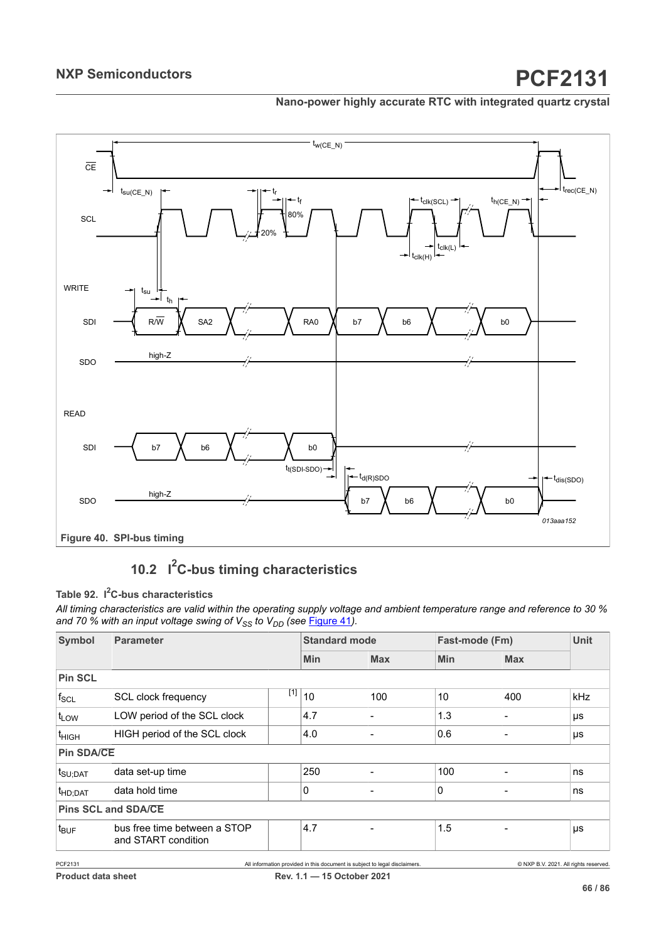<span id="page-65-1"></span>

# <span id="page-65-0"></span>**10.2 I <sup>2</sup>C-bus timing characteristics**

#### **Table 92. I <sup>2</sup>C-bus characteristics**

*All timing characteristics are valid within the operating supply voltage and ambient temperature range and reference to 30 % and 70 % with an input voltage swing of V<sub>SS</sub> to V<sub>DD</sub> (see [Figure 41](#page-66-0)).* 

| <b>Symbol</b>       | <b>Parameter</b>                                    |     | <b>Standard mode</b> |                                                                            | Fast-mode (Fm) |            | Unit                                  |
|---------------------|-----------------------------------------------------|-----|----------------------|----------------------------------------------------------------------------|----------------|------------|---------------------------------------|
|                     |                                                     |     | <b>Min</b>           | <b>Max</b>                                                                 | <b>Min</b>     | <b>Max</b> |                                       |
| <b>Pin SCL</b>      |                                                     |     |                      |                                                                            |                |            |                                       |
| $f_{\rm SCL}$       | SCL clock frequency                                 | [1] | 10                   | 100                                                                        | 10             | 400        | kHz                                   |
| t <sub>LOW</sub>    | LOW period of the SCL clock                         |     | 4.7                  |                                                                            | 1.3            |            | μs                                    |
| $t_{\text{HIGH}}$   | HIGH period of the SCL clock                        |     | 4.0                  |                                                                            | 0.6            |            | μs                                    |
| <b>Pin SDA/CE</b>   |                                                     |     |                      |                                                                            |                |            |                                       |
| $t_{\text{SU;DAT}}$ | data set-up time                                    |     | 250                  |                                                                            | 100            |            | ns                                    |
| $ t_{HD;DAT} $      | data hold time                                      |     | $\Omega$             |                                                                            | 0              |            | ns                                    |
|                     | <b>Pins SCL and SDA/CE</b>                          |     |                      |                                                                            |                |            |                                       |
| $t_{\mathsf{BUF}}$  | bus free time between a STOP<br>and START condition |     | 4.7                  |                                                                            | 1.5            |            | μs                                    |
| PCF2131             |                                                     |     |                      | All information provided in this document is subject to legal disclaimers. |                |            | © NXP B.V. 2021. All rights reserved. |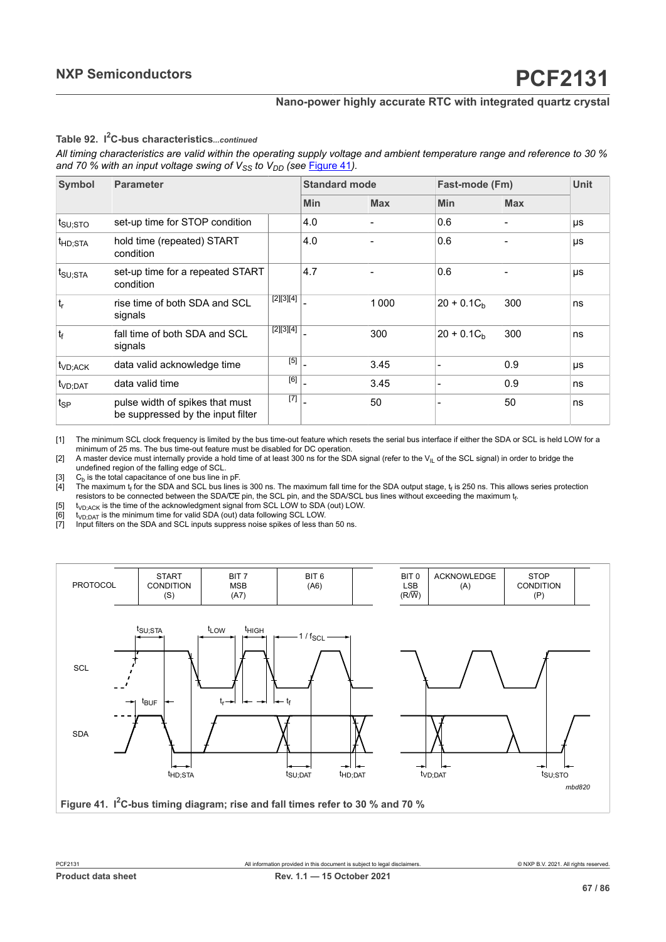#### <span id="page-66-1"></span>**Table 92. I <sup>2</sup>C-bus characteristics***...continued*

<span id="page-66-2"></span>*All timing characteristics are valid within the operating supply voltage and ambient temperature range and reference to 30 % and 70 % with an input voltage swing of V<sub>SS</sub> to V<sub>DD</sub> (see [Figure 41](#page-66-0)).* 

<span id="page-66-7"></span><span id="page-66-6"></span><span id="page-66-5"></span><span id="page-66-4"></span><span id="page-66-3"></span>

| <b>Symbol</b>       | <b>Parameter</b>                                                     |             | <b>Standard mode</b> |            | Fast-mode (Fm) |            | <b>Unit</b> |
|---------------------|----------------------------------------------------------------------|-------------|----------------------|------------|----------------|------------|-------------|
|                     |                                                                      |             | <b>Min</b>           | <b>Max</b> | <b>Min</b>     | <b>Max</b> |             |
| t <sub>su:STO</sub> | set-up time for STOP condition                                       |             | 4.0                  |            | 0.6            |            | μs          |
| t <sub>HD;STA</sub> | hold time (repeated) START<br>condition                              |             | 4.0                  |            | 0.6            |            | μs          |
| t <sub>SU;STA</sub> | set-up time for a repeated START<br>condition                        |             | 4.7                  |            | 0.6            |            | μs          |
| $t_{r}$             | rise time of both SDA and SCL<br>signals                             | $[2][3][4]$ |                      | 1000       | $20 + 0.1C_h$  | 300        | ns          |
| $t_{f}$             | fall time of both SDA and SCL<br>signals                             | $[2][3][4]$ |                      | 300        | $20 + 0.1C_h$  | 300        | ns          |
| t <sub>VD;ACK</sub> | data valid acknowledge time                                          | $[5]$       |                      | 3.45       |                | 0.9        | μs          |
| t <sub>VD;DAT</sub> | data valid time                                                      | [6]         |                      | 3.45       |                | 0.9        | ns          |
| t <sub>SP</sub>     | pulse width of spikes that must<br>be suppressed by the input filter | $[7]$       |                      | 50         |                | 50         | ns          |

[1] The minimum SCL clock frequency is limited by the bus time-out feature which resets the serial bus interface if either the SDA or SCL is held LOW for a minimum of 25 ms. The bus time-out feature must be disabled for DC operation.

[2] A master device must internally provide a hold time of at least 300 ns for the SDA signal (refer to the V<sub>IL</sub> of the SCL signal) in order to bridge the undefined region of the falling edge of SCL.

[3] C<sub>b</sub> is the total capacitance of one bus line in pF.<br>[4] The maximum  $t_f$  for the SDA and SCL bus lines

[4]  $\;$  The maximum t<sub>f</sub> for the SDA and SCL bus lines is 300 ns. The maximum fall time for the SDA output stage, t<sub>f</sub> is 250 ns. This allows series protection resistors to be connected between the SDA/CE pin, the SCL pin, and the SDA/SCL bus lines without exceeding the maximum t<sub>f</sub>.

[5]  $t_{VD,ACK}$  is the time of the acknowledgment signal from SCL LOW to SDA (out) LOW.<br>[6]  $t_{VD:DATA}$  is the minimum time for valid SDA (out) data following SCL LOW.

 $\begin{bmatrix} 6 \\ 10 \end{bmatrix}$  ty<sub>D;DAT</sub> is the minimum time for valid SDA (out) data following SCL LOW.<br>[7] Input filters on the SDA and SCL inputs suppress noise spikes of less th

Input filters on the SDA and SCL inputs suppress noise spikes of less than 50 ns.

<span id="page-66-0"></span>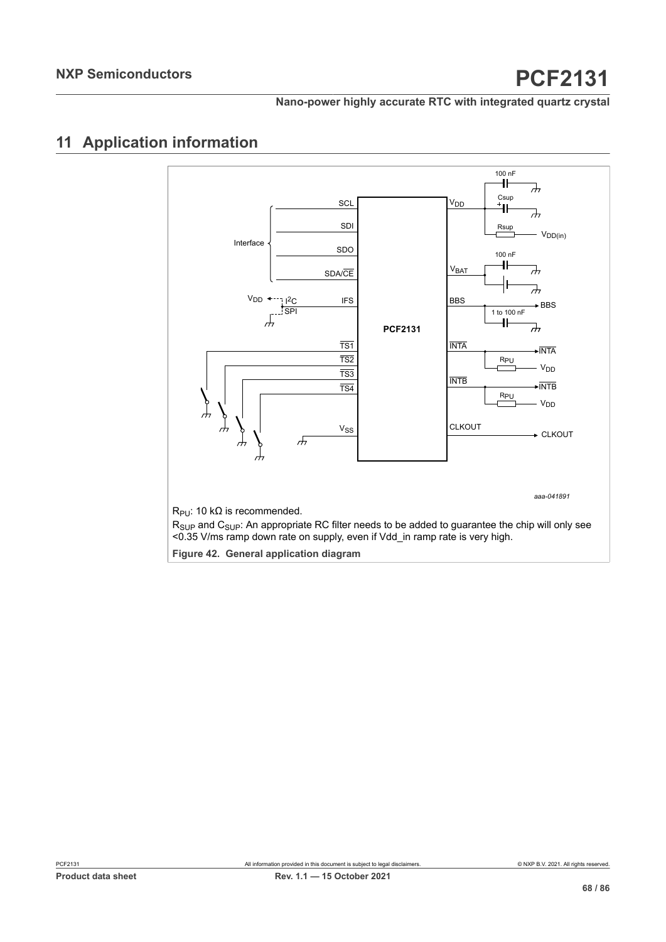# **11 Application information**

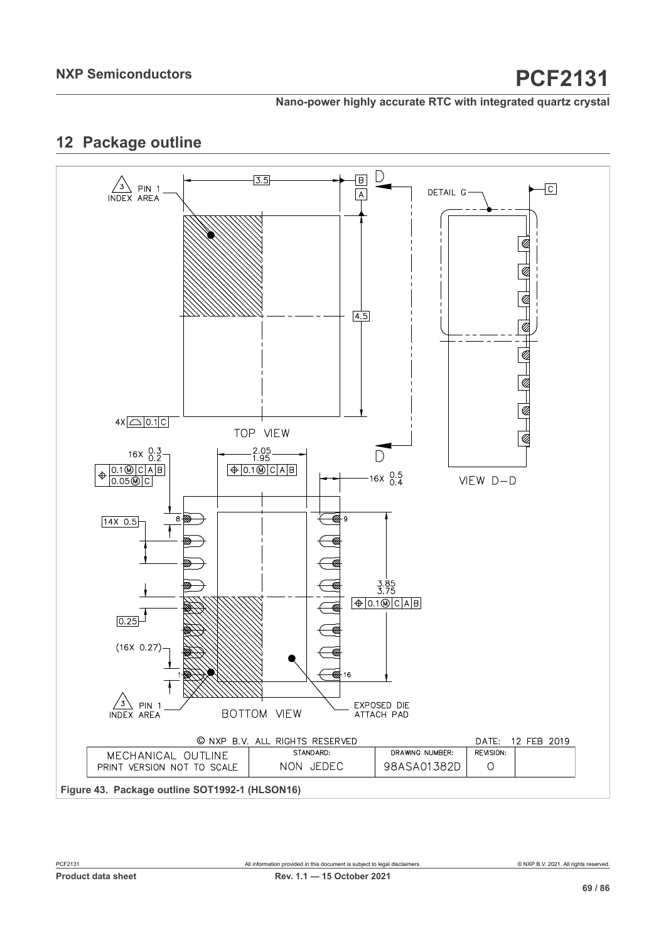# **12 Package outline**

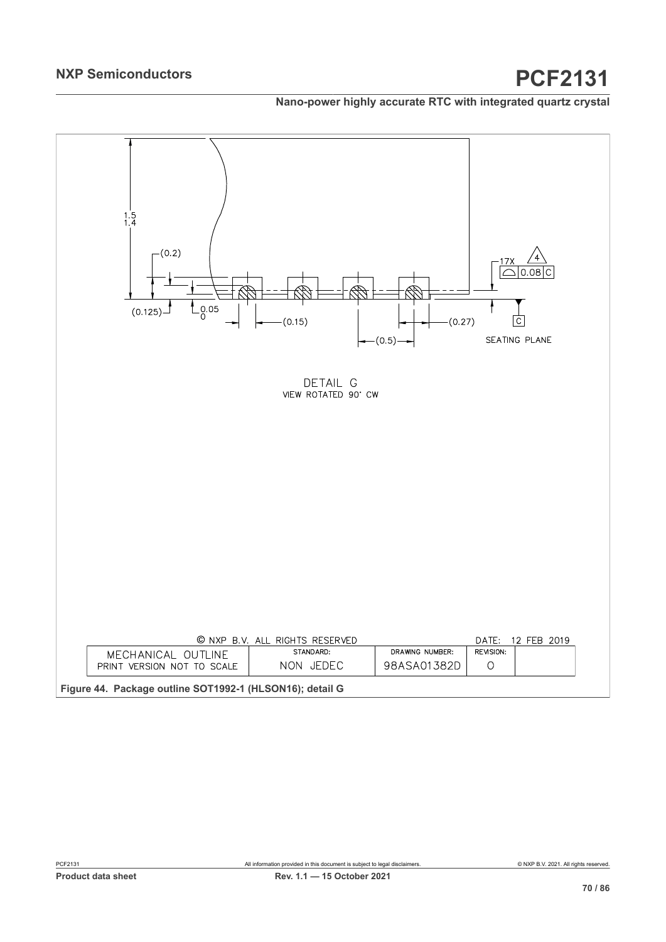# **NXP Semiconductors PCF2131**

# **Nano-power highly accurate RTC with integrated quartz crystal**

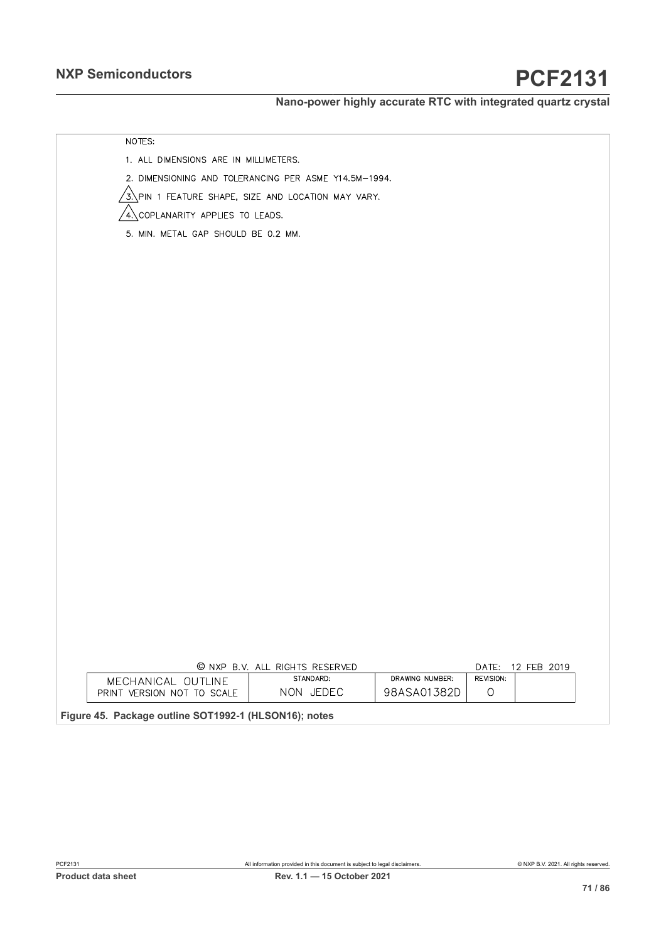# **NXP Semiconductors PCF2131**

## **Nano-power highly accurate RTC with integrated quartz crystal**

| 2. DIMENSIONING AND TOLERANCING PER ASME Y14.5M-1994.<br>3. PIN 1 FEATURE SHAPE, SIZE AND LOCATION MAY VARY. |                                             |                                                           |
|--------------------------------------------------------------------------------------------------------------|---------------------------------------------|-----------------------------------------------------------|
|                                                                                                              |                                             |                                                           |
|                                                                                                              |                                             |                                                           |
|                                                                                                              |                                             |                                                           |
|                                                                                                              |                                             |                                                           |
|                                                                                                              |                                             |                                                           |
|                                                                                                              |                                             |                                                           |
|                                                                                                              |                                             |                                                           |
|                                                                                                              |                                             |                                                           |
|                                                                                                              |                                             |                                                           |
|                                                                                                              |                                             |                                                           |
|                                                                                                              |                                             |                                                           |
|                                                                                                              |                                             |                                                           |
|                                                                                                              |                                             |                                                           |
|                                                                                                              |                                             |                                                           |
|                                                                                                              |                                             |                                                           |
|                                                                                                              |                                             |                                                           |
|                                                                                                              |                                             |                                                           |
|                                                                                                              |                                             |                                                           |
|                                                                                                              |                                             |                                                           |
|                                                                                                              |                                             |                                                           |
|                                                                                                              |                                             |                                                           |
|                                                                                                              |                                             |                                                           |
|                                                                                                              |                                             |                                                           |
|                                                                                                              |                                             |                                                           |
|                                                                                                              |                                             |                                                           |
|                                                                                                              |                                             |                                                           |
|                                                                                                              |                                             |                                                           |
|                                                                                                              |                                             |                                                           |
|                                                                                                              |                                             |                                                           |
|                                                                                                              |                                             |                                                           |
|                                                                                                              |                                             | DATE: 12 FEB 2019                                         |
|                                                                                                              |                                             |                                                           |
|                                                                                                              | © NXP B.V. ALL RIGHTS RESERVED<br>NON JEDEC | DRAWING NUMBER:<br>REVISION:<br>98ASA01382D<br>$\bigcirc$ |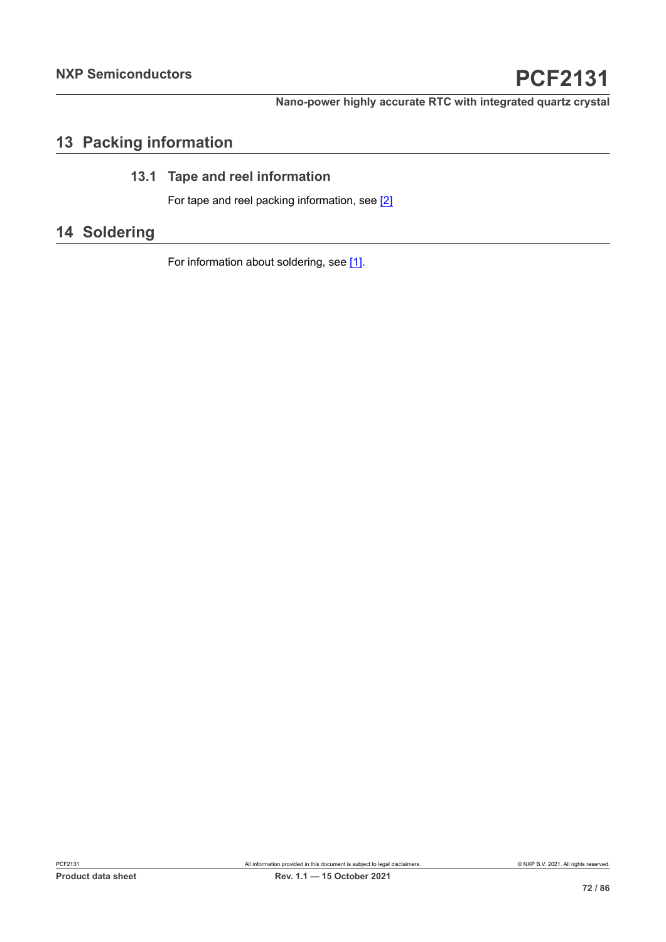# **13 Packing information**

# **13.1 Tape and reel information**

For tape and reel packing information, see [\[2\]](#page-77-3)

# **14 Soldering**

For information about soldering, see [\[1\].](#page-77-0)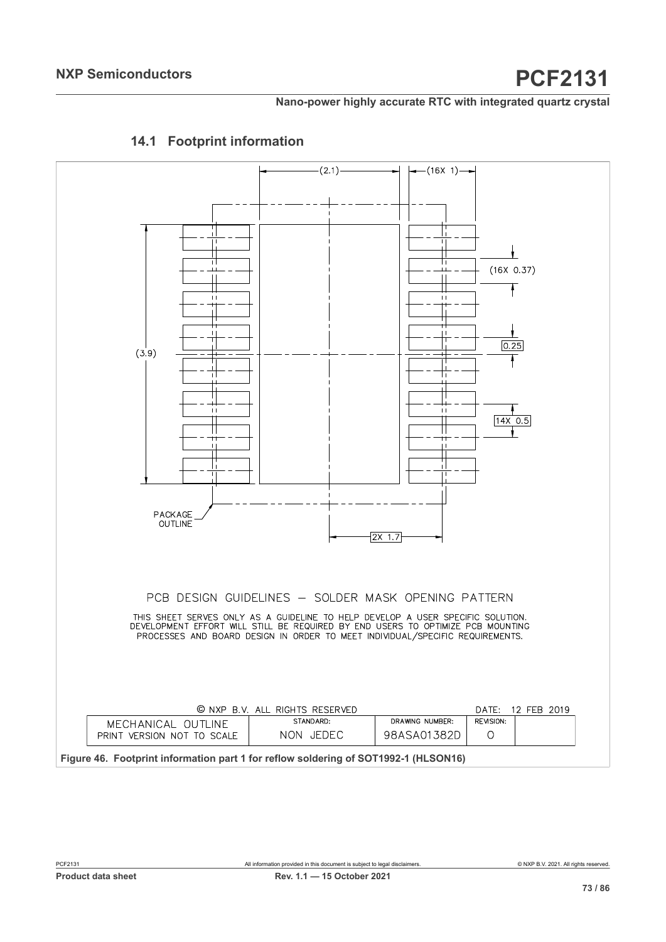<span id="page-72-0"></span>

#### <span id="page-72-1"></span>**14.1 Footprint information**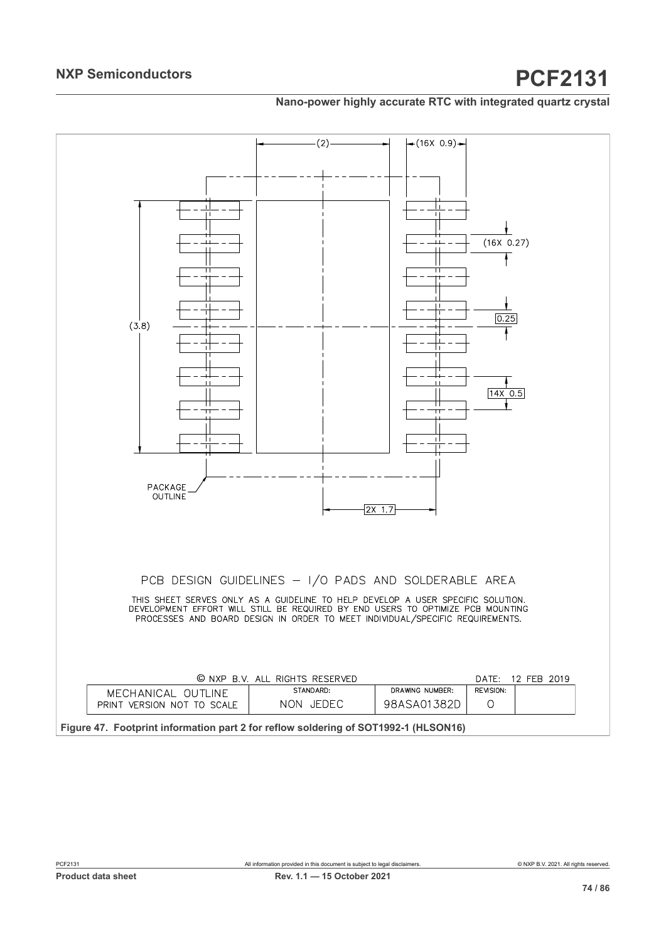<span id="page-73-0"></span>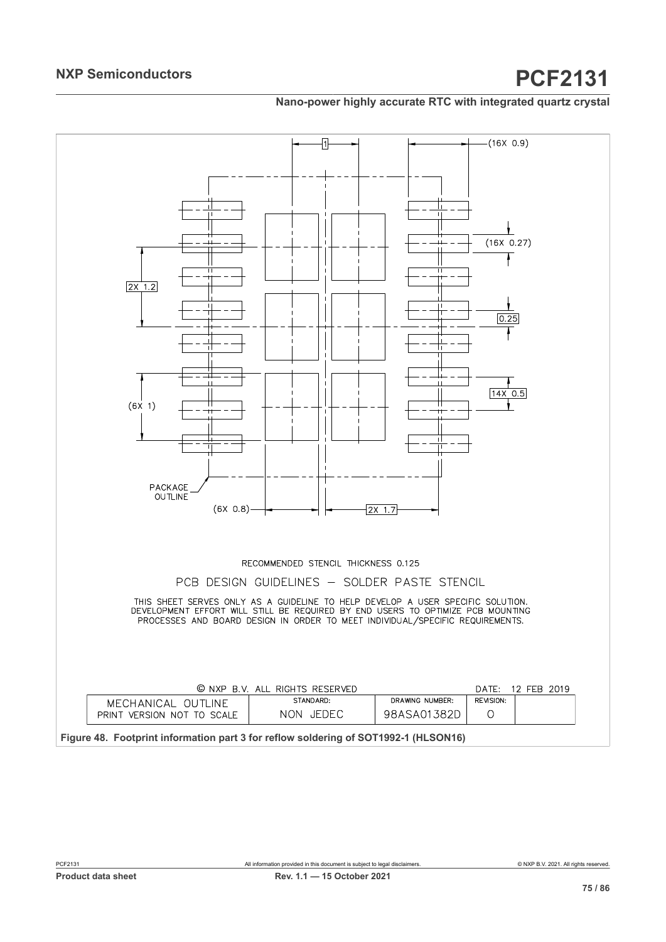<span id="page-74-0"></span>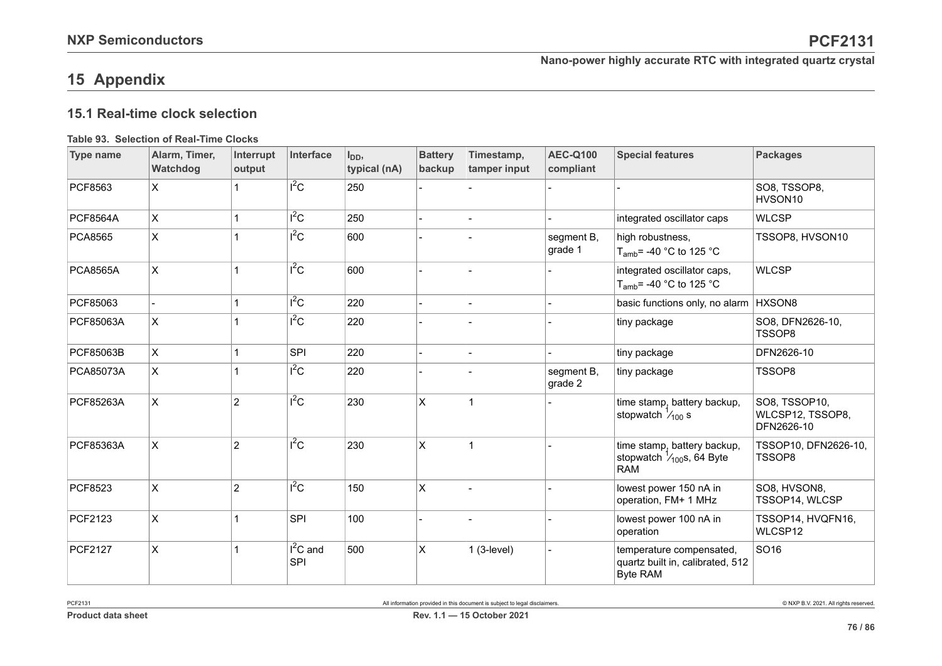## **15 Appendix**

### **15.1 Real-time clock selection**

#### **Table 93. Selection of Real-Time Clocks**

<span id="page-75-2"></span><span id="page-75-1"></span><span id="page-75-0"></span>

| <b>Type name</b> | Alarm, Timer,<br>Watchdog | Interrupt<br>output | Interface         | $I_{DD}$<br>typical (nA) | <b>Battery</b><br>backup | Timestamp,<br>tamper input | <b>AEC-Q100</b><br>compliant | <b>Special features</b>                                                           | <b>Packages</b>                                 |
|------------------|---------------------------|---------------------|-------------------|--------------------------|--------------------------|----------------------------|------------------------------|-----------------------------------------------------------------------------------|-------------------------------------------------|
| PCF8563          | X                         |                     | $I^2C$            | 250                      |                          |                            |                              |                                                                                   | SO8, TSSOP8,<br>HVSON10                         |
| <b>PCF8564A</b>  | X                         |                     | $I^2C$            | 250                      |                          |                            |                              | integrated oscillator caps                                                        | <b>WLCSP</b>                                    |
| <b>PCA8565</b>   | X                         |                     | $I^2C$            | 600                      |                          |                            | segment B,<br>grade 1        | high robustness,<br>T <sub>amb</sub> = -40 °C to 125 °C                           | TSSOP8, HVSON10                                 |
| <b>PCA8565A</b>  | $\mathsf{x}$              |                     | $1^2C$            | 600                      |                          |                            |                              | integrated oscillator caps,<br>T <sub>amb</sub> = -40 °C to 125 °C                | <b>WLCSP</b>                                    |
| PCF85063         |                           |                     | $I^2C$            | 220                      |                          |                            |                              | basic functions only, no alarm   HXSON8                                           |                                                 |
| PCF85063A        | X                         |                     | $I^2C$            | 220                      |                          |                            |                              | tiny package                                                                      | SO8, DFN2626-10,<br>TSSOP8                      |
| PCF85063B        | X                         |                     | SPI               | 220                      |                          |                            |                              | tiny package                                                                      | DFN2626-10                                      |
| PCA85073A        | X                         |                     | $I^2C$            | 220                      |                          |                            | segment B,<br>grade 2        | tiny package                                                                      | TSSOP8                                          |
| PCF85263A        | X                         | $\overline{2}$      | $I^2C$            | 230                      | X                        |                            |                              | time stamp, battery backup,<br>stopwatch $\frac{1}{100}$ s                        | SO8, TSSOP10,<br>WLCSP12, TSSOP8,<br>DFN2626-10 |
| PCF85363A        | X                         | $\overline{2}$      | $I^2C$            | 230                      | X                        |                            |                              | time stamp, battery backup,<br>stopwatch $\frac{1}{100}$ s, 64 Byte<br><b>RAM</b> | TSSOP10, DFN2626-10,<br>TSSOP8                  |
| PCF8523          | X                         | $\overline{2}$      | $1^2C$            | 150                      | X                        |                            |                              | lowest power 150 nA in<br>operation, FM+ 1 MHz                                    | SO8, HVSON8,<br>TSSOP14, WLCSP                  |
| PCF2123          | $\pmb{\times}$            |                     | SPI               | 100                      |                          |                            |                              | lowest power 100 nA in<br>operation                                               | TSSOP14, HVQFN16,<br>WLCSP12                    |
| PCF2127          | X                         |                     | $I^2C$ and<br>SPI | 500                      | X                        | $1(3$ -level)              |                              | temperature compensated,<br>quartz built in, calibrated, 512<br><b>Byte RAM</b>   | SO <sub>16</sub>                                |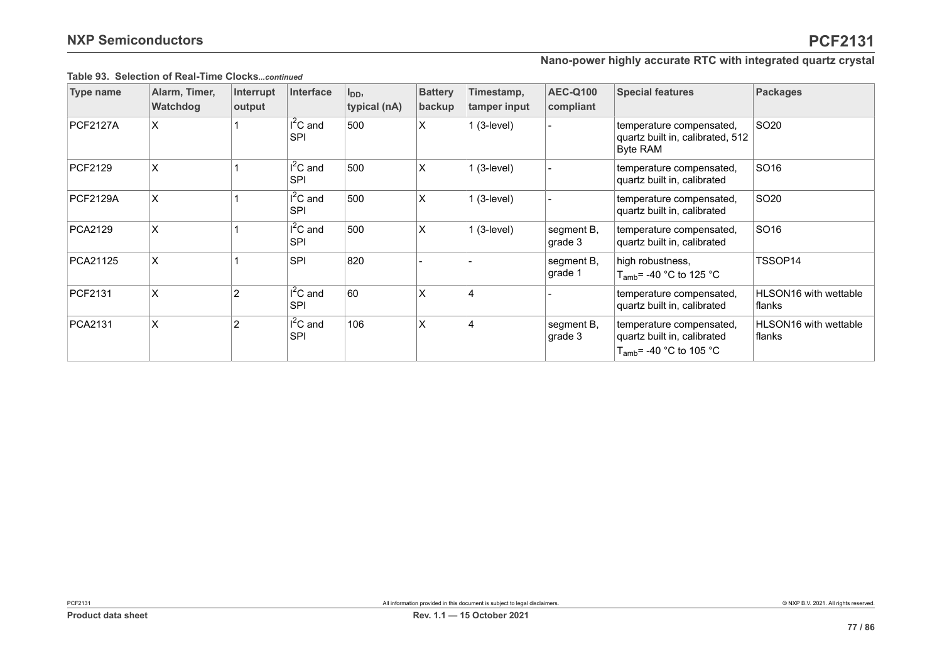| Type name       | Alarm, Timer,<br>Watchdog | Interrupt<br>output | Interface                      | $I_{DD}$<br>typical (nA) | <b>Battery</b><br>backup | Timestamp,<br>tamper input | <b>AEC-Q100</b><br>compliant | <b>Special features</b>                                                                 | <b>Packages</b>                 |
|-----------------|---------------------------|---------------------|--------------------------------|--------------------------|--------------------------|----------------------------|------------------------------|-----------------------------------------------------------------------------------------|---------------------------------|
| <b>PCF2127A</b> | X                         |                     | $I^2C$ and<br><b>SPI</b>       | 500                      | X.                       | $1(3$ -level)              |                              | temperature compensated,<br>quartz built in, calibrated, 512<br><b>Byte RAM</b>         | SO <sub>20</sub>                |
| PCF2129         | X                         |                     | $l^2$ C and<br><b>SPI</b>      | 500                      | X                        | $1(3$ -level)              |                              | temperature compensated,<br>quartz built in, calibrated                                 | SO <sub>16</sub>                |
| <b>PCF2129A</b> | X                         |                     | $I^2C$ and<br><b>SPI</b>       | 500                      | X                        | $1(3$ -level)              |                              | temperature compensated,<br>quartz built in, calibrated                                 | SO <sub>20</sub>                |
| PCA2129         | X                         |                     | $l^2$ C and<br><b>SPI</b>      | 500                      | X                        | $1(3$ -level)              | segment B,<br>grade 3        | temperature compensated,<br>quartz built in, calibrated                                 | SO <sub>16</sub>                |
| PCA21125        | X                         |                     | <b>SPI</b>                     | 820                      |                          |                            | segment B,<br>grade 1        | high robustness,<br>T <sub>amb</sub> = -40 °C to 125 °C                                 | TSSOP14                         |
| PCF2131         | X                         | 2                   | $\Gamma^2$ C and<br><b>SPI</b> | 60                       | X                        | 4                          |                              | temperature compensated,<br>quartz built in, calibrated                                 | HLSON16 with wettable<br>flanks |
| PCA2131         | X                         | $\mathfrak{p}$      | $I^2C$ and<br><b>SPI</b>       | 106                      | X                        | 4                          | segment B,<br>grade 3        | temperature compensated,<br>quartz built in, calibrated<br>$T_{amb}$ = -40 °C to 105 °C | HLSON16 with wettable<br>flanks |

#### **Table 93. Selection of Real-Time Clocks***...continued*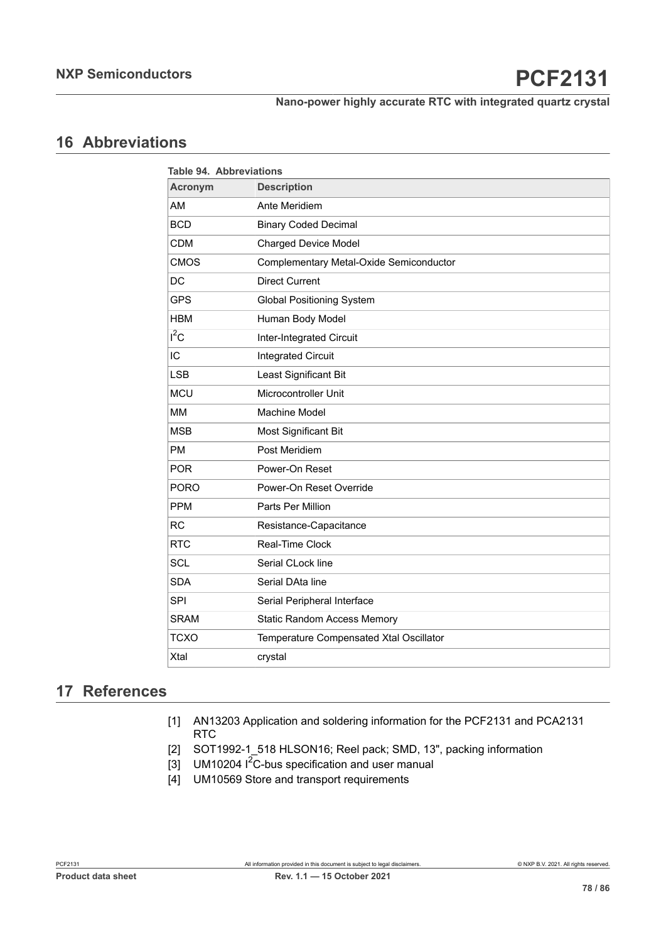## <span id="page-77-1"></span>**16 Abbreviations**

<span id="page-77-0"></span>

| <b>Table 94. Abbreviations</b> |                                         |
|--------------------------------|-----------------------------------------|
| <b>Acronym</b>                 | <b>Description</b>                      |
| AM                             | Ante Meridiem                           |
| <b>BCD</b>                     | <b>Binary Coded Decimal</b>             |
| <b>CDM</b>                     | <b>Charged Device Model</b>             |
| <b>CMOS</b>                    | Complementary Metal-Oxide Semiconductor |
| DC                             | <b>Direct Current</b>                   |
| <b>GPS</b>                     | <b>Global Positioning System</b>        |
| <b>HBM</b>                     | Human Body Model                        |
| $I^2C$                         | Inter-Integrated Circuit                |
| IC                             | <b>Integrated Circuit</b>               |
| <b>LSB</b>                     | Least Significant Bit                   |
| <b>MCU</b>                     | Microcontroller Unit                    |
| <b>MM</b>                      | <b>Machine Model</b>                    |
| <b>MSB</b>                     | Most Significant Bit                    |
| <b>PM</b>                      | Post Meridiem                           |
| <b>POR</b>                     | Power-On Reset                          |
| <b>PORO</b>                    | Power-On Reset Override                 |
| <b>PPM</b>                     | Parts Per Million                       |
| <b>RC</b>                      | Resistance-Capacitance                  |
| <b>RTC</b>                     | <b>Real-Time Clock</b>                  |
| <b>SCL</b>                     | Serial CLock line                       |
| <b>SDA</b>                     | Serial DAta line                        |
| <b>SPI</b>                     | Serial Peripheral Interface             |
| <b>SRAM</b>                    | <b>Static Random Access Memory</b>      |
| <b>TCXO</b>                    | Temperature Compensated Xtal Oscillator |
| Xtal                           | crystal                                 |

## <span id="page-77-2"></span>**17 References**

- [1] AN13203 Application and soldering information for the PCF2131 and PCA2131 RTC
- [2] SOT1992-1\_518 HLSON16; Reel pack; SMD, 13", packing information
- [3] UM10204  $I^2$ C-bus specification and user manual
- [4] UM10569 Store and transport requirements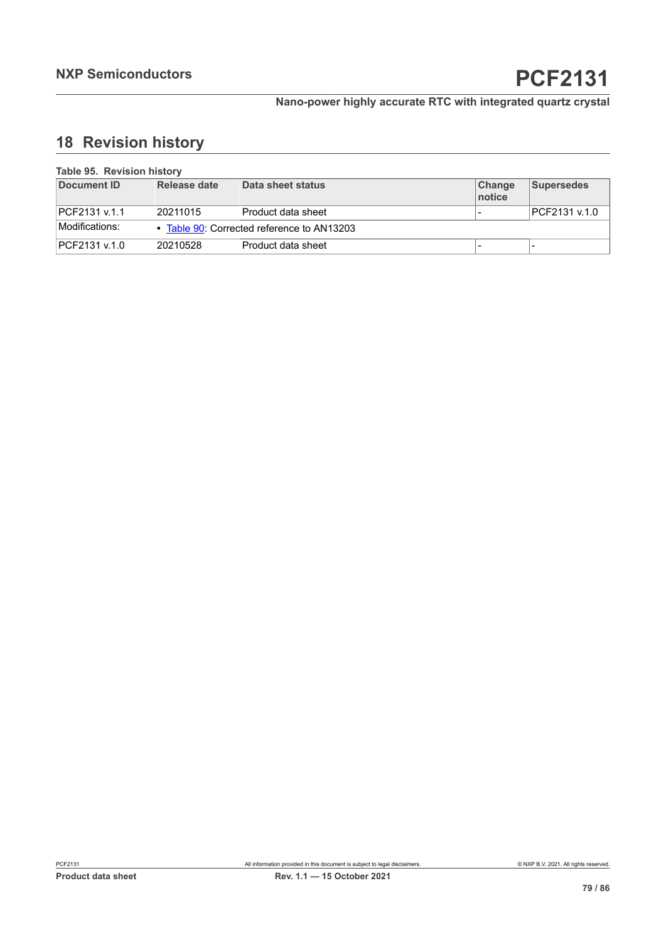## <span id="page-78-1"></span>**18 Revision history**

<span id="page-78-0"></span>

| Table 95. Revision history |              |                                            |                  |                   |
|----------------------------|--------------|--------------------------------------------|------------------|-------------------|
| Document ID                | Release date | Data sheet status                          | Change<br>notice | <b>Supersedes</b> |
| PCF2131 v.1.1              | 20211015     | Product data sheet                         |                  | PCF2131 v.1.0     |
| Modifications:             |              | • Table 90: Corrected reference to AN13203 |                  |                   |
| PCF2131 v.1.0              | 20210528     | Product data sheet                         |                  | -                 |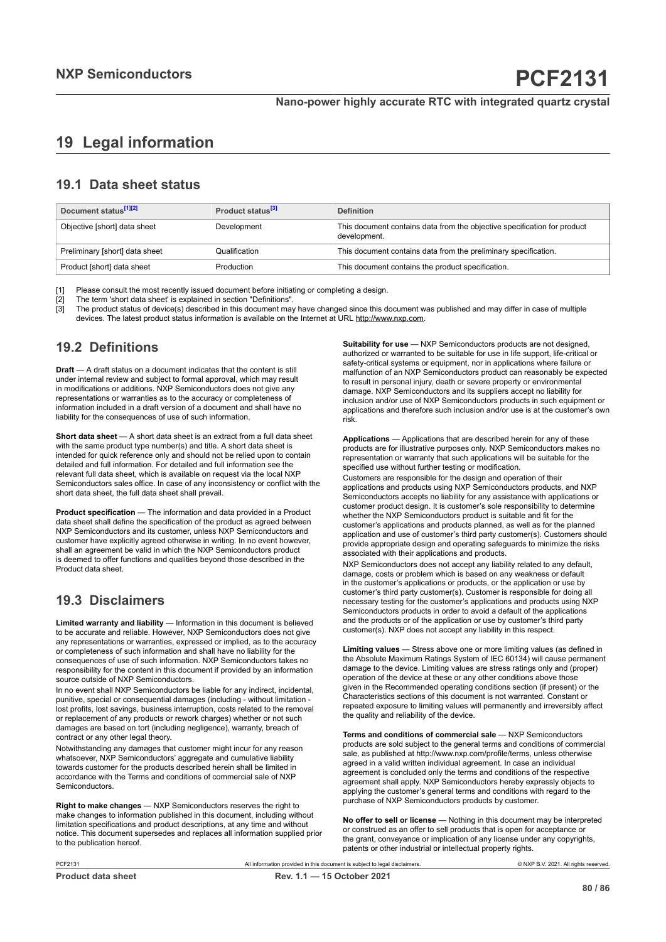## <span id="page-79-0"></span>**19 Legal information**

#### **19.1 Data sheet status**

| Document status <sup>[1][2]</sup> | Product status <sup>[3]</sup> | <b>Definition</b>                                                                        |
|-----------------------------------|-------------------------------|------------------------------------------------------------------------------------------|
| Objective [short] data sheet      | Development                   | This document contains data from the objective specification for product<br>development. |
| Preliminary [short] data sheet    | Qualification                 | This document contains data from the preliminary specification.                          |
| Product [short] data sheet        | Production                    | This document contains the product specification.                                        |

[1] Please consult the most recently issued document before initiating or completing a design.<br>[2] The term 'short data sheet' is explained in section "Definitions".

[2] The term 'short data sheet' is explained in section "Definitions".<br>[2] The term 'short data sheet' is explained in section "Definitions".

[3] The product status of device(s) described in this document may have changed since this document was published and may differ in case of multiple devices. The latest product status information is available on the Internet at URL http://www.nxp.com.

### **19.2 Definitions**

**Draft** — A draft status on a document indicates that the content is still under internal review and subject to formal approval, which may result in modifications or additions. NXP Semiconductors does not give any representations or warranties as to the accuracy or completeness of information included in a draft version of a document and shall have no liability for the consequences of use of such information.

**Short data sheet** — A short data sheet is an extract from a full data sheet with the same product type number(s) and title. A short data sheet is intended for quick reference only and should not be relied upon to contain detailed and full information. For detailed and full information see the relevant full data sheet, which is available on request via the local NXP Semiconductors sales office. In case of any inconsistency or conflict with the short data sheet, the full data sheet shall prevail.

**Product specification** — The information and data provided in a Product data sheet shall define the specification of the product as agreed between NXP Semiconductors and its customer, unless NXP Semiconductors and customer have explicitly agreed otherwise in writing. In no event however, shall an agreement be valid in which the NXP Semiconductors product is deemed to offer functions and qualities beyond those described in the Product data sheet.

### **19.3 Disclaimers**

**Limited warranty and liability** — Information in this document is believed to be accurate and reliable. However, NXP Semiconductors does not give any representations or warranties, expressed or implied, as to the accuracy or completeness of such information and shall have no liability for the consequences of use of such information. NXP Semiconductors takes no responsibility for the content in this document if provided by an information source outside of NXP Semiconductors.

In no event shall NXP Semiconductors be liable for any indirect, incidental, punitive, special or consequential damages (including - without limitation lost profits, lost savings, business interruption, costs related to the removal or replacement of any products or rework charges) whether or not such damages are based on tort (including negligence), warranty, breach of contract or any other legal theory.

Notwithstanding any damages that customer might incur for any reason whatsoever, NXP Semiconductors' aggregate and cumulative liability towards customer for the products described herein shall be limited in accordance with the Terms and conditions of commercial sale of NXP Semiconductors.

**Right to make changes** — NXP Semiconductors reserves the right to make changes to information published in this document, including without limitation specifications and product descriptions, at any time and without notice. This document supersedes and replaces all information supplied prior to the publication hereof.

**Suitability for use** — NXP Semiconductors products are not designed, authorized or warranted to be suitable for use in life support, life-critical or safety-critical systems or equipment, nor in applications where failure or malfunction of an NXP Semiconductors product can reasonably be expected to result in personal injury, death or severe property or environmental damage. NXP Semiconductors and its suppliers accept no liability for inclusion and/or use of NXP Semiconductors products in such equipment or applications and therefore such inclusion and/or use is at the customer's own risk.

**Applications** — Applications that are described herein for any of these products are for illustrative purposes only. NXP Semiconductors makes no representation or warranty that such applications will be suitable for the specified use without further testing or modification.

Customers are responsible for the design and operation of their applications and products using NXP Semiconductors products, and NXP Semiconductors accepts no liability for any assistance with applications or customer product design. It is customer's sole responsibility to determine whether the NXP Semiconductors product is suitable and fit for the customer's applications and products planned, as well as for the planned application and use of customer's third party customer(s). Customers should provide appropriate design and operating safeguards to minimize the risks associated with their applications and products.

NXP Semiconductors does not accept any liability related to any default, damage, costs or problem which is based on any weakness or default in the customer's applications or products, or the application or use by customer's third party customer(s). Customer is responsible for doing all necessary testing for the customer's applications and products using NXP Semiconductors products in order to avoid a default of the applications and the products or of the application or use by customer's third party customer(s). NXP does not accept any liability in this respect.

**Limiting values** — Stress above one or more limiting values (as defined in the Absolute Maximum Ratings System of IEC 60134) will cause permanent damage to the device. Limiting values are stress ratings only and (proper) operation of the device at these or any other conditions above those given in the Recommended operating conditions section (if present) or the Characteristics sections of this document is not warranted. Constant or repeated exposure to limiting values will permanently and irreversibly affect the quality and reliability of the device.

**Terms and conditions of commercial sale** — NXP Semiconductors products are sold subject to the general terms and conditions of commercial sale, as published at http://www.nxp.com/profile/terms, unless otherwise agreed in a valid written individual agreement. In case an individual agreement is concluded only the terms and conditions of the respective agreement shall apply. NXP Semiconductors hereby expressly objects to applying the customer's general terms and conditions with regard to the purchase of NXP Semiconductors products by customer.

**No offer to sell or license** — Nothing in this document may be interpreted or construed as an offer to sell products that is open for acceptance or the grant, conveyance or implication of any license under any copyrights, patents or other industrial or intellectual property rights.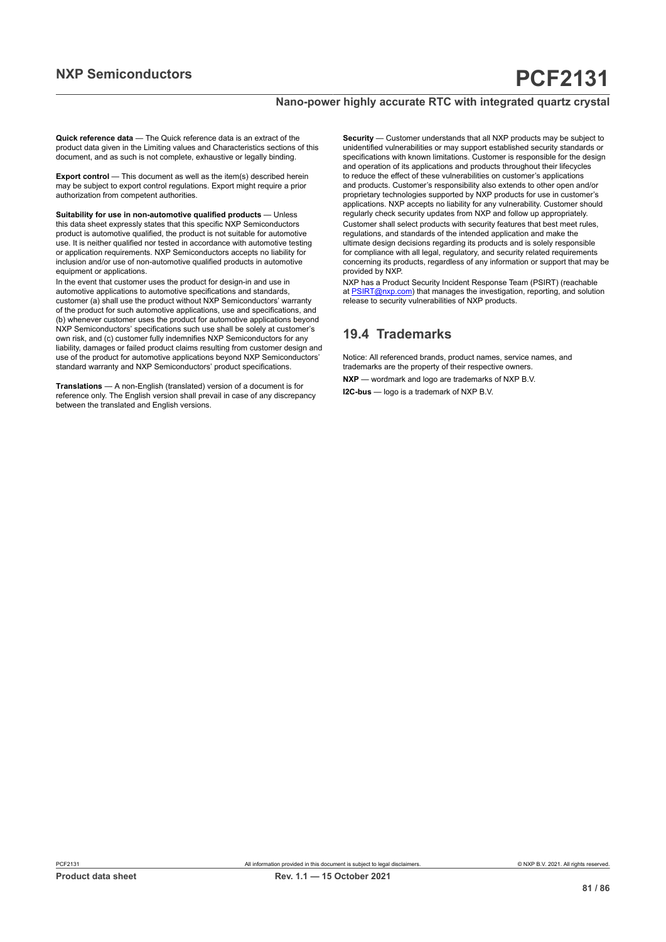**Quick reference data** — The Quick reference data is an extract of the product data given in the Limiting values and Characteristics sections of this document, and as such is not complete, exhaustive or legally binding.

**Export control** — This document as well as the item(s) described herein may be subject to export control regulations. Export might require a prior authorization from competent authorities.

**Suitability for use in non-automotive qualified products** — Unless this data sheet expressly states that this specific NXP Semiconductors product is automotive qualified, the product is not suitable for automotive use. It is neither qualified nor tested in accordance with automotive testing or application requirements. NXP Semiconductors accepts no liability for inclusion and/or use of non-automotive qualified products in automotive equipment or applications.

In the event that customer uses the product for design-in and use in automotive applications to automotive specifications and standards, customer (a) shall use the product without NXP Semiconductors' warranty of the product for such automotive applications, use and specifications, and (b) whenever customer uses the product for automotive applications beyond NXP Semiconductors' specifications such use shall be solely at customer's own risk, and (c) customer fully indemnifies NXP Semiconductors for any liability, damages or failed product claims resulting from customer design and use of the product for automotive applications beyond NXP Semiconductors' standard warranty and NXP Semiconductors' product specifications.

**Translations** — A non-English (translated) version of a document is for reference only. The English version shall prevail in case of any discrepancy between the translated and English versions.

**Security** — Customer understands that all NXP products may be subject to unidentified vulnerabilities or may support established security standards or specifications with known limitations. Customer is responsible for the design and operation of its applications and products throughout their lifecycles to reduce the effect of these vulnerabilities on customer's applications and products. Customer's responsibility also extends to other open and/or proprietary technologies supported by NXP products for use in customer's applications. NXP accepts no liability for any vulnerability. Customer should regularly check security updates from NXP and follow up appropriately. Customer shall select products with security features that best meet rules, regulations, and standards of the intended application and make the ultimate design decisions regarding its products and is solely responsible for compliance with all legal, regulatory, and security related requirements concerning its products, regardless of any information or support that may be provided by NXP.

NXP has a Product Security Incident Response Team (PSIRT) (reachable at [PSIRT@nxp.com](mailto:PSIRT@nxp.com)) that manages the investigation, reporting, and solution release to security vulnerabilities of NXP products.

#### **19.4 Trademarks**

Notice: All referenced brands, product names, service names, and trademarks are the property of their respective owners.

**NXP** — wordmark and logo are trademarks of NXP B.V.

**I2C-bus** — logo is a trademark of NXP B.V.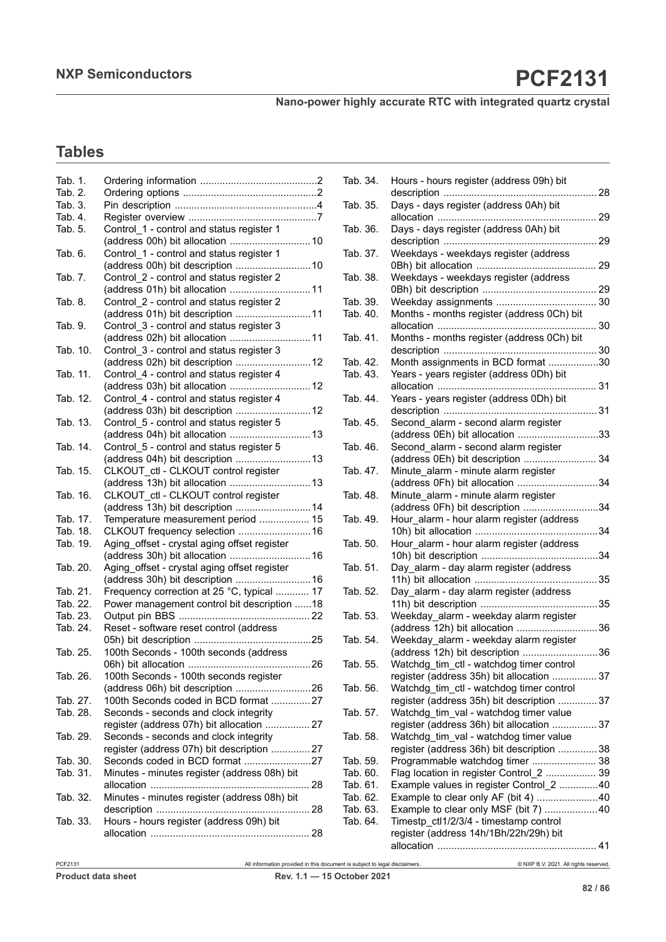## **Tables**

| Tab. 1.  |                                              |
|----------|----------------------------------------------|
| Tab. 2.  |                                              |
| Tab. 3.  |                                              |
| Tab. 4.  |                                              |
| Tab. 5.  | Control_1 - control and status register 1    |
|          | (address 00h) bit allocation  10             |
| Tab. 6.  | Control_1 - control and status register 1    |
|          | (address 00h) bit description  10            |
| Tab. 7.  | Control_2 - control and status register 2    |
|          | (address 01h) bit allocation  11             |
| Tab. 8.  | Control_2 - control and status register 2    |
|          | (address 01h) bit description 11             |
| Tab. 9.  | Control 3 - control and status register 3    |
|          | (address 02h) bit allocation  11             |
| Tab. 10. | Control 3 - control and status register 3    |
|          | (address 02h) bit description  12            |
| Tab. 11. | Control_4 - control and status register 4    |
|          | (address 03h) bit allocation  12             |
| Tab. 12. | Control_4 - control and status register 4    |
|          | (address 03h) bit description  12            |
| Tab. 13. | Control_5 - control and status register 5    |
|          | (address 04h) bit allocation  13             |
| Tab. 14. | Control 5 - control and status register 5    |
|          | (address 04h) bit description  13            |
| Tab. 15. | CLKOUT_ctl - CLKOUT control register         |
|          | (address 13h) bit allocation  13             |
| Tab. 16. | CLKOUT_ctl - CLKOUT control register         |
|          | (address 13h) bit description 14             |
| Tab. 17. | Temperature measurement period  15           |
| Tab. 18. | CLKOUT frequency selection  16               |
| Tab. 19. | Aging_offset - crystal aging offset register |
|          | (address 30h) bit allocation  16             |
| Tab. 20. | Aging_offset - crystal aging offset register |
|          | (address 30h) bit description  16            |
| Tab. 21. | Frequency correction at 25 °C, typical  17   |
| Tab. 22. | Power management control bit description 18  |
| Tab. 23. |                                              |
| Tab. 24. | Reset - software reset control (address      |
|          |                                              |
| Tab. 25. | 100th Seconds - 100th seconds (address       |
|          |                                              |
| Tab. 26. | 100th Seconds - 100th seconds register       |
|          |                                              |
| Tab. 27. | 100th Seconds coded in BCD format 27         |
| Tab. 28. | Seconds - seconds and clock integrity        |
|          | register (address 07h) bit allocation  27    |
| Tab. 29. | Seconds - seconds and clock integrity        |
|          | register (address 07h) bit description  27   |
| Tab. 30. | Seconds coded in BCD format 27               |
| Tab. 31. | Minutes - minutes register (address 08h) bit |
|          |                                              |
| Tab. 32. | Minutes - minutes register (address 08h) bit |
|          |                                              |
| Tab. 33. | Hours - hours register (address 09h) bit     |
|          |                                              |

| Tab. 34.             | Hours - hours register (address 09h) bit                                   |    |
|----------------------|----------------------------------------------------------------------------|----|
| Tab. 35.             | Days - days register (address 0Ah) bit                                     |    |
|                      |                                                                            |    |
| Tab. 36.             | Days - days register (address 0Ah) bit                                     |    |
|                      |                                                                            |    |
| Tab. 37.             | Weekdays - weekdays register (address                                      |    |
|                      |                                                                            |    |
| Tab. 38.             | Weekdays - weekdays register (address                                      |    |
|                      |                                                                            |    |
| Tab. 39.<br>Tab. 40. | Months - months register (address 0Ch) bit                                 |    |
|                      |                                                                            |    |
| Tab. 41.             | Months - months register (address 0Ch) bit                                 |    |
|                      |                                                                            |    |
| Tab. 42.             | Month assignments in BCD format 30                                         |    |
| Tab. 43.             | Years - years register (address 0Dh) bit                                   |    |
|                      |                                                                            |    |
| Tab. 44.             | Years - years register (address 0Dh) bit                                   |    |
|                      |                                                                            |    |
| Tab. 45.             | Second_alarm - second alarm register                                       |    |
|                      | (address 0Eh) bit allocation 33                                            |    |
| Tab. 46.             | Second alarm - second alarm register                                       |    |
|                      | (address 0Eh) bit description                                              | 34 |
| Tab. 47.             | Minute_alarm - minute alarm register                                       |    |
|                      | (address 0Fh) bit allocation                                               | 34 |
| Tab. 48.             | Minute_alarm - minute alarm register                                       |    |
|                      | (address 0Fh) bit description 34                                           |    |
| Tab. 49.             | Hour_alarm - hour alarm register (address                                  |    |
|                      |                                                                            |    |
| Tab. 50.             | Hour_alarm - hour alarm register (address                                  |    |
|                      |                                                                            |    |
| Tab. 51.             | Day_alarm - day alarm register (address                                    |    |
|                      |                                                                            |    |
| Tab. 52.             | Day_alarm - day alarm register (address                                    |    |
|                      |                                                                            |    |
| Tab. 53.             | Weekday alarm - weekday alarm register                                     |    |
| Tab. 54.             | (address 12h) bit allocation 36                                            |    |
|                      | Weekday_alarm - weekday alarm register<br>(address 12h) bit description 36 |    |
| Tab. 55.             | Watchdg_tim_ctl - watchdog timer control                                   |    |
|                      | register (address 35h) bit allocation  37                                  |    |
| Tab. 56.             | Watchdg_tim_ctl - watchdog timer control                                   |    |
|                      | register (address 35h) bit description  37                                 |    |
| Tab. 57.             | Watchdg_tim_val - watchdog timer value                                     |    |
|                      | register (address 36h) bit allocation  37                                  |    |
| Tab. 58.             | Watchdg_tim_val - watchdog timer value                                     |    |
|                      | register (address 36h) bit description  38                                 |    |
| Tab. 59.             | Programmable watchdog timer  38                                            |    |
| Tab. 60.             | Flag location in register Control_2  39                                    |    |
| Tab. 61.             | Example values in register Control_2 40                                    |    |
| Tab. 62.             | Example to clear only AF (bit 4) 40                                        |    |
| Tab. 63.             | Example to clear only MSF (bit 7) 40                                       |    |
| Tab. 64.             | Timestp_ctl1/2/3/4 - timestamp control                                     |    |
|                      | register (address 14h/1Bh/22h/29h) bit                                     |    |
|                      |                                                                            |    |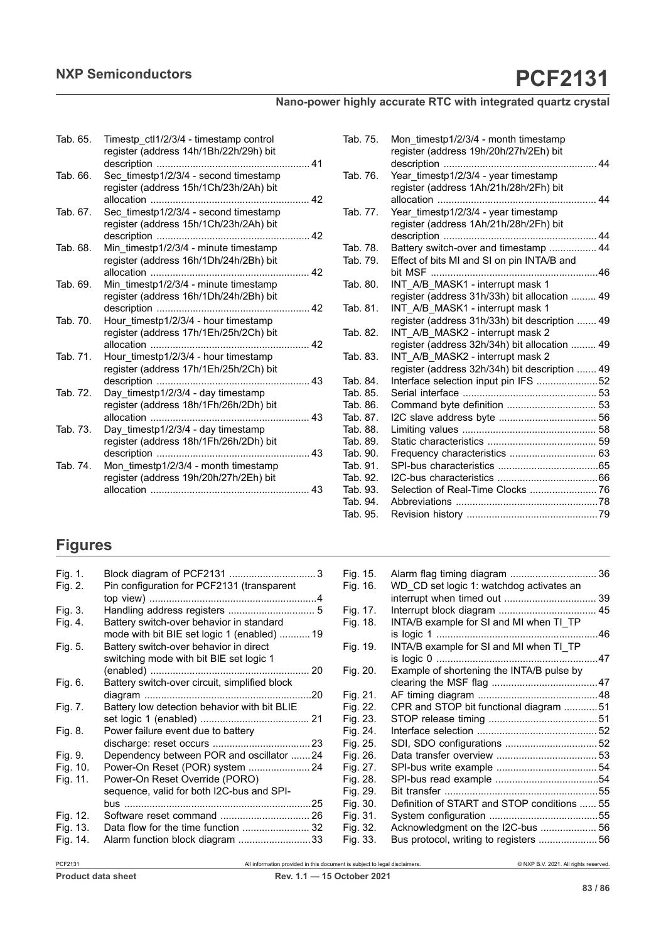| Tab. 65. | Timestp ctl1/2/3/4 - timestamp control<br>register (address 14h/1Bh/22h/29h) bit |
|----------|----------------------------------------------------------------------------------|
|          |                                                                                  |
| Tab. 66. | Sec timestp1/2/3/4 - second timestamp<br>register (address 15h/1Ch/23h/2Ah) bit  |
|          |                                                                                  |
| Tab. 67. | Sec timestp1/2/3/4 - second timestamp<br>register (address 15h/1Ch/23h/2Ah) bit  |
|          |                                                                                  |
| Tab. 68. | Min_timestp1/2/3/4 - minute timestamp                                            |
|          | register (address 16h/1Dh/24h/2Bh) bit                                           |
|          |                                                                                  |
| Tab. 69. | Min timestp1/2/3/4 - minute timestamp                                            |
|          | register (address 16h/1Dh/24h/2Bh) bit                                           |
|          |                                                                                  |
| Tab. 70. | Hour_timestp1/2/3/4 - hour timestamp                                             |
|          | register (address 17h/1Eh/25h/2Ch) bit                                           |
|          |                                                                                  |
| Tab. 71. | Hour_timestp1/2/3/4 - hour timestamp                                             |
|          | register (address 17h/1Eh/25h/2Ch) bit                                           |
|          |                                                                                  |
| Tab. 72. | Day timestp1/2/3/4 - day timestamp                                               |
|          | register (address 18h/1Fh/26h/2Dh) bit                                           |
|          |                                                                                  |
| Tab. 73. | Day_timestp1/2/3/4 - day timestamp                                               |
|          | register (address 18h/1Fh/26h/2Dh) bit                                           |
|          |                                                                                  |
| Tab. 74. | Mon_timestp1/2/3/4 - month timestamp                                             |
|          | register (address 19h/20h/27h/2Eh) bit                                           |
|          |                                                                                  |
|          |                                                                                  |

|  | laure |  |
|--|-------|--|
|  |       |  |

| Fig. 1.  |                                               |
|----------|-----------------------------------------------|
| Fig. 2.  | Pin configuration for PCF2131 (transparent    |
|          |                                               |
| Fig. 3.  | Handling address registers  5                 |
| Fig. 4.  | Battery switch-over behavior in standard      |
|          | mode with bit BIE set logic 1 (enabled)  19   |
| Fig. 5.  | Battery switch-over behavior in direct        |
|          | switching mode with bit BIE set logic 1       |
|          |                                               |
| Fig. 6.  | Battery switch-over circuit, simplified block |
|          |                                               |
| Fig. 7.  | Battery low detection behavior with bit BLIE  |
|          |                                               |
| Fig. 8.  | Power failure event due to battery            |
|          |                                               |
| Fig. 9.  | Dependency between POR and oscillator 24      |
| Fig. 10. | Power-On Reset (POR) system  24               |
| Fig. 11. | Power-On Reset Override (PORO)                |
|          | sequence, valid for both I2C-bus and SPI-     |
|          |                                               |
| Fig. 12. | Software reset command  26                    |
| Fig. 13. |                                               |
| Fig. 14. | Alarm function block diagram 33               |

| Year timestp1/2/3/4 - year timestamp<br>Tab. 76.<br>register (address 1Ah/21h/28h/2Fh) bit |  |
|--------------------------------------------------------------------------------------------|--|
|                                                                                            |  |
|                                                                                            |  |
|                                                                                            |  |
|                                                                                            |  |
| Year timestp1/2/3/4 - year timestamp<br>Tab. 77.                                           |  |
| register (address 1Ah/21h/28h/2Fh) bit                                                     |  |
|                                                                                            |  |
| Battery switch-over and timestamp  44<br>Tab. 78.                                          |  |
| Effect of bits MI and SI on pin INTA/B and<br>Tab. 79.                                     |  |
|                                                                                            |  |
| INT A/B MASK1 - interrupt mask 1<br>Tab. 80.                                               |  |
| register (address 31h/33h) bit allocation  49                                              |  |
| INT A/B MASK1 - interrupt mask 1<br>Tab. 81.                                               |  |
| register (address 31h/33h) bit description  49                                             |  |
| INT A/B MASK2 - interrupt mask 2<br>Tab. 82.                                               |  |
| register (address 32h/34h) bit allocation  49                                              |  |
| INT A/B MASK2 - interrupt mask 2<br>Tab. 83.                                               |  |
| register (address 32h/34h) bit description  49                                             |  |
| Interface selection input pin IFS 52<br>Tab. 84.                                           |  |
| Tab. 85.                                                                                   |  |
| Command byte definition  53<br>Tab. 86.                                                    |  |
| Tab. 87.                                                                                   |  |
| Tab. 88.                                                                                   |  |
| Tab. 89.                                                                                   |  |
| Tab. 90.                                                                                   |  |
| Tab. 91.                                                                                   |  |
| Tab. 92.                                                                                   |  |
| Selection of Real-Time Clocks  76<br>Tab. 93.                                              |  |
| Tab. 94.                                                                                   |  |
| Tab. 95.                                                                                   |  |

| Fig. 15. |                                             |  |
|----------|---------------------------------------------|--|
| Fig. 16. | WD_CD set logic 1: watchdog activates an    |  |
| Fig. 17. |                                             |  |
| Fig. 18. | INTA/B example for SI and MI when TI_TP     |  |
|          |                                             |  |
| Fig. 19. | INTA/B example for SI and MI when TI TP     |  |
|          |                                             |  |
| Fig. 20. | Example of shortening the INTA/B pulse by   |  |
|          |                                             |  |
| Fig. 21. |                                             |  |
| Fig. 22. | CPR and STOP bit functional diagram 51      |  |
| Fig. 23. |                                             |  |
| Fig. 24. |                                             |  |
| Fig. 25. |                                             |  |
| Fig. 26. |                                             |  |
| Fig. 27. |                                             |  |
| Fig. 28. |                                             |  |
| Fig. 29. |                                             |  |
| Fig. 30. | Definition of START and STOP conditions  55 |  |
| Fig. 31. |                                             |  |
| Fig. 32. | Acknowledgment on the I2C-bus  56           |  |
| Fig. 33. | Bus protocol, writing to registers 56       |  |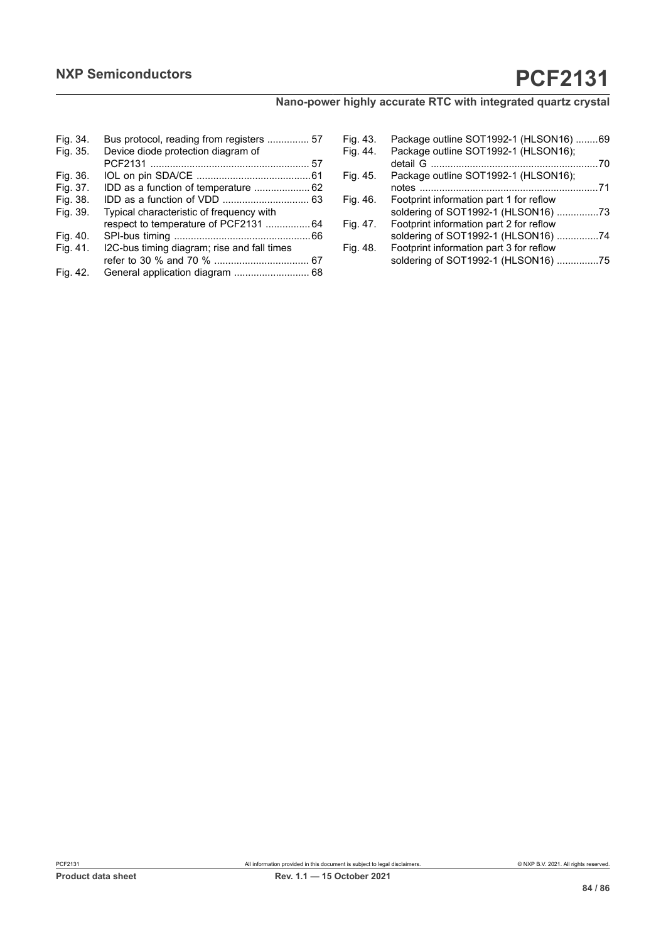| Fig. 34. | Bus protocol, reading from registers  57    |
|----------|---------------------------------------------|
| Fig. 35. | Device diode protection diagram of          |
|          |                                             |
| Fig. 36. |                                             |
| Fig. 37. |                                             |
| Fig. 38. |                                             |
| Fig. 39. | Typical characteristic of frequency with    |
|          | respect to temperature of PCF2131 64        |
| Fig. 40. |                                             |
| Fig. 41. | I2C-bus timing diagram; rise and fall times |
|          |                                             |
| Fig. 42. | General application diagram  68             |

| Fig. 43. | Package outline SOT1992-1 (HLSON16) 69           |     |
|----------|--------------------------------------------------|-----|
| Fig. 44. | Package outline SOT1992-1 (HLSON16);<br>detail G | 70  |
| Fig. 45. | Package outline SOT1992-1 (HLSON16);             |     |
|          | notes                                            | -71 |
| Fig. 46. | Footprint information part 1 for reflow          |     |
|          | soldering of SOT1992-1 (HLSON16) 73              |     |
| Fig. 47. | Footprint information part 2 for reflow          |     |
|          | soldering of SOT1992-1 (HLSON16) 74              |     |
| Fig. 48. | Footprint information part 3 for reflow          |     |
|          | soldering of SOT1992-1 (HLSON16) 75              |     |
|          |                                                  |     |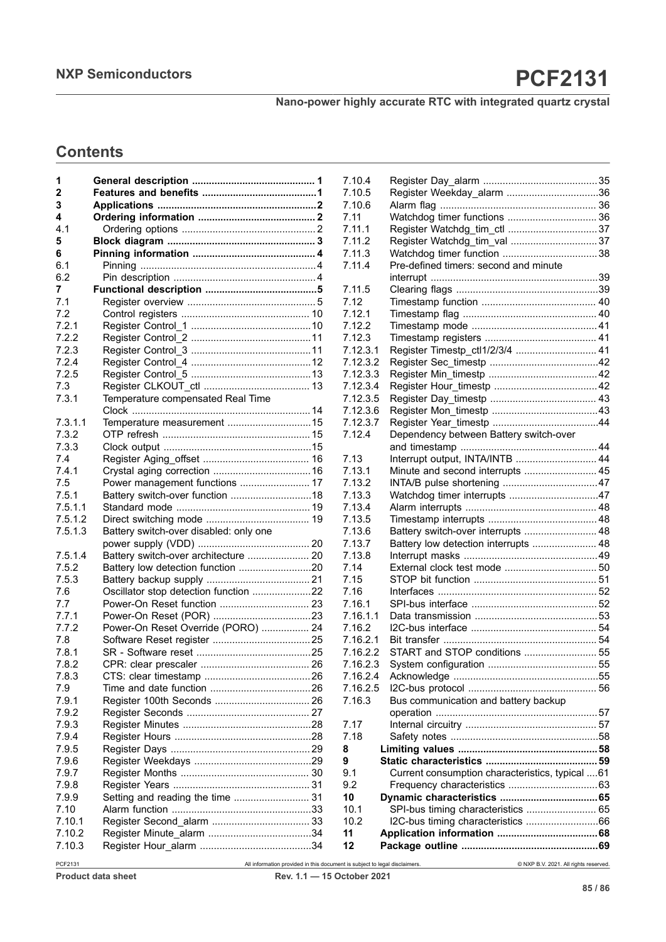# **NXP Semiconductors PCF2131**

**Nano-power highly accurate RTC with integrated quartz crystal**

## **Contents**

| 1<br>2<br>3  |                                        |
|--------------|----------------------------------------|
| 4            |                                        |
| 4.1          |                                        |
| 5            |                                        |
| 6            |                                        |
| 6.1          |                                        |
| 6.2          |                                        |
| 7            |                                        |
| 7.1          |                                        |
| 7.2          |                                        |
| 7.2.1        |                                        |
| 7.2.2        |                                        |
| 7.2.3        |                                        |
| 7.2.4        |                                        |
| 7.2.5        |                                        |
| 7.3          |                                        |
| 7.3.1        | Temperature compensated Real Time      |
|              |                                        |
| 7.3.1.1      | Temperature measurement 15             |
| 7.3.2        |                                        |
| 7.3.3        |                                        |
| 7.4          |                                        |
| 7.4.1        |                                        |
| 7.5          | Power management functions  17         |
| 7.5.1        | Battery switch-over function 18        |
| 7.5.1.1      |                                        |
| 7.5.1.2      |                                        |
| 7.5.1.3      | Battery switch-over disabled: only one |
|              |                                        |
| 7.5.1.4      | Battery switch-over architecture  20   |
| 7.5.2        | Battery low detection function 20      |
| 7.5.3        |                                        |
| 7.6          | Oscillator stop detection function 22  |
| 7.7          | Power-On Reset function  23            |
| 7.7.1        |                                        |
| 7.7.2        | Power-On Reset Override (PORO)  24     |
| 7.8          |                                        |
| 7.8.1        |                                        |
| 7.8.2        |                                        |
|              |                                        |
| 7.8.3<br>7.9 |                                        |
| 7.9.1        |                                        |
| 7.9.2        |                                        |
| 7.9.3        |                                        |
| 7.9.4        |                                        |
|              |                                        |
| 7.9.5        |                                        |
| 7.9.6        |                                        |
| 7.9.7        |                                        |
| 7.9.8        |                                        |
| 7.9.9        | Setting and reading the time  31       |
| 7.10         |                                        |
| 7.10.1       |                                        |
| 7.10.2       |                                        |
| 7.10.3       |                                        |

| 7.10.4   |                                                 |  |
|----------|-------------------------------------------------|--|
| 7.10.5   | Register Weekday_alarm 36                       |  |
| 7.10.6   |                                                 |  |
| 7.11     | Watchdog timer functions  36                    |  |
| 7.11.1   | Register Watchdg_tim_ctl  37                    |  |
| 7.11.2   | Register Watchdg_tim_val  37                    |  |
| 7.11.3   |                                                 |  |
| 7.11.4   | Pre-defined timers: second and minute           |  |
|          |                                                 |  |
| 7.11.5   |                                                 |  |
| 7.12     |                                                 |  |
| 7.12.1   |                                                 |  |
| 7.12.2   |                                                 |  |
| 7.12.3   |                                                 |  |
| 7.12.3.1 | Register Timestp_ctl1/2/3/4  41                 |  |
| 7.12.3.2 |                                                 |  |
| 7.12.3.3 |                                                 |  |
| 7.12.3.4 |                                                 |  |
| 7.12.3.5 |                                                 |  |
| 7.12.3.6 |                                                 |  |
|          |                                                 |  |
| 7.12.3.7 |                                                 |  |
| 7.12.4   | Dependency between Battery switch-over          |  |
|          |                                                 |  |
| 7.13     | Interrupt output, INTA/INTB  44                 |  |
| 7.13.1   | Minute and second interrupts  45                |  |
| 7.13.2   |                                                 |  |
| 7.13.3   |                                                 |  |
| 7.13.4   |                                                 |  |
| 7.13.5   |                                                 |  |
| 7.13.6   | Battery switch-over interrupts  48              |  |
| 7.13.7   | Battery low detection interrupts  48            |  |
| 7.13.8   |                                                 |  |
| 7.14     |                                                 |  |
| 7.15     |                                                 |  |
| 7.16     |                                                 |  |
| 7.16.1   |                                                 |  |
| 7.16.1.1 |                                                 |  |
| 7.16.2   |                                                 |  |
| 7.16.2.1 |                                                 |  |
| 7.16.2.2 | START and STOP conditions  55                   |  |
| 7.16.2.3 |                                                 |  |
| 7.16.2.4 |                                                 |  |
| 7.16.2.5 |                                                 |  |
| 7.16.3   | Bus communication and battery backup            |  |
|          |                                                 |  |
| 7.17     |                                                 |  |
| 7.18     |                                                 |  |
| 8        |                                                 |  |
| 9        |                                                 |  |
| 9.1      | Current consumption characteristics, typical 61 |  |
| 9.2      |                                                 |  |
| 10       |                                                 |  |
|          |                                                 |  |
| 10.1     | SPI-bus timing characteristics  65              |  |
| 10.2     |                                                 |  |
| 11       |                                                 |  |
| 12       |                                                 |  |